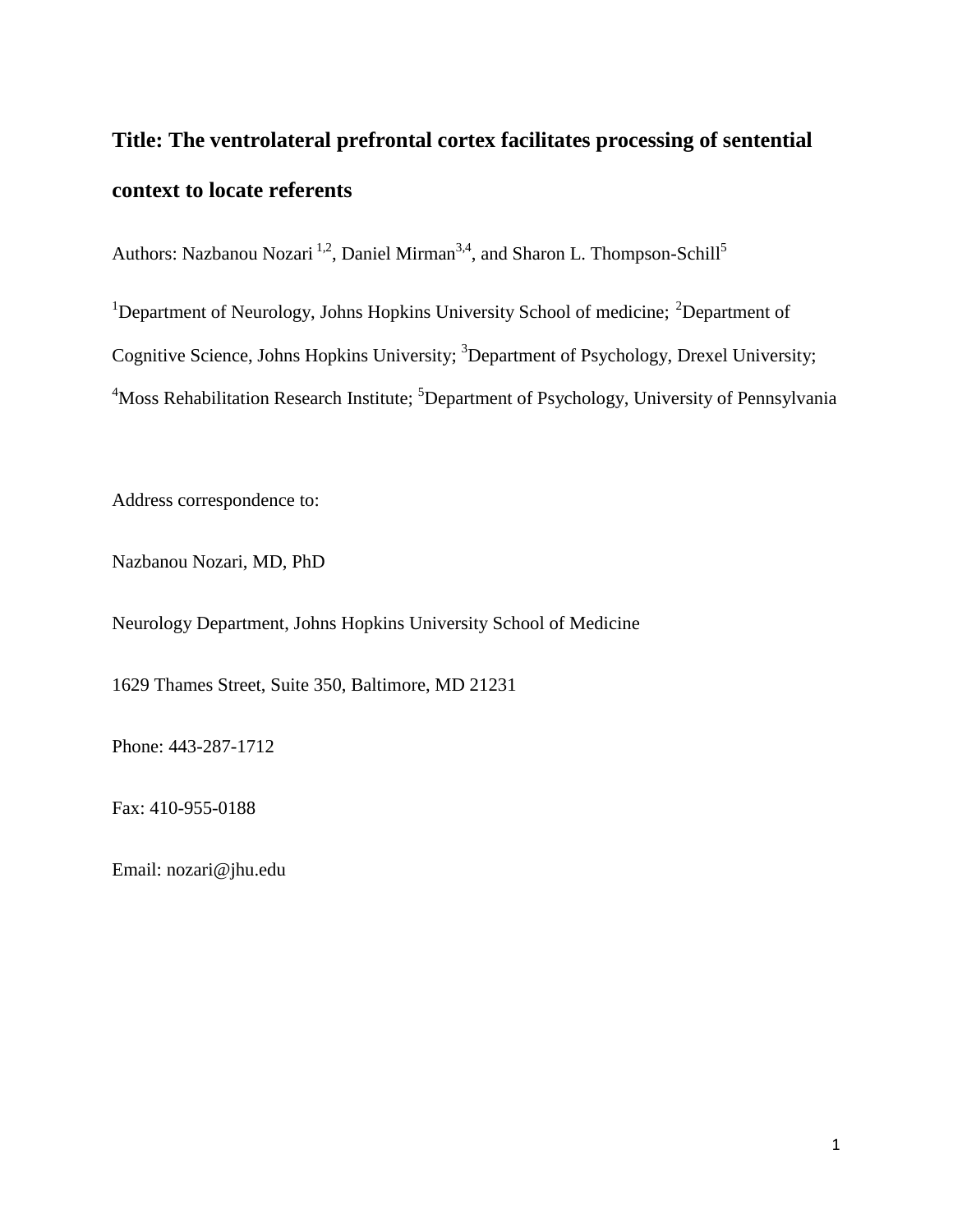# **Title: The ventrolateral prefrontal cortex facilitates processing of sentential context to locate referents**

Authors: Nazbanou Nozari<sup>1,2</sup>, Daniel Mirman<sup>3,4</sup>, and Sharon L. Thompson-Schill<sup>5</sup>

<sup>1</sup>Department of Neurology, Johns Hopkins University School of medicine; <sup>2</sup>Department of Cognitive Science, Johns Hopkins University; <sup>3</sup>Department of Psychology, Drexel University; <sup>4</sup>Moss Rehabilitation Research Institute; <sup>5</sup>Department of Psychology, University of Pennsylvania

Address correspondence to:

Nazbanou Nozari, MD, PhD

Neurology Department, Johns Hopkins University School of Medicine

1629 Thames Street, Suite 350, Baltimore, MD 21231

Phone: 443-287-1712

Fax: 410-955-0188

Email: nozari@jhu.edu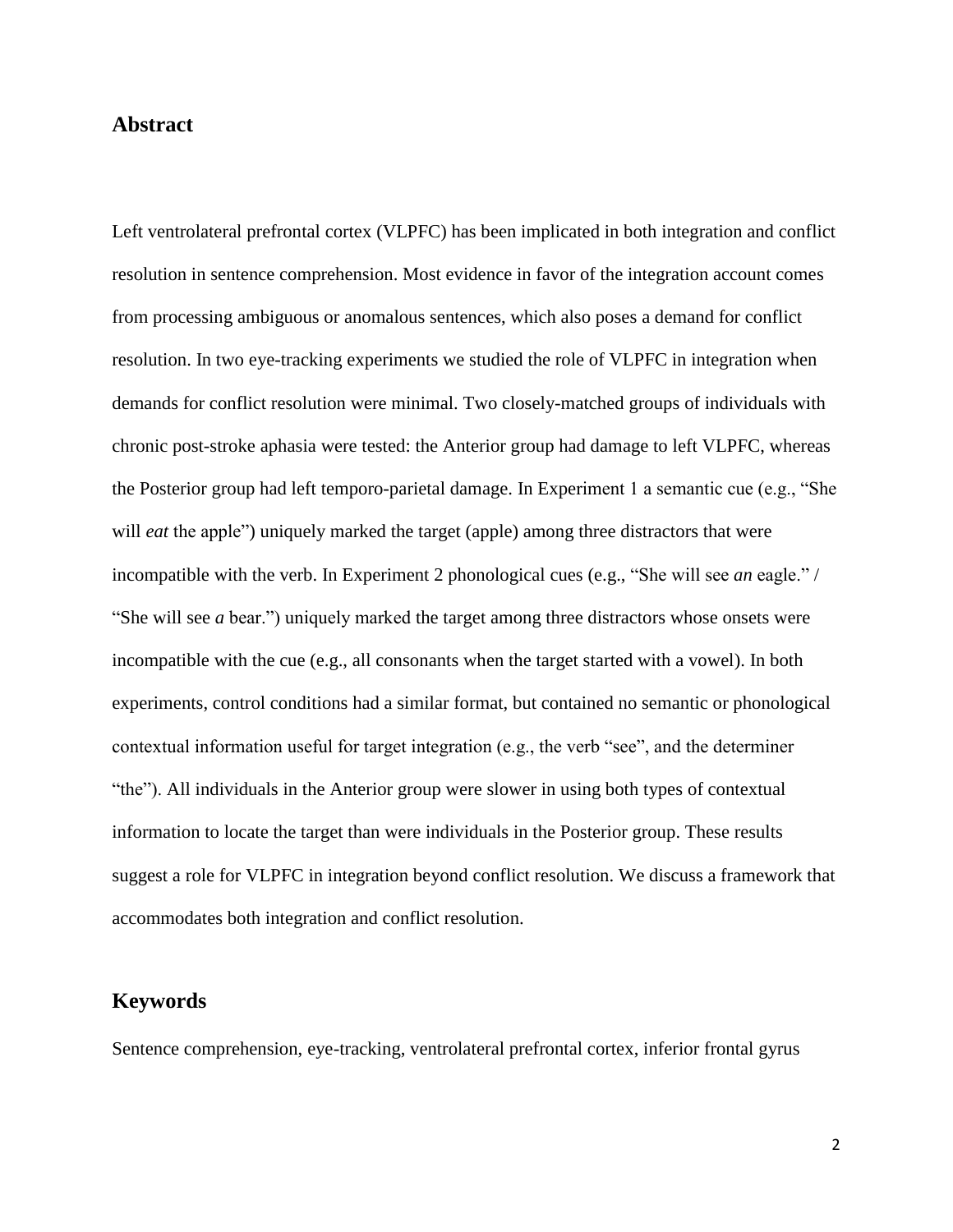### **Abstract**

Left ventrolateral prefrontal cortex (VLPFC) has been implicated in both integration and conflict resolution in sentence comprehension. Most evidence in favor of the integration account comes from processing ambiguous or anomalous sentences, which also poses a demand for conflict resolution. In two eye-tracking experiments we studied the role of VLPFC in integration when demands for conflict resolution were minimal. Two closely-matched groups of individuals with chronic post-stroke aphasia were tested: the Anterior group had damage to left VLPFC, whereas the Posterior group had left temporo-parietal damage. In Experiment 1 a semantic cue (e.g., "She will *eat* the apple") uniquely marked the target (apple) among three distractors that were incompatible with the verb. In Experiment 2 phonological cues (e.g., "She will see *an* eagle." / "She will see *a* bear.") uniquely marked the target among three distractors whose onsets were incompatible with the cue (e.g., all consonants when the target started with a vowel). In both experiments, control conditions had a similar format, but contained no semantic or phonological contextual information useful for target integration (e.g., the verb "see", and the determiner "the"). All individuals in the Anterior group were slower in using both types of contextual information to locate the target than were individuals in the Posterior group. These results suggest a role for VLPFC in integration beyond conflict resolution. We discuss a framework that accommodates both integration and conflict resolution.

### **Keywords**

Sentence comprehension, eye-tracking, ventrolateral prefrontal cortex, inferior frontal gyrus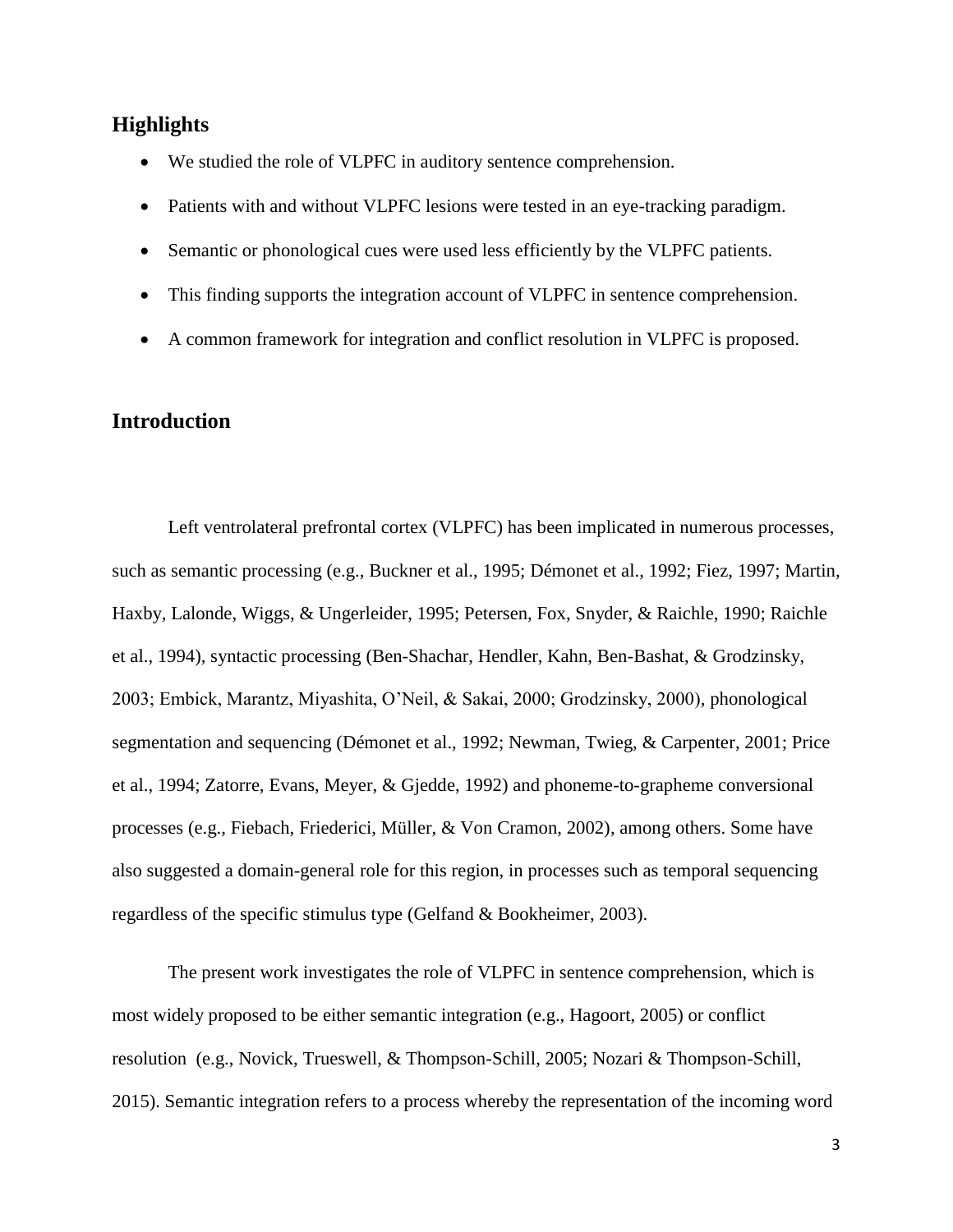### **Highlights**

- We studied the role of VLPFC in auditory sentence comprehension.
- Patients with and without VLPFC lesions were tested in an eye-tracking paradigm.
- Semantic or phonological cues were used less efficiently by the VLPFC patients.
- This finding supports the integration account of VLPFC in sentence comprehension.
- A common framework for integration and conflict resolution in VLPFC is proposed.

### **Introduction**

Left ventrolateral prefrontal cortex (VLPFC) has been implicated in numerous processes, such as semantic processing (e.g., Buckner et al., 1995; Démonet et al., 1992; Fiez, 1997; Martin, Haxby, Lalonde, Wiggs, & Ungerleider, 1995; Petersen, Fox, Snyder, & Raichle, 1990; Raichle et al., 1994), syntactic processing (Ben-Shachar, Hendler, Kahn, Ben-Bashat, & Grodzinsky, 2003; Embick, Marantz, Miyashita, O'Neil, & Sakai, 2000; Grodzinsky, 2000), phonological segmentation and sequencing (Démonet et al., 1992; Newman, Twieg, & Carpenter, 2001; Price et al., 1994; Zatorre, Evans, Meyer, & Gjedde, 1992) and phoneme-to-grapheme conversional processes (e.g., Fiebach, Friederici, Müller, & Von Cramon, 2002), among others. Some have also suggested a domain-general role for this region, in processes such as temporal sequencing regardless of the specific stimulus type (Gelfand & Bookheimer, 2003).

The present work investigates the role of VLPFC in sentence comprehension, which is most widely proposed to be either semantic integration (e.g., Hagoort, 2005) or conflict resolution (e.g., Novick, Trueswell, & Thompson-Schill, 2005; Nozari & Thompson-Schill, 2015). Semantic integration refers to a process whereby the representation of the incoming word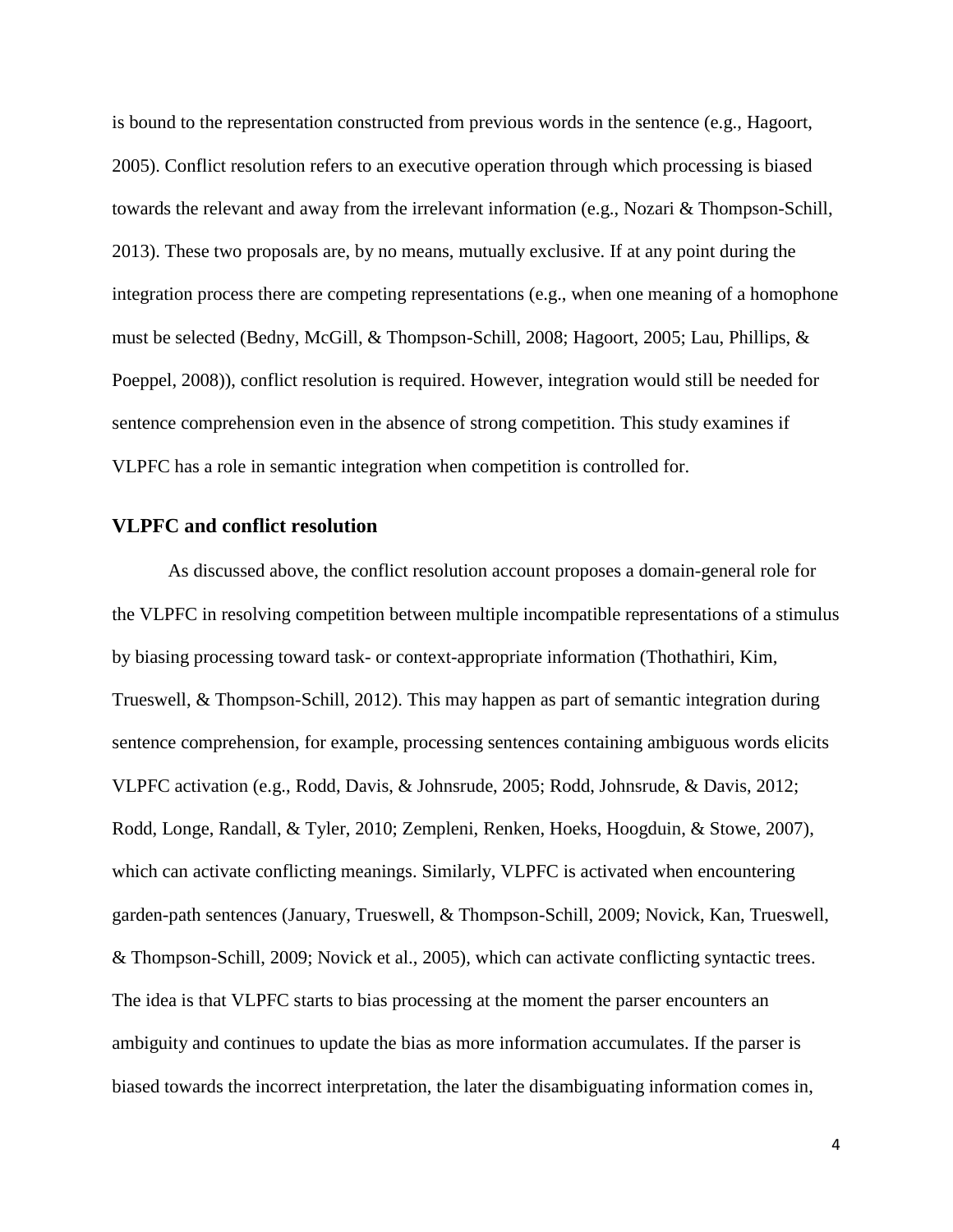is bound to the representation constructed from previous words in the sentence (e.g., Hagoort, 2005). Conflict resolution refers to an executive operation through which processing is biased towards the relevant and away from the irrelevant information (e.g., Nozari & Thompson-Schill, 2013). These two proposals are, by no means, mutually exclusive. If at any point during the integration process there are competing representations (e.g., when one meaning of a homophone must be selected (Bedny, McGill, & Thompson-Schill, 2008; Hagoort, 2005; Lau, Phillips, & Poeppel, 2008)), conflict resolution is required. However, integration would still be needed for sentence comprehension even in the absence of strong competition. This study examines if VLPFC has a role in semantic integration when competition is controlled for.

#### **VLPFC and conflict resolution**

As discussed above, the conflict resolution account proposes a domain-general role for the VLPFC in resolving competition between multiple incompatible representations of a stimulus by biasing processing toward task- or context-appropriate information (Thothathiri, Kim, Trueswell, & Thompson-Schill, 2012). This may happen as part of semantic integration during sentence comprehension, for example, processing sentences containing ambiguous words elicits VLPFC activation (e.g., Rodd, Davis, & Johnsrude, 2005; Rodd, Johnsrude, & Davis, 2012; Rodd, Longe, Randall, & Tyler, 2010; Zempleni, Renken, Hoeks, Hoogduin, & Stowe, 2007), which can activate conflicting meanings. Similarly, VLPFC is activated when encountering garden-path sentences (January, Trueswell, & Thompson-Schill, 2009; Novick, Kan, Trueswell, & Thompson-Schill, 2009; Novick et al., 2005), which can activate conflicting syntactic trees. The idea is that VLPFC starts to bias processing at the moment the parser encounters an ambiguity and continues to update the bias as more information accumulates. If the parser is biased towards the incorrect interpretation, the later the disambiguating information comes in,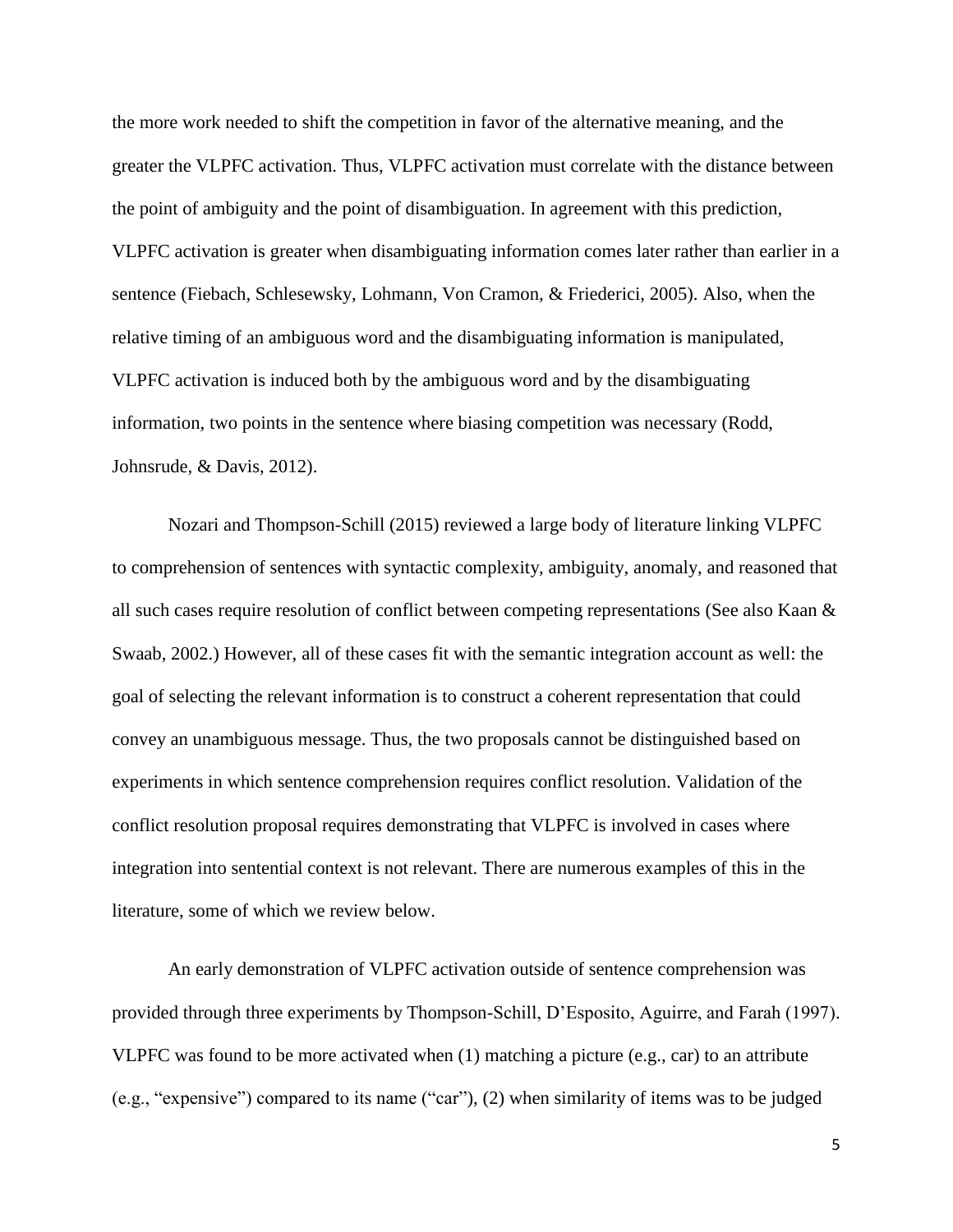the more work needed to shift the competition in favor of the alternative meaning, and the greater the VLPFC activation. Thus, VLPFC activation must correlate with the distance between the point of ambiguity and the point of disambiguation. In agreement with this prediction, VLPFC activation is greater when disambiguating information comes later rather than earlier in a sentence (Fiebach, Schlesewsky, Lohmann, Von Cramon, & Friederici, 2005). Also, when the relative timing of an ambiguous word and the disambiguating information is manipulated, VLPFC activation is induced both by the ambiguous word and by the disambiguating information, two points in the sentence where biasing competition was necessary (Rodd, Johnsrude, & Davis, 2012).

Nozari and Thompson-Schill (2015) reviewed a large body of literature linking VLPFC to comprehension of sentences with syntactic complexity, ambiguity, anomaly, and reasoned that all such cases require resolution of conflict between competing representations (See also Kaan & Swaab, 2002.) However, all of these cases fit with the semantic integration account as well: the goal of selecting the relevant information is to construct a coherent representation that could convey an unambiguous message. Thus, the two proposals cannot be distinguished based on experiments in which sentence comprehension requires conflict resolution. Validation of the conflict resolution proposal requires demonstrating that VLPFC is involved in cases where integration into sentential context is not relevant. There are numerous examples of this in the literature, some of which we review below.

An early demonstration of VLPFC activation outside of sentence comprehension was provided through three experiments by Thompson-Schill, D'Esposito, Aguirre, and Farah (1997). VLPFC was found to be more activated when (1) matching a picture (e.g., car) to an attribute (e.g., "expensive") compared to its name ("car"), (2) when similarity of items was to be judged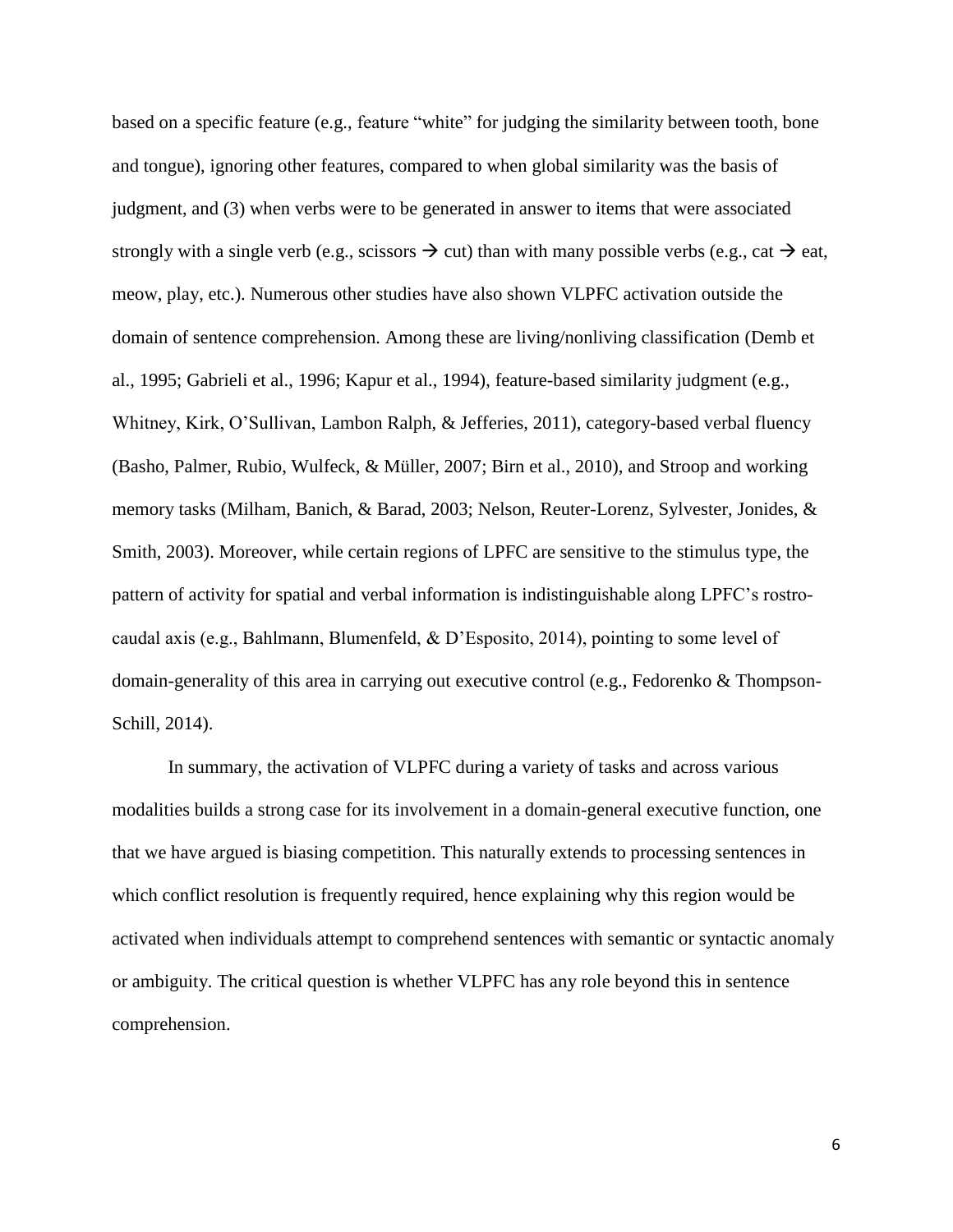based on a specific feature (e.g., feature "white" for judging the similarity between tooth, bone and tongue), ignoring other features, compared to when global similarity was the basis of judgment, and (3) when verbs were to be generated in answer to items that were associated strongly with a single verb (e.g., scissors  $\rightarrow$  cut) than with many possible verbs (e.g., cat  $\rightarrow$  eat, meow, play, etc.). Numerous other studies have also shown VLPFC activation outside the domain of sentence comprehension. Among these are living/nonliving classification (Demb et al., 1995; Gabrieli et al., 1996; Kapur et al., 1994), feature-based similarity judgment (e.g., Whitney, Kirk, O'Sullivan, Lambon Ralph, & Jefferies, 2011), category-based verbal fluency (Basho, Palmer, Rubio, Wulfeck, & Müller, 2007; Birn et al., 2010), and Stroop and working memory tasks (Milham, Banich, & Barad, 2003; Nelson, Reuter-Lorenz, Sylvester, Jonides, & Smith, 2003). Moreover, while certain regions of LPFC are sensitive to the stimulus type, the pattern of activity for spatial and verbal information is indistinguishable along LPFC's rostrocaudal axis (e.g., Bahlmann, Blumenfeld, & D'Esposito, 2014), pointing to some level of domain-generality of this area in carrying out executive control (e.g., Fedorenko & Thompson-Schill, 2014).

In summary, the activation of VLPFC during a variety of tasks and across various modalities builds a strong case for its involvement in a domain-general executive function, one that we have argued is biasing competition. This naturally extends to processing sentences in which conflict resolution is frequently required, hence explaining why this region would be activated when individuals attempt to comprehend sentences with semantic or syntactic anomaly or ambiguity. The critical question is whether VLPFC has any role beyond this in sentence comprehension.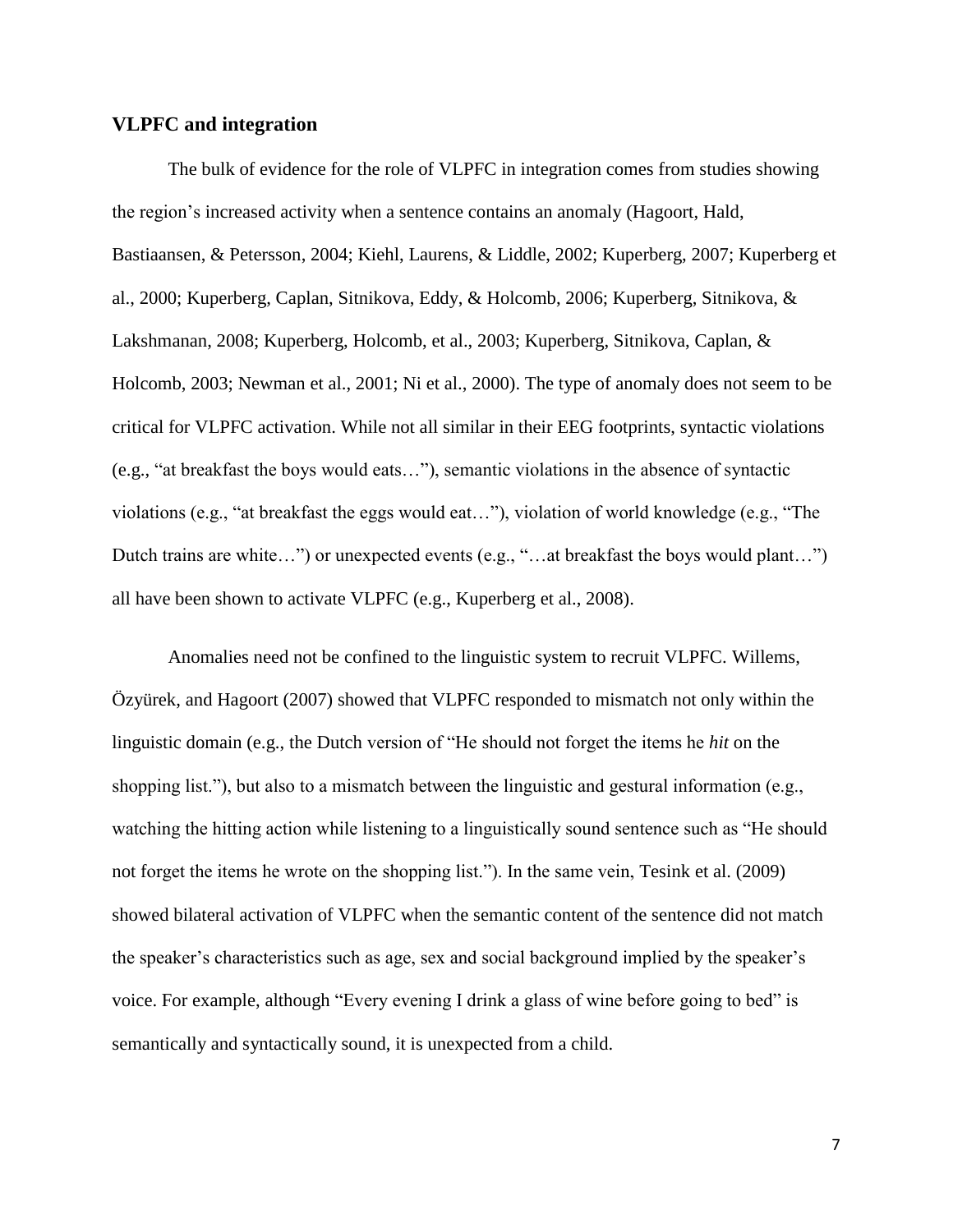### **VLPFC and integration**

The bulk of evidence for the role of VLPFC in integration comes from studies showing the region's increased activity when a sentence contains an anomaly (Hagoort, Hald, Bastiaansen, & Petersson, 2004; Kiehl, Laurens, & Liddle, 2002; Kuperberg, 2007; Kuperberg et al., 2000; Kuperberg, Caplan, Sitnikova, Eddy, & Holcomb, 2006; Kuperberg, Sitnikova, & Lakshmanan, 2008; Kuperberg, Holcomb, et al., 2003; Kuperberg, Sitnikova, Caplan, & Holcomb, 2003; Newman et al., 2001; Ni et al., 2000). The type of anomaly does not seem to be critical for VLPFC activation. While not all similar in their EEG footprints, syntactic violations (e.g., "at breakfast the boys would eats…"), semantic violations in the absence of syntactic violations (e.g., "at breakfast the eggs would eat…"), violation of world knowledge (e.g., "The Dutch trains are white…") or unexpected events (e.g., "…at breakfast the boys would plant…") all have been shown to activate VLPFC (e.g., Kuperberg et al., 2008).

Anomalies need not be confined to the linguistic system to recruit VLPFC. Willems, Özyürek, and Hagoort (2007) showed that VLPFC responded to mismatch not only within the linguistic domain (e.g., the Dutch version of "He should not forget the items he *hit* on the shopping list."), but also to a mismatch between the linguistic and gestural information (e.g., watching the hitting action while listening to a linguistically sound sentence such as "He should not forget the items he wrote on the shopping list."). In the same vein, Tesink et al. (2009) showed bilateral activation of VLPFC when the semantic content of the sentence did not match the speaker's characteristics such as age, sex and social background implied by the speaker's voice. For example, although "Every evening I drink a glass of wine before going to bed" is semantically and syntactically sound, it is unexpected from a child.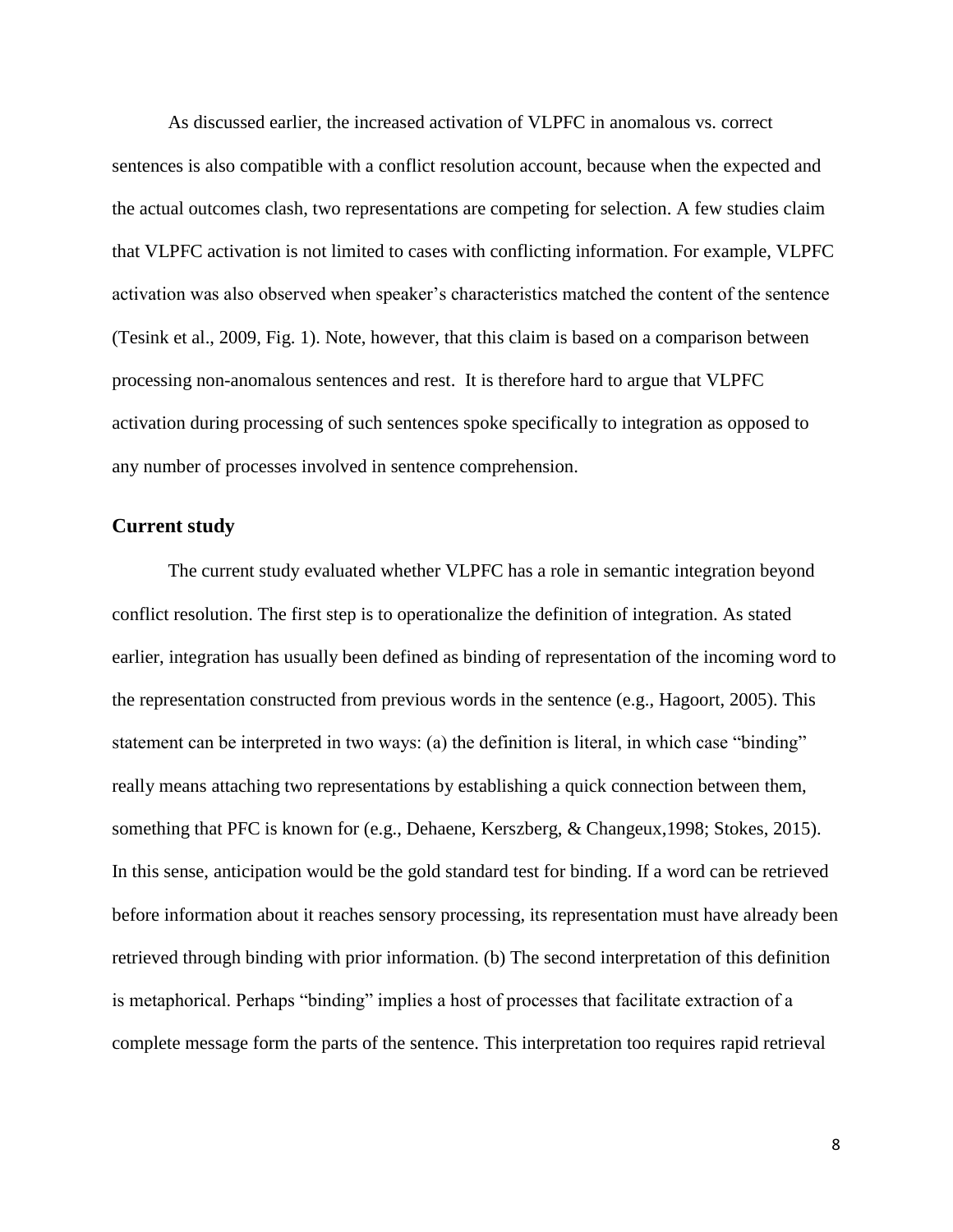As discussed earlier, the increased activation of VLPFC in anomalous vs. correct sentences is also compatible with a conflict resolution account, because when the expected and the actual outcomes clash, two representations are competing for selection. A few studies claim that VLPFC activation is not limited to cases with conflicting information. For example, VLPFC activation was also observed when speaker's characteristics matched the content of the sentence (Tesink et al., 2009, Fig. 1). Note, however, that this claim is based on a comparison between processing non-anomalous sentences and rest. It is therefore hard to argue that VLPFC activation during processing of such sentences spoke specifically to integration as opposed to any number of processes involved in sentence comprehension.

#### **Current study**

The current study evaluated whether VLPFC has a role in semantic integration beyond conflict resolution. The first step is to operationalize the definition of integration. As stated earlier, integration has usually been defined as binding of representation of the incoming word to the representation constructed from previous words in the sentence (e.g., Hagoort, 2005). This statement can be interpreted in two ways: (a) the definition is literal, in which case "binding" really means attaching two representations by establishing a quick connection between them, something that PFC is known for (e.g., Dehaene, Kerszberg, & Changeux,1998; Stokes, 2015). In this sense, anticipation would be the gold standard test for binding. If a word can be retrieved before information about it reaches sensory processing, its representation must have already been retrieved through binding with prior information. (b) The second interpretation of this definition is metaphorical. Perhaps "binding" implies a host of processes that facilitate extraction of a complete message form the parts of the sentence. This interpretation too requires rapid retrieval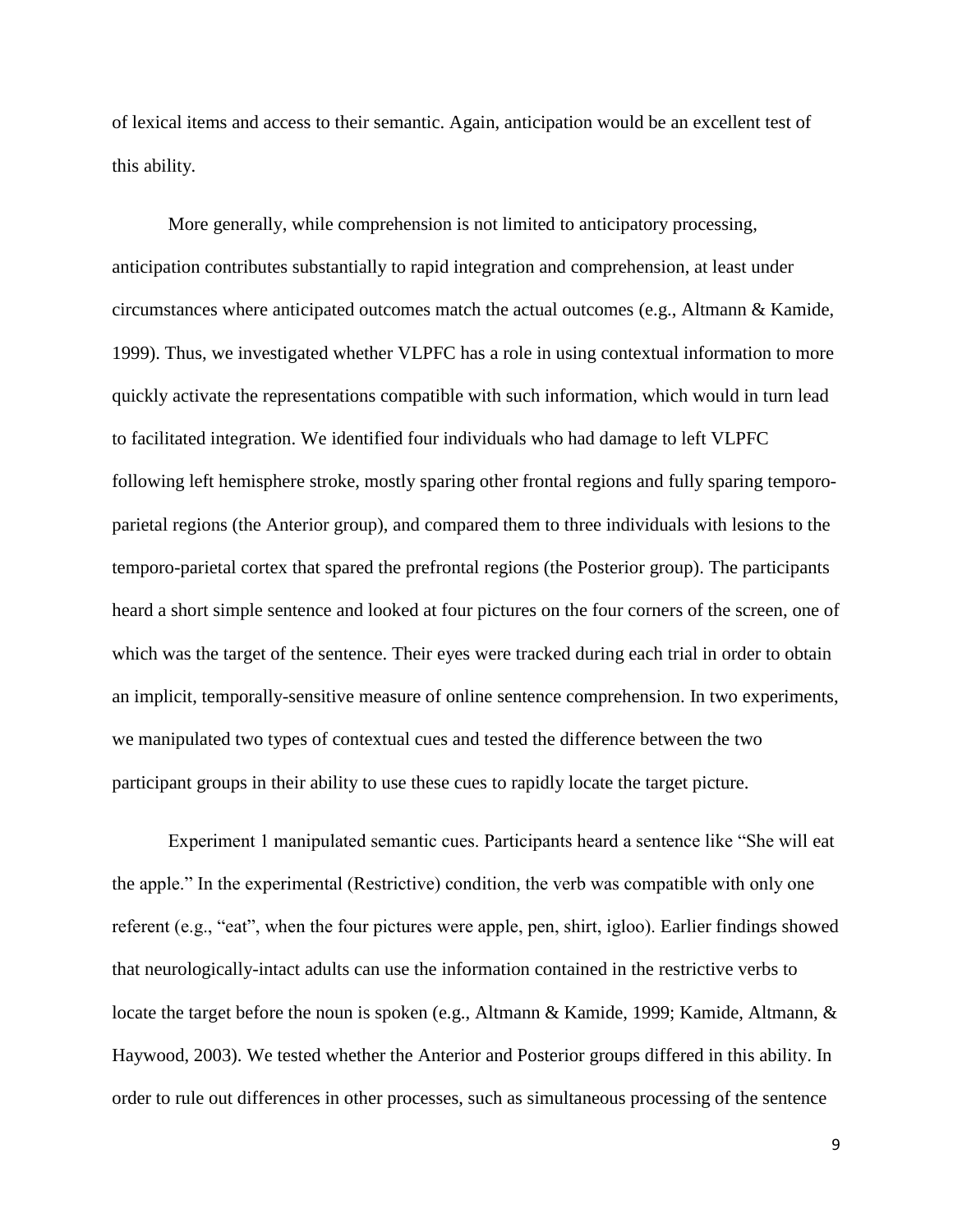of lexical items and access to their semantic. Again, anticipation would be an excellent test of this ability.

More generally, while comprehension is not limited to anticipatory processing, anticipation contributes substantially to rapid integration and comprehension, at least under circumstances where anticipated outcomes match the actual outcomes (e.g., Altmann & Kamide, 1999). Thus, we investigated whether VLPFC has a role in using contextual information to more quickly activate the representations compatible with such information, which would in turn lead to facilitated integration. We identified four individuals who had damage to left VLPFC following left hemisphere stroke, mostly sparing other frontal regions and fully sparing temporoparietal regions (the Anterior group), and compared them to three individuals with lesions to the temporo-parietal cortex that spared the prefrontal regions (the Posterior group). The participants heard a short simple sentence and looked at four pictures on the four corners of the screen, one of which was the target of the sentence. Their eyes were tracked during each trial in order to obtain an implicit, temporally-sensitive measure of online sentence comprehension. In two experiments, we manipulated two types of contextual cues and tested the difference between the two participant groups in their ability to use these cues to rapidly locate the target picture.

Experiment 1 manipulated semantic cues. Participants heard a sentence like "She will eat the apple." In the experimental (Restrictive) condition, the verb was compatible with only one referent (e.g., "eat", when the four pictures were apple, pen, shirt, igloo). Earlier findings showed that neurologically-intact adults can use the information contained in the restrictive verbs to locate the target before the noun is spoken (e.g., Altmann & Kamide, 1999; Kamide, Altmann, & Haywood, 2003). We tested whether the Anterior and Posterior groups differed in this ability. In order to rule out differences in other processes, such as simultaneous processing of the sentence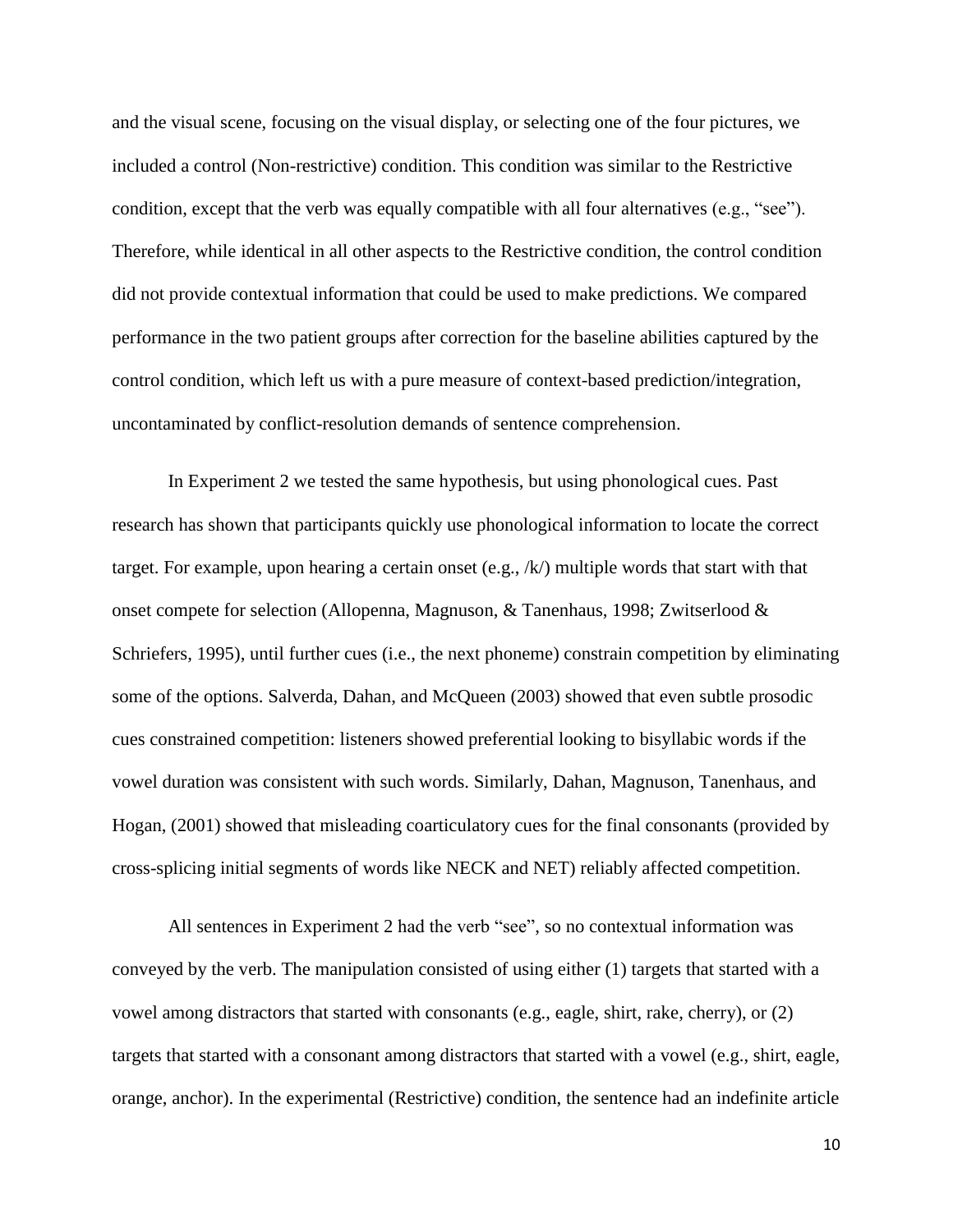and the visual scene, focusing on the visual display, or selecting one of the four pictures, we included a control (Non-restrictive) condition. This condition was similar to the Restrictive condition, except that the verb was equally compatible with all four alternatives (e.g., "see"). Therefore, while identical in all other aspects to the Restrictive condition, the control condition did not provide contextual information that could be used to make predictions. We compared performance in the two patient groups after correction for the baseline abilities captured by the control condition, which left us with a pure measure of context-based prediction/integration, uncontaminated by conflict-resolution demands of sentence comprehension.

In Experiment 2 we tested the same hypothesis, but using phonological cues. Past research has shown that participants quickly use phonological information to locate the correct target. For example, upon hearing a certain onset (e.g.,  $/k/$ ) multiple words that start with that onset compete for selection (Allopenna, Magnuson, & Tanenhaus, 1998; Zwitserlood & Schriefers, 1995), until further cues (i.e., the next phoneme) constrain competition by eliminating some of the options. Salverda, Dahan, and McQueen (2003) showed that even subtle prosodic cues constrained competition: listeners showed preferential looking to bisyllabic words if the vowel duration was consistent with such words. Similarly, Dahan, Magnuson, Tanenhaus, and Hogan, (2001) showed that misleading coarticulatory cues for the final consonants (provided by cross-splicing initial segments of words like NECK and NET) reliably affected competition.

All sentences in Experiment 2 had the verb "see", so no contextual information was conveyed by the verb. The manipulation consisted of using either (1) targets that started with a vowel among distractors that started with consonants (e.g., eagle, shirt, rake, cherry), or (2) targets that started with a consonant among distractors that started with a vowel (e.g., shirt, eagle, orange, anchor). In the experimental (Restrictive) condition, the sentence had an indefinite article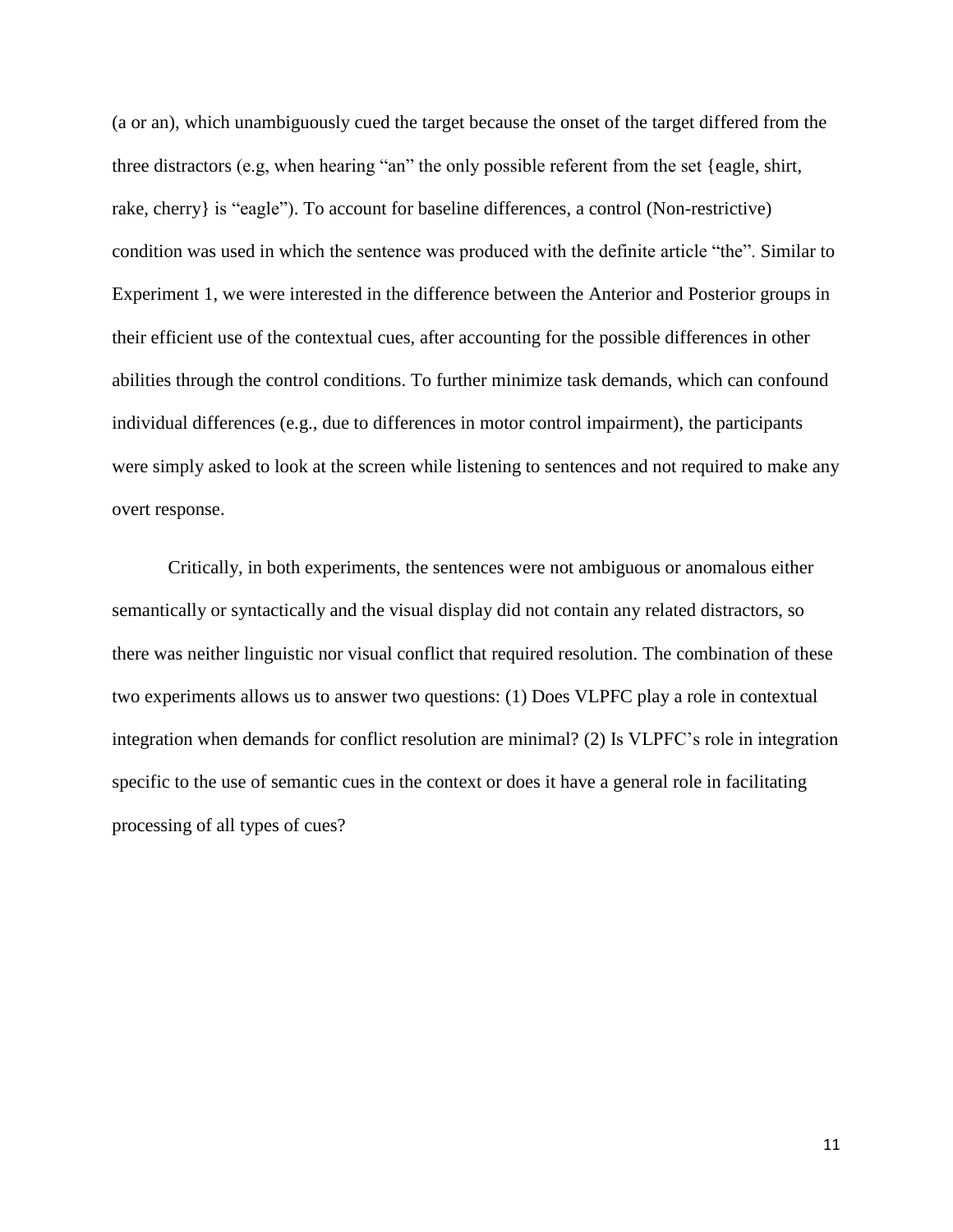(a or an), which unambiguously cued the target because the onset of the target differed from the three distractors (e.g, when hearing "an" the only possible referent from the set {eagle, shirt, rake, cherry} is "eagle"). To account for baseline differences, a control (Non-restrictive) condition was used in which the sentence was produced with the definite article "the". Similar to Experiment 1, we were interested in the difference between the Anterior and Posterior groups in their efficient use of the contextual cues, after accounting for the possible differences in other abilities through the control conditions. To further minimize task demands, which can confound individual differences (e.g., due to differences in motor control impairment), the participants were simply asked to look at the screen while listening to sentences and not required to make any overt response.

Critically, in both experiments, the sentences were not ambiguous or anomalous either semantically or syntactically and the visual display did not contain any related distractors, so there was neither linguistic nor visual conflict that required resolution. The combination of these two experiments allows us to answer two questions: (1) Does VLPFC play a role in contextual integration when demands for conflict resolution are minimal? (2) Is VLPFC's role in integration specific to the use of semantic cues in the context or does it have a general role in facilitating processing of all types of cues?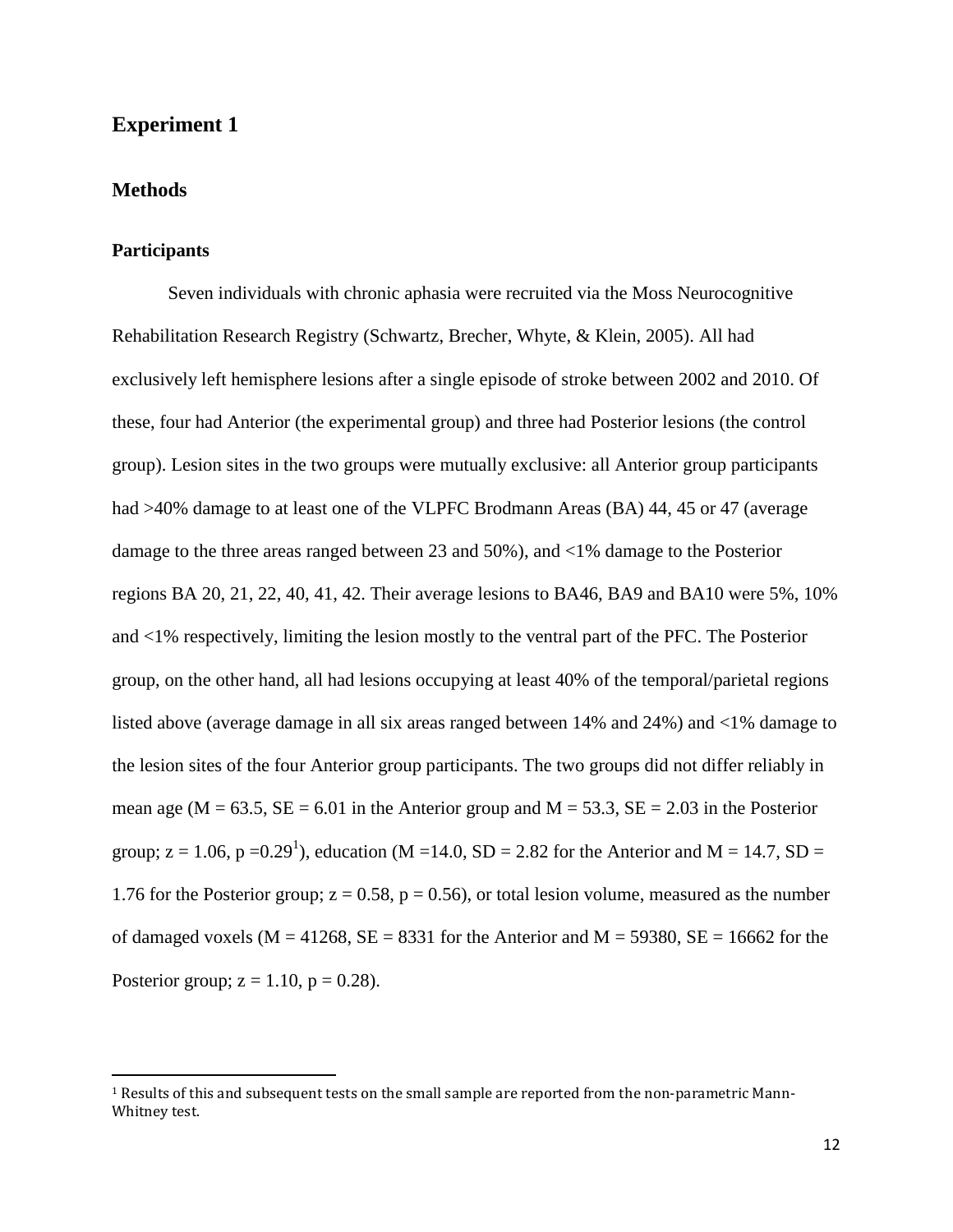### **Experiment 1**

### **Methods**

#### **Participants**

 $\overline{\phantom{a}}$ 

Seven individuals with chronic aphasia were recruited via the Moss Neurocognitive Rehabilitation Research Registry (Schwartz, Brecher, Whyte, & Klein, 2005). All had exclusively left hemisphere lesions after a single episode of stroke between 2002 and 2010. Of these, four had Anterior (the experimental group) and three had Posterior lesions (the control group). Lesion sites in the two groups were mutually exclusive: all Anterior group participants had >40% damage to at least one of the VLPFC Brodmann Areas (BA) 44, 45 or 47 (average damage to the three areas ranged between 23 and 50%), and <1% damage to the Posterior regions BA 20, 21, 22, 40, 41, 42. Their average lesions to BA46, BA9 and BA10 were 5%, 10% and <1% respectively, limiting the lesion mostly to the ventral part of the PFC. The Posterior group, on the other hand, all had lesions occupying at least 40% of the temporal/parietal regions listed above (average damage in all six areas ranged between 14% and 24%) and <1% damage to the lesion sites of the four Anterior group participants. The two groups did not differ reliably in mean age ( $M = 63.5$ ,  $SE = 6.01$  in the Anterior group and  $M = 53.3$ ,  $SE = 2.03$  in the Posterior group;  $z = 1.06$ ,  $p = 0.29<sup>1</sup>$ ), education (M = 14.0, SD = 2.82 for the Anterior and M = 14.7, SD = 1.76 for the Posterior group;  $z = 0.58$ ,  $p = 0.56$ ), or total lesion volume, measured as the number of damaged voxels ( $M = 41268$ ,  $SE = 8331$  for the Anterior and  $M = 59380$ ,  $SE = 16662$  for the Posterior group;  $z = 1.10$ ,  $p = 0.28$ ).

 $1$  Results of this and subsequent tests on the small sample are reported from the non-parametric Mann-Whitney test.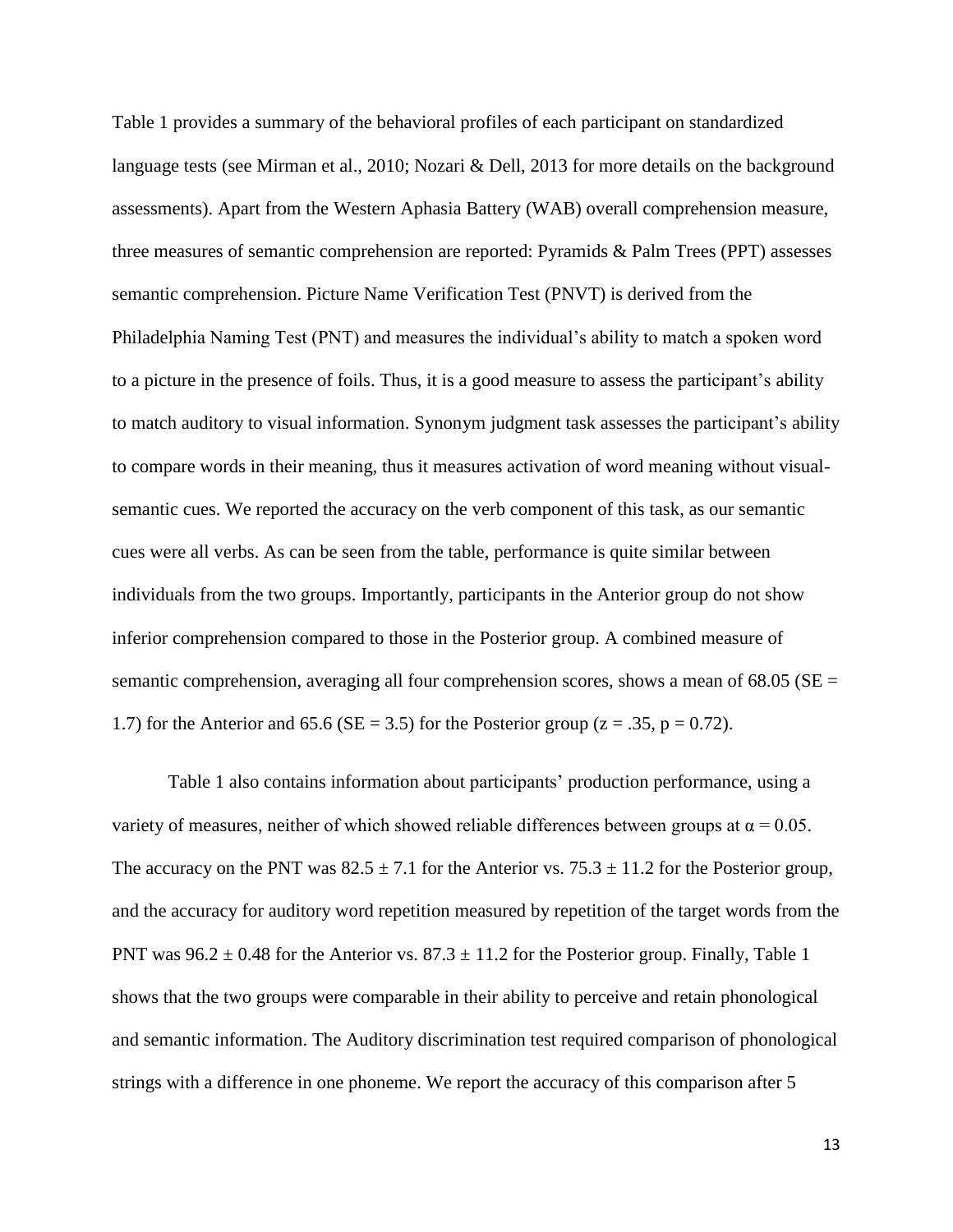Table 1 provides a summary of the behavioral profiles of each participant on standardized language tests (see Mirman et al., 2010; Nozari & Dell, 2013 for more details on the background assessments). Apart from the Western Aphasia Battery (WAB) overall comprehension measure, three measures of semantic comprehension are reported: Pyramids & Palm Trees (PPT) assesses semantic comprehension. Picture Name Verification Test (PNVT) is derived from the Philadelphia Naming Test (PNT) and measures the individual's ability to match a spoken word to a picture in the presence of foils. Thus, it is a good measure to assess the participant's ability to match auditory to visual information. Synonym judgment task assesses the participant's ability to compare words in their meaning, thus it measures activation of word meaning without visualsemantic cues. We reported the accuracy on the verb component of this task, as our semantic cues were all verbs. As can be seen from the table, performance is quite similar between individuals from the two groups. Importantly, participants in the Anterior group do not show inferior comprehension compared to those in the Posterior group. A combined measure of semantic comprehension, averaging all four comprehension scores, shows a mean of  $68.05$  (SE = 1.7) for the Anterior and 65.6 (SE = 3.5) for the Posterior group ( $z = .35$ ,  $p = 0.72$ ).

Table 1 also contains information about participants' production performance, using a variety of measures, neither of which showed reliable differences between groups at  $\alpha = 0.05$ . The accuracy on the PNT was  $82.5 \pm 7.1$  for the Anterior vs.  $75.3 \pm 11.2$  for the Posterior group, and the accuracy for auditory word repetition measured by repetition of the target words from the PNT was  $96.2 \pm 0.48$  for the Anterior vs.  $87.3 \pm 11.2$  for the Posterior group. Finally, Table 1 shows that the two groups were comparable in their ability to perceive and retain phonological and semantic information. The Auditory discrimination test required comparison of phonological strings with a difference in one phoneme. We report the accuracy of this comparison after 5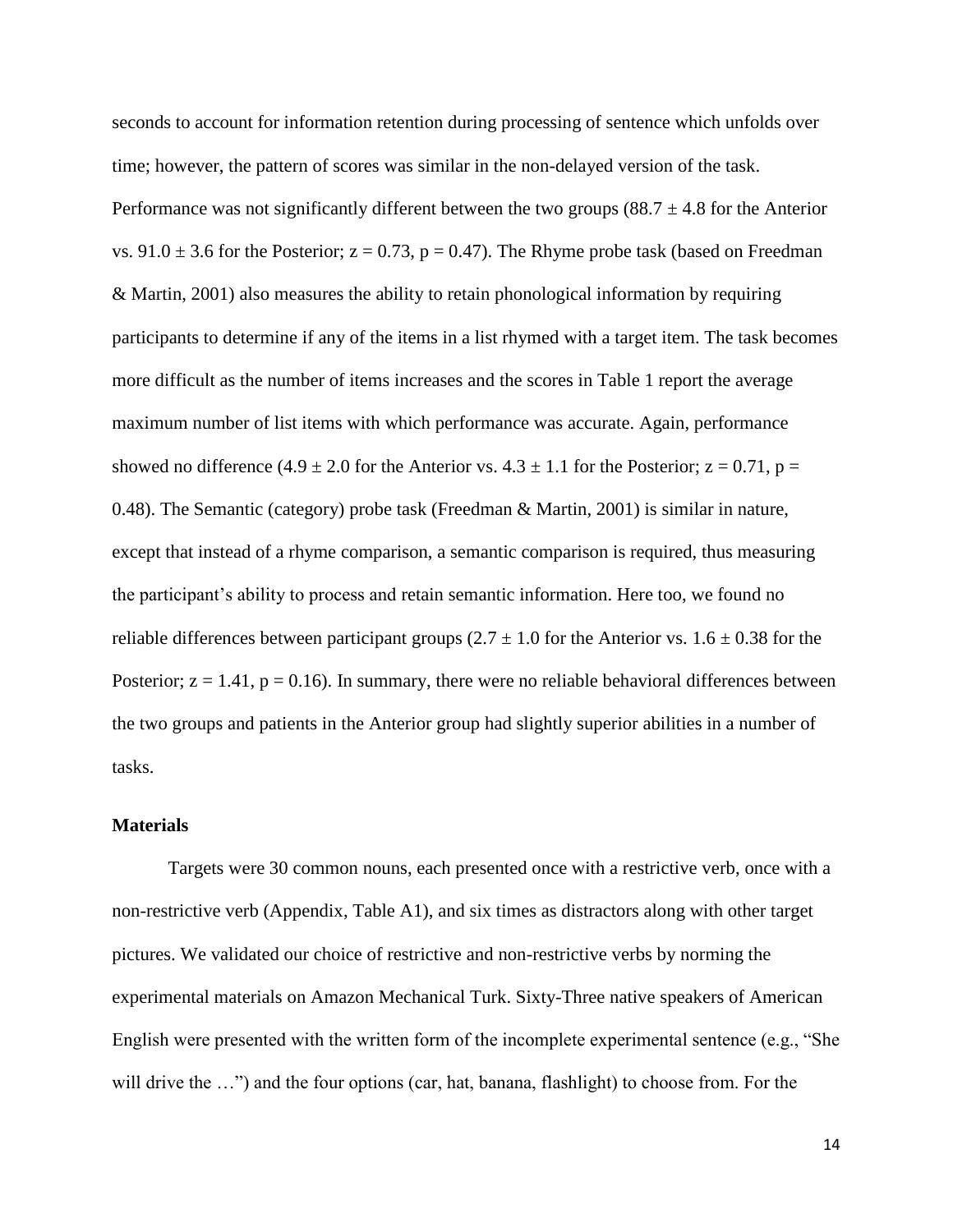seconds to account for information retention during processing of sentence which unfolds over time; however, the pattern of scores was similar in the non-delayed version of the task. Performance was not significantly different between the two groups  $(88.7 \pm 4.8$  for the Anterior vs.  $91.0 \pm 3.6$  for the Posterior;  $z = 0.73$ ,  $p = 0.47$ ). The Rhyme probe task (based on Freedman & Martin, 2001) also measures the ability to retain phonological information by requiring participants to determine if any of the items in a list rhymed with a target item. The task becomes more difficult as the number of items increases and the scores in Table 1 report the average maximum number of list items with which performance was accurate. Again, performance showed no difference (4.9  $\pm$  2.0 for the Anterior vs. 4.3  $\pm$  1.1 for the Posterior; z = 0.71, p = 0.48). The Semantic (category) probe task (Freedman & Martin, 2001) is similar in nature, except that instead of a rhyme comparison, a semantic comparison is required, thus measuring the participant's ability to process and retain semantic information. Here too, we found no reliable differences between participant groups (2.7  $\pm$  1.0 for the Anterior vs. 1.6  $\pm$  0.38 for the Posterior;  $z = 1.41$ ,  $p = 0.16$ ). In summary, there were no reliable behavioral differences between the two groups and patients in the Anterior group had slightly superior abilities in a number of tasks.

#### **Materials**

Targets were 30 common nouns, each presented once with a restrictive verb, once with a non-restrictive verb (Appendix, Table A1), and six times as distractors along with other target pictures. We validated our choice of restrictive and non-restrictive verbs by norming the experimental materials on Amazon Mechanical Turk. Sixty-Three native speakers of American English were presented with the written form of the incomplete experimental sentence (e.g., "She will drive the ...") and the four options (car, hat, banana, flashlight) to choose from. For the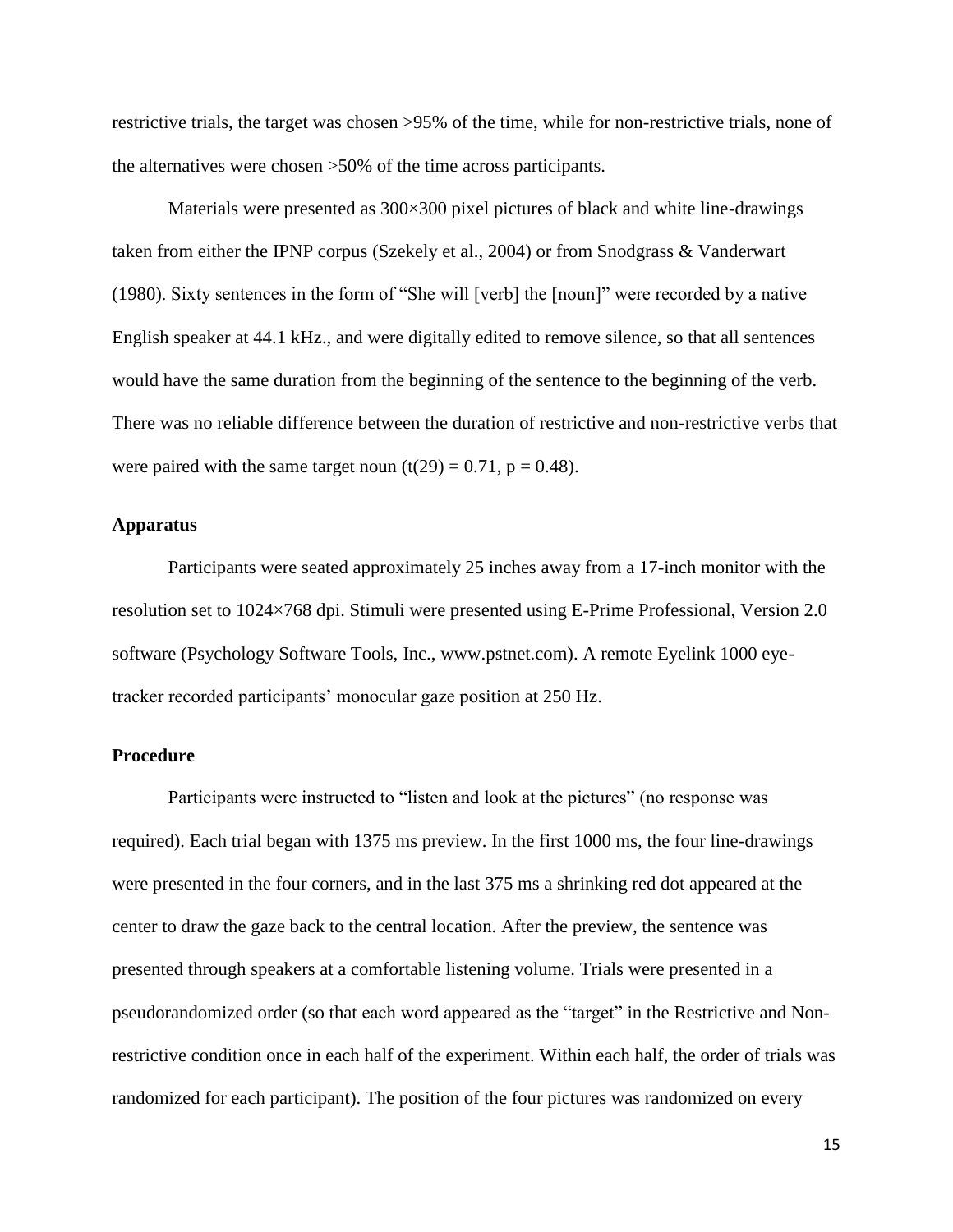restrictive trials, the target was chosen >95% of the time, while for non-restrictive trials, none of the alternatives were chosen >50% of the time across participants.

Materials were presented as 300×300 pixel pictures of black and white line-drawings taken from either the IPNP corpus (Szekely et al., 2004) or from Snodgrass & Vanderwart (1980). Sixty sentences in the form of "She will [verb] the [noun]" were recorded by a native English speaker at 44.1 kHz., and were digitally edited to remove silence, so that all sentences would have the same duration from the beginning of the sentence to the beginning of the verb. There was no reliable difference between the duration of restrictive and non-restrictive verbs that were paired with the same target noun  $(t(29) = 0.71, p = 0.48)$ .

#### **Apparatus**

Participants were seated approximately 25 inches away from a 17-inch monitor with the resolution set to 1024×768 dpi. Stimuli were presented using E-Prime Professional, Version 2.0 software (Psychology Software Tools, Inc., www.pstnet.com). A remote Eyelink 1000 eyetracker recorded participants' monocular gaze position at 250 Hz.

#### **Procedure**

Participants were instructed to "listen and look at the pictures" (no response was required). Each trial began with 1375 ms preview. In the first 1000 ms, the four line-drawings were presented in the four corners, and in the last 375 ms a shrinking red dot appeared at the center to draw the gaze back to the central location. After the preview, the sentence was presented through speakers at a comfortable listening volume. Trials were presented in a pseudorandomized order (so that each word appeared as the "target" in the Restrictive and Nonrestrictive condition once in each half of the experiment. Within each half, the order of trials was randomized for each participant). The position of the four pictures was randomized on every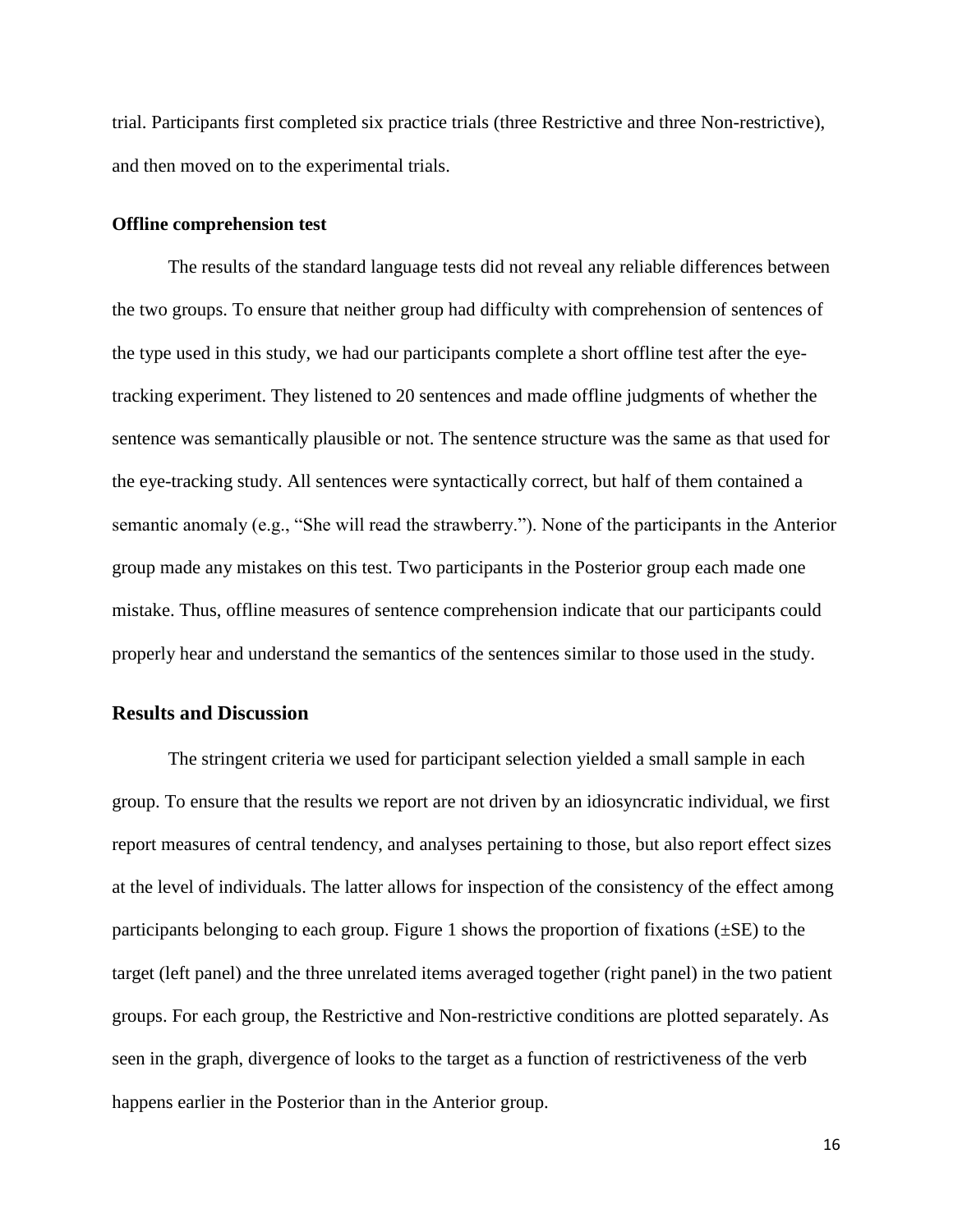trial. Participants first completed six practice trials (three Restrictive and three Non-restrictive), and then moved on to the experimental trials.

#### **Offline comprehension test**

The results of the standard language tests did not reveal any reliable differences between the two groups. To ensure that neither group had difficulty with comprehension of sentences of the type used in this study, we had our participants complete a short offline test after the eyetracking experiment. They listened to 20 sentences and made offline judgments of whether the sentence was semantically plausible or not. The sentence structure was the same as that used for the eye-tracking study. All sentences were syntactically correct, but half of them contained a semantic anomaly (e.g., "She will read the strawberry."). None of the participants in the Anterior group made any mistakes on this test. Two participants in the Posterior group each made one mistake. Thus, offline measures of sentence comprehension indicate that our participants could properly hear and understand the semantics of the sentences similar to those used in the study.

### **Results and Discussion**

The stringent criteria we used for participant selection yielded a small sample in each group. To ensure that the results we report are not driven by an idiosyncratic individual, we first report measures of central tendency, and analyses pertaining to those, but also report effect sizes at the level of individuals. The latter allows for inspection of the consistency of the effect among participants belonging to each group. Figure 1 shows the proportion of fixations  $(\pm SE)$  to the target (left panel) and the three unrelated items averaged together (right panel) in the two patient groups. For each group, the Restrictive and Non-restrictive conditions are plotted separately. As seen in the graph, divergence of looks to the target as a function of restrictiveness of the verb happens earlier in the Posterior than in the Anterior group.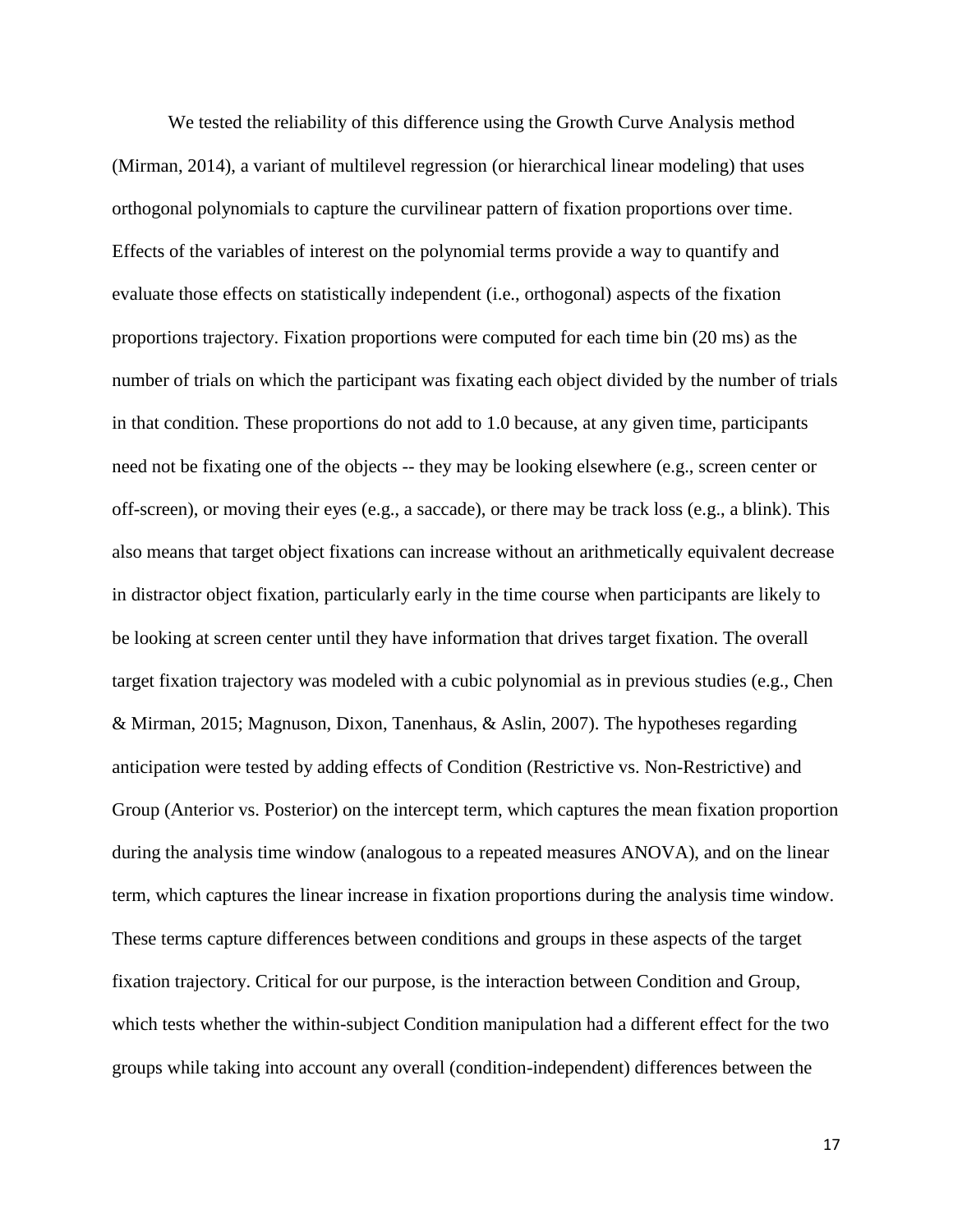We tested the reliability of this difference using the Growth Curve Analysis method (Mirman, 2014), a variant of multilevel regression (or hierarchical linear modeling) that uses orthogonal polynomials to capture the curvilinear pattern of fixation proportions over time. Effects of the variables of interest on the polynomial terms provide a way to quantify and evaluate those effects on statistically independent (i.e., orthogonal) aspects of the fixation proportions trajectory. Fixation proportions were computed for each time bin (20 ms) as the number of trials on which the participant was fixating each object divided by the number of trials in that condition. These proportions do not add to 1.0 because, at any given time, participants need not be fixating one of the objects -- they may be looking elsewhere (e.g., screen center or off-screen), or moving their eyes (e.g., a saccade), or there may be track loss (e.g., a blink). This also means that target object fixations can increase without an arithmetically equivalent decrease in distractor object fixation, particularly early in the time course when participants are likely to be looking at screen center until they have information that drives target fixation. The overall target fixation trajectory was modeled with a cubic polynomial as in previous studies (e.g., Chen & Mirman, 2015; Magnuson, Dixon, Tanenhaus, & Aslin, 2007). The hypotheses regarding anticipation were tested by adding effects of Condition (Restrictive vs. Non-Restrictive) and Group (Anterior vs. Posterior) on the intercept term, which captures the mean fixation proportion during the analysis time window (analogous to a repeated measures ANOVA), and on the linear term, which captures the linear increase in fixation proportions during the analysis time window. These terms capture differences between conditions and groups in these aspects of the target fixation trajectory. Critical for our purpose, is the interaction between Condition and Group, which tests whether the within-subject Condition manipulation had a different effect for the two groups while taking into account any overall (condition-independent) differences between the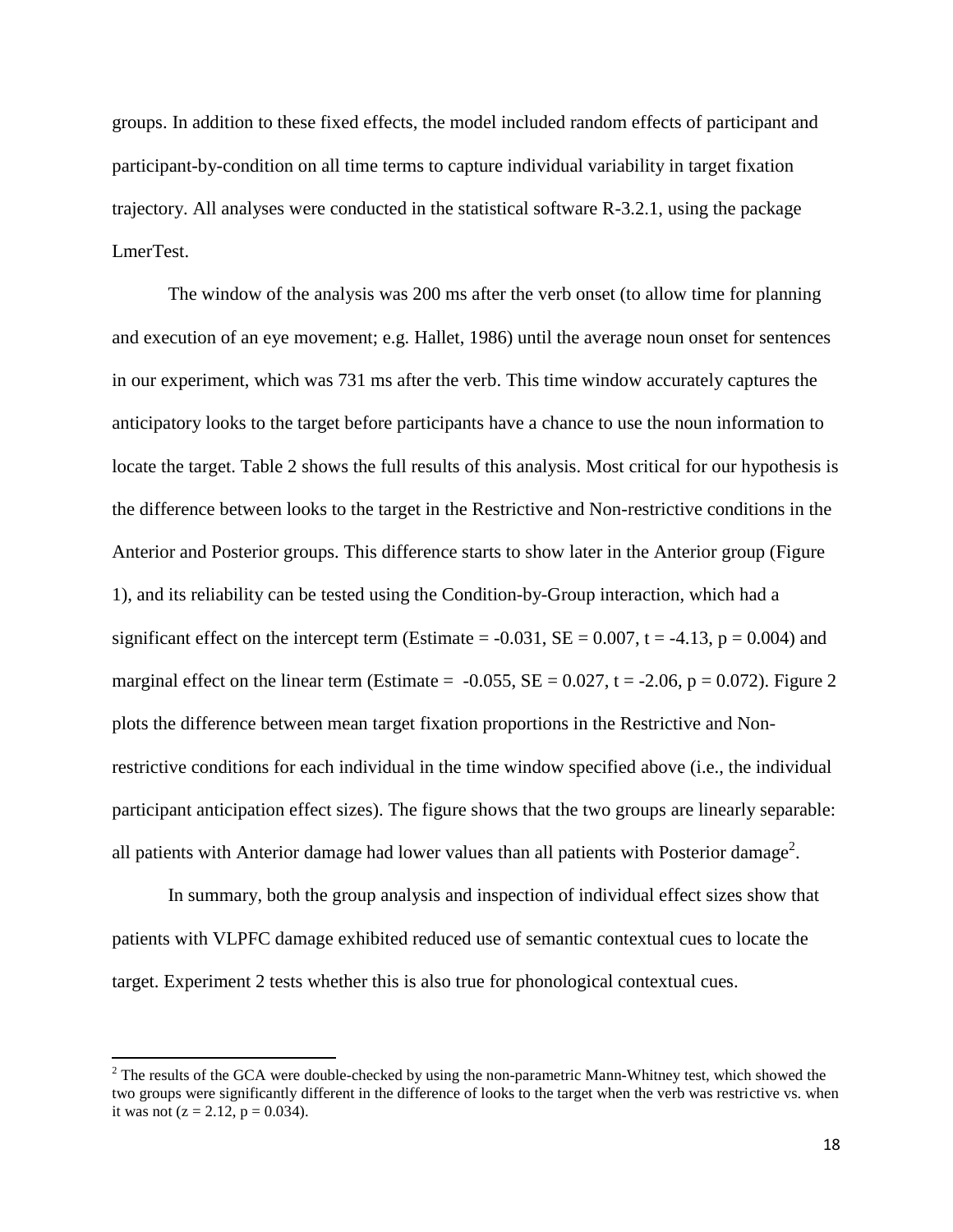groups. In addition to these fixed effects, the model included random effects of participant and participant-by-condition on all time terms to capture individual variability in target fixation trajectory. All analyses were conducted in the statistical software R-3.2.1, using the package LmerTest.

The window of the analysis was 200 ms after the verb onset (to allow time for planning and execution of an eye movement; e.g. Hallet, 1986) until the average noun onset for sentences in our experiment, which was 731 ms after the verb. This time window accurately captures the anticipatory looks to the target before participants have a chance to use the noun information to locate the target. Table 2 shows the full results of this analysis. Most critical for our hypothesis is the difference between looks to the target in the Restrictive and Non-restrictive conditions in the Anterior and Posterior groups. This difference starts to show later in the Anterior group (Figure 1), and its reliability can be tested using the Condition-by-Group interaction, which had a significant effect on the intercept term (Estimate =  $-0.031$ , SE = 0.007, t =  $-4.13$ , p = 0.004) and marginal effect on the linear term (Estimate =  $-0.055$ , SE = 0.027, t =  $-2.06$ , p = 0.072). Figure 2 plots the difference between mean target fixation proportions in the Restrictive and Nonrestrictive conditions for each individual in the time window specified above (i.e., the individual participant anticipation effect sizes). The figure shows that the two groups are linearly separable: all patients with Anterior damage had lower values than all patients with Posterior damage<sup>2</sup>.

In summary, both the group analysis and inspection of individual effect sizes show that patients with VLPFC damage exhibited reduced use of semantic contextual cues to locate the target. Experiment 2 tests whether this is also true for phonological contextual cues.

 $\overline{\phantom{a}}$ 

<sup>&</sup>lt;sup>2</sup> The results of the GCA were double-checked by using the non-parametric Mann-Whitney test, which showed the two groups were significantly different in the difference of looks to the target when the verb was restrictive vs. when it was not ( $z = 2.12$ ,  $p = 0.034$ ).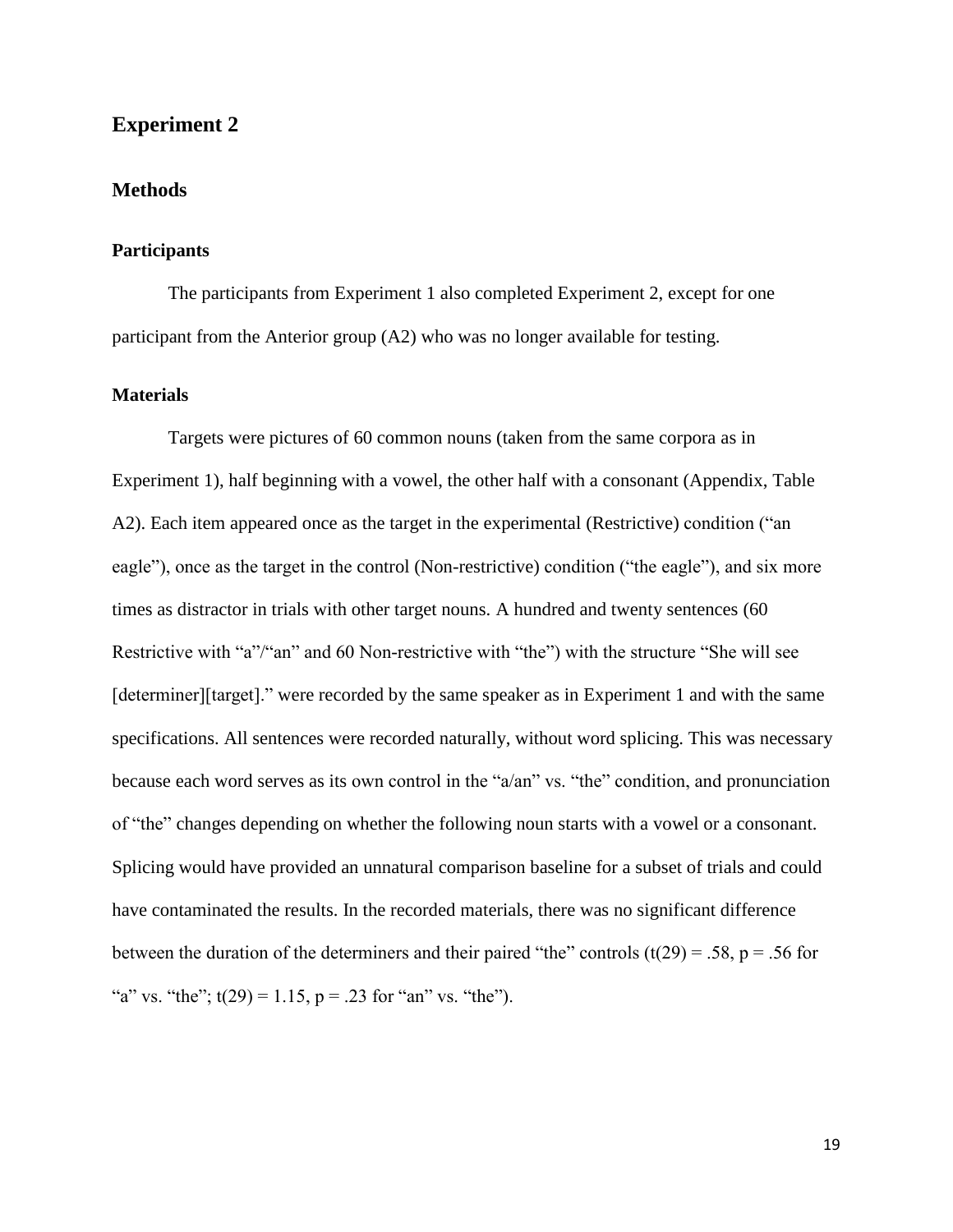### **Experiment 2**

### **Methods**

#### **Participants**

The participants from Experiment 1 also completed Experiment 2, except for one participant from the Anterior group (A2) who was no longer available for testing.

#### **Materials**

Targets were pictures of 60 common nouns (taken from the same corpora as in Experiment 1), half beginning with a vowel, the other half with a consonant (Appendix, Table A2). Each item appeared once as the target in the experimental (Restrictive) condition ("an eagle"), once as the target in the control (Non-restrictive) condition ("the eagle"), and six more times as distractor in trials with other target nouns. A hundred and twenty sentences (60 Restrictive with "a"/"an" and 60 Non-restrictive with "the") with the structure "She will see [determiner][target]." were recorded by the same speaker as in Experiment 1 and with the same specifications. All sentences were recorded naturally, without word splicing. This was necessary because each word serves as its own control in the "a/an" vs. "the" condition, and pronunciation of "the" changes depending on whether the following noun starts with a vowel or a consonant. Splicing would have provided an unnatural comparison baseline for a subset of trials and could have contaminated the results. In the recorded materials, there was no significant difference between the duration of the determiners and their paired "the" controls  $(t(29) = .58, p = .56$  for "a" vs. "the";  $t(29) = 1.15$ ,  $p = .23$  for "an" vs. "the").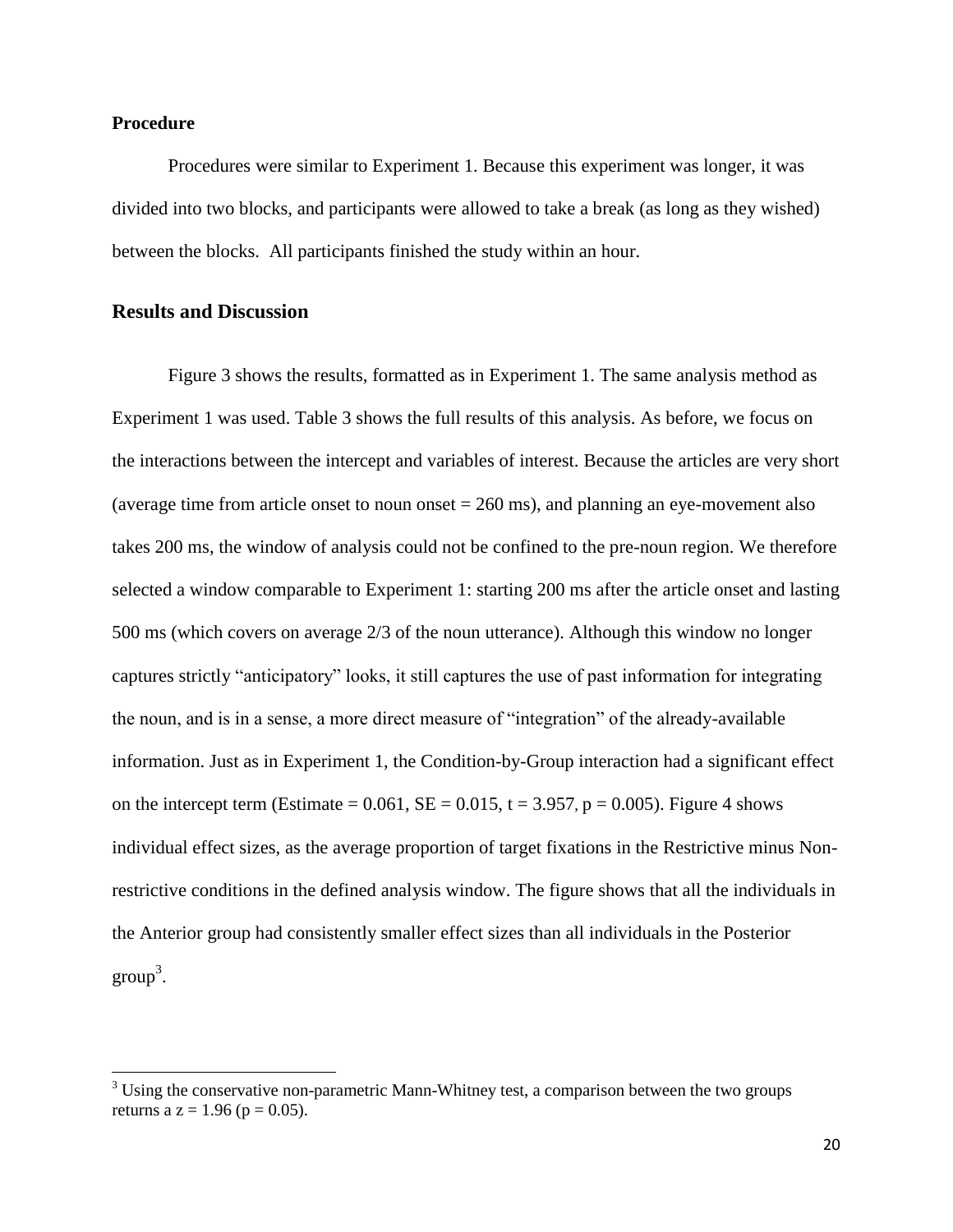### **Procedure**

 $\overline{\phantom{a}}$ 

Procedures were similar to Experiment 1. Because this experiment was longer, it was divided into two blocks, and participants were allowed to take a break (as long as they wished) between the blocks. All participants finished the study within an hour.

### **Results and Discussion**

Figure 3 shows the results, formatted as in Experiment 1. The same analysis method as Experiment 1 was used. Table 3 shows the full results of this analysis. As before, we focus on the interactions between the intercept and variables of interest. Because the articles are very short (average time from article onset to noun onset  $= 260$  ms), and planning an eye-movement also takes 200 ms, the window of analysis could not be confined to the pre-noun region. We therefore selected a window comparable to Experiment 1: starting 200 ms after the article onset and lasting 500 ms (which covers on average 2/3 of the noun utterance). Although this window no longer captures strictly "anticipatory" looks, it still captures the use of past information for integrating the noun, and is in a sense, a more direct measure of "integration" of the already-available information. Just as in Experiment 1, the Condition-by-Group interaction had a significant effect on the intercept term (Estimate =  $0.061$ , SE =  $0.015$ , t =  $3.957$ , p =  $0.005$ ). Figure 4 shows individual effect sizes, as the average proportion of target fixations in the Restrictive minus Nonrestrictive conditions in the defined analysis window. The figure shows that all the individuals in the Anterior group had consistently smaller effect sizes than all individuals in the Posterior  $group<sup>3</sup>$ .

 $3$  Using the conservative non-parametric Mann-Whitney test, a comparison between the two groups returns a  $z = 1.96$  ( $p = 0.05$ ).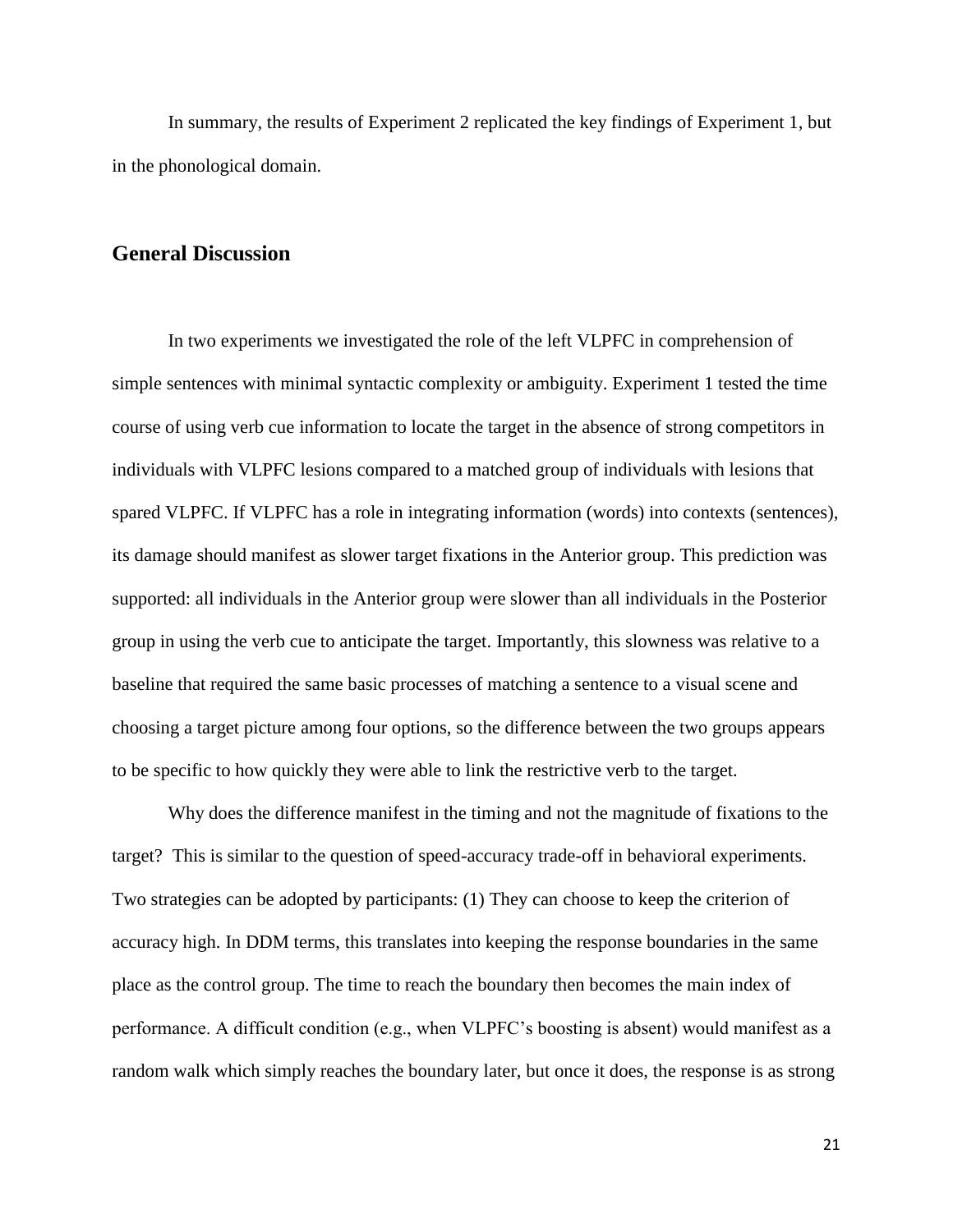In summary, the results of Experiment 2 replicated the key findings of Experiment 1, but in the phonological domain.

### **General Discussion**

In two experiments we investigated the role of the left VLPFC in comprehension of simple sentences with minimal syntactic complexity or ambiguity. Experiment 1 tested the time course of using verb cue information to locate the target in the absence of strong competitors in individuals with VLPFC lesions compared to a matched group of individuals with lesions that spared VLPFC. If VLPFC has a role in integrating information (words) into contexts (sentences), its damage should manifest as slower target fixations in the Anterior group. This prediction was supported: all individuals in the Anterior group were slower than all individuals in the Posterior group in using the verb cue to anticipate the target. Importantly, this slowness was relative to a baseline that required the same basic processes of matching a sentence to a visual scene and choosing a target picture among four options, so the difference between the two groups appears to be specific to how quickly they were able to link the restrictive verb to the target.

Why does the difference manifest in the timing and not the magnitude of fixations to the target? This is similar to the question of speed-accuracy trade-off in behavioral experiments. Two strategies can be adopted by participants: (1) They can choose to keep the criterion of accuracy high. In DDM terms, this translates into keeping the response boundaries in the same place as the control group. The time to reach the boundary then becomes the main index of performance. A difficult condition (e.g., when VLPFC's boosting is absent) would manifest as a random walk which simply reaches the boundary later, but once it does, the response is as strong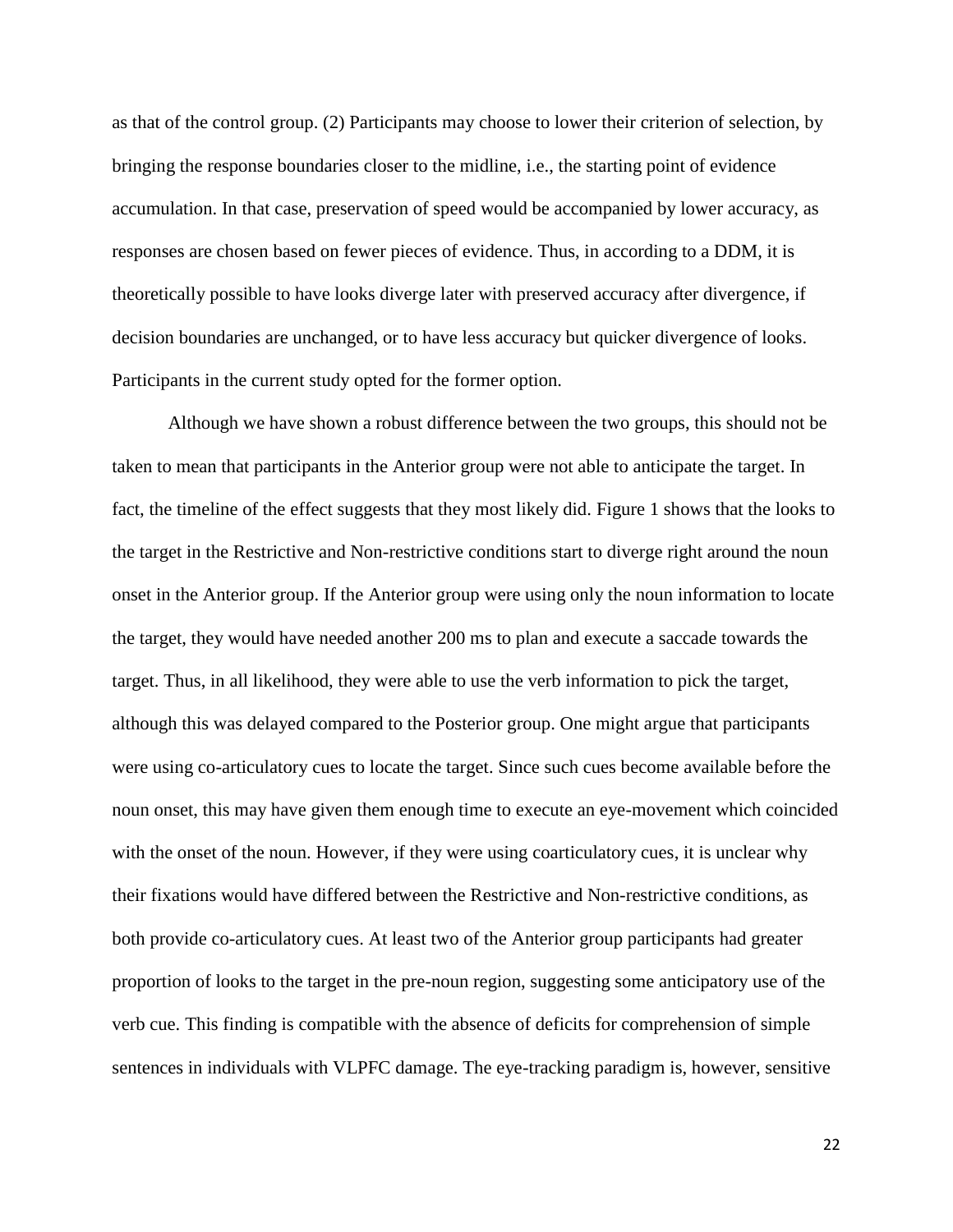as that of the control group. (2) Participants may choose to lower their criterion of selection, by bringing the response boundaries closer to the midline, i.e., the starting point of evidence accumulation. In that case, preservation of speed would be accompanied by lower accuracy, as responses are chosen based on fewer pieces of evidence. Thus, in according to a DDM, it is theoretically possible to have looks diverge later with preserved accuracy after divergence, if decision boundaries are unchanged, or to have less accuracy but quicker divergence of looks. Participants in the current study opted for the former option.

Although we have shown a robust difference between the two groups, this should not be taken to mean that participants in the Anterior group were not able to anticipate the target. In fact, the timeline of the effect suggests that they most likely did. Figure 1 shows that the looks to the target in the Restrictive and Non-restrictive conditions start to diverge right around the noun onset in the Anterior group. If the Anterior group were using only the noun information to locate the target, they would have needed another 200 ms to plan and execute a saccade towards the target. Thus, in all likelihood, they were able to use the verb information to pick the target, although this was delayed compared to the Posterior group. One might argue that participants were using co-articulatory cues to locate the target. Since such cues become available before the noun onset, this may have given them enough time to execute an eye-movement which coincided with the onset of the noun. However, if they were using coarticulatory cues, it is unclear why their fixations would have differed between the Restrictive and Non-restrictive conditions, as both provide co-articulatory cues. At least two of the Anterior group participants had greater proportion of looks to the target in the pre-noun region, suggesting some anticipatory use of the verb cue. This finding is compatible with the absence of deficits for comprehension of simple sentences in individuals with VLPFC damage. The eye-tracking paradigm is, however, sensitive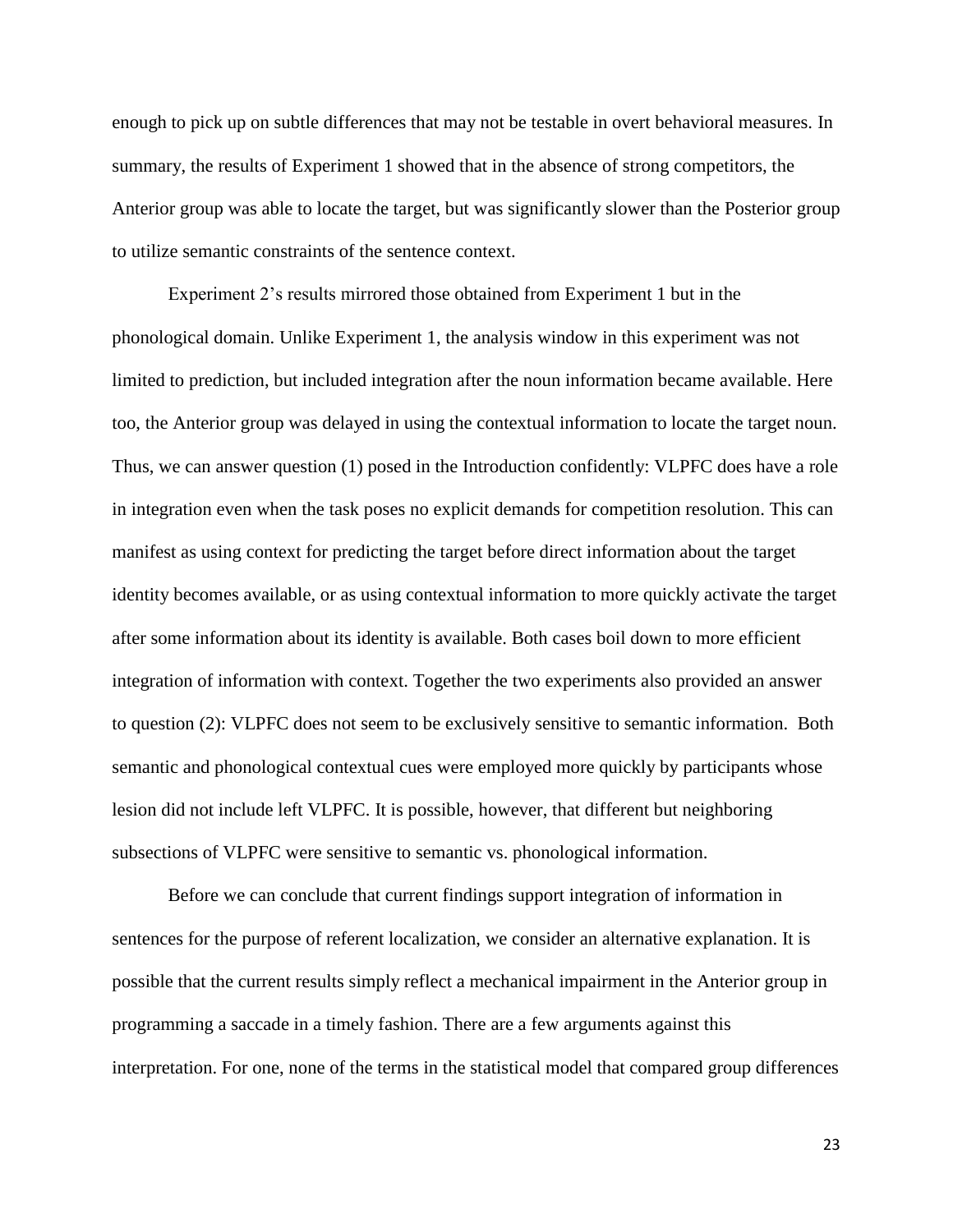enough to pick up on subtle differences that may not be testable in overt behavioral measures. In summary, the results of Experiment 1 showed that in the absence of strong competitors, the Anterior group was able to locate the target, but was significantly slower than the Posterior group to utilize semantic constraints of the sentence context.

Experiment 2's results mirrored those obtained from Experiment 1 but in the phonological domain. Unlike Experiment 1, the analysis window in this experiment was not limited to prediction, but included integration after the noun information became available. Here too, the Anterior group was delayed in using the contextual information to locate the target noun. Thus, we can answer question (1) posed in the Introduction confidently: VLPFC does have a role in integration even when the task poses no explicit demands for competition resolution. This can manifest as using context for predicting the target before direct information about the target identity becomes available, or as using contextual information to more quickly activate the target after some information about its identity is available. Both cases boil down to more efficient integration of information with context. Together the two experiments also provided an answer to question (2): VLPFC does not seem to be exclusively sensitive to semantic information. Both semantic and phonological contextual cues were employed more quickly by participants whose lesion did not include left VLPFC. It is possible, however, that different but neighboring subsections of VLPFC were sensitive to semantic vs. phonological information.

Before we can conclude that current findings support integration of information in sentences for the purpose of referent localization, we consider an alternative explanation. It is possible that the current results simply reflect a mechanical impairment in the Anterior group in programming a saccade in a timely fashion. There are a few arguments against this interpretation. For one, none of the terms in the statistical model that compared group differences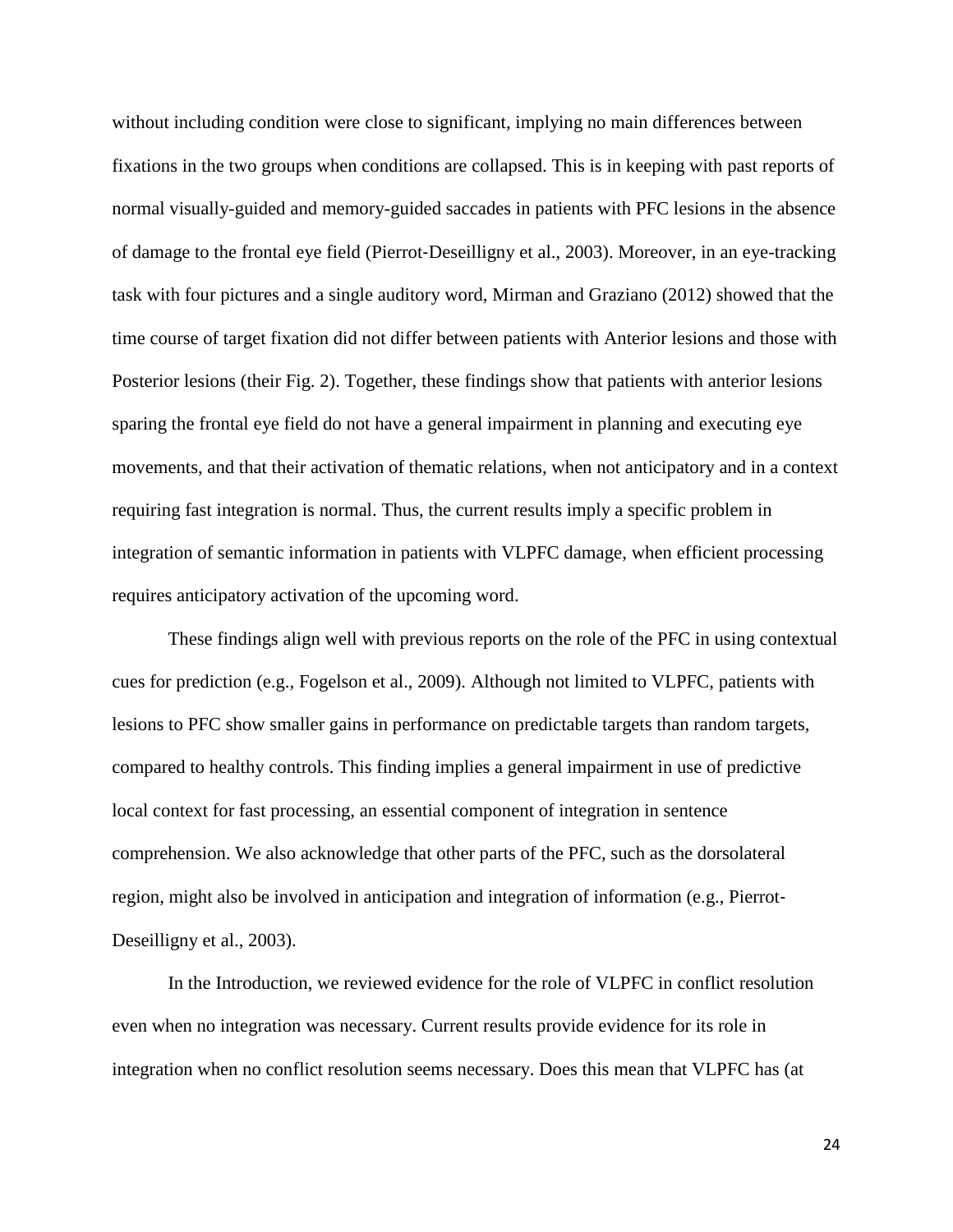without including condition were close to significant, implying no main differences between fixations in the two groups when conditions are collapsed. This is in keeping with past reports of normal visually-guided and memory-guided saccades in patients with PFC lesions in the absence of damage to the frontal eye field (Pierrot‐Deseilligny et al., 2003). Moreover, in an eye-tracking task with four pictures and a single auditory word, Mirman and Graziano (2012) showed that the time course of target fixation did not differ between patients with Anterior lesions and those with Posterior lesions (their Fig. 2). Together, these findings show that patients with anterior lesions sparing the frontal eye field do not have a general impairment in planning and executing eye movements, and that their activation of thematic relations, when not anticipatory and in a context requiring fast integration is normal. Thus, the current results imply a specific problem in integration of semantic information in patients with VLPFC damage, when efficient processing requires anticipatory activation of the upcoming word.

These findings align well with previous reports on the role of the PFC in using contextual cues for prediction (e.g., Fogelson et al., 2009). Although not limited to VLPFC, patients with lesions to PFC show smaller gains in performance on predictable targets than random targets, compared to healthy controls. This finding implies a general impairment in use of predictive local context for fast processing, an essential component of integration in sentence comprehension. We also acknowledge that other parts of the PFC, such as the dorsolateral region, might also be involved in anticipation and integration of information (e.g., Pierrot‐ Deseilligny et al., 2003).

In the Introduction, we reviewed evidence for the role of VLPFC in conflict resolution even when no integration was necessary. Current results provide evidence for its role in integration when no conflict resolution seems necessary. Does this mean that VLPFC has (at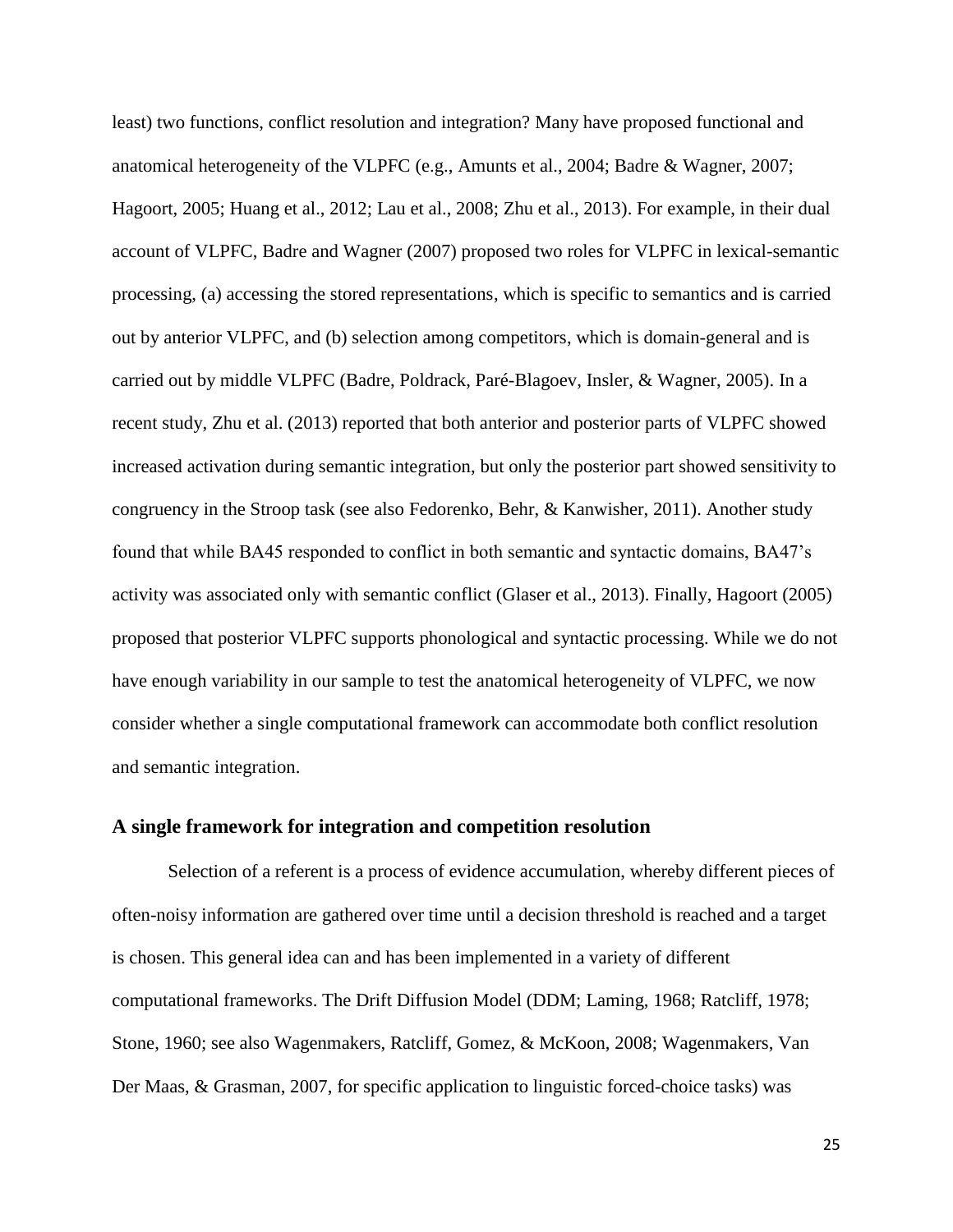least) two functions, conflict resolution and integration? Many have proposed functional and anatomical heterogeneity of the VLPFC (e.g., Amunts et al., 2004; Badre & Wagner, 2007; Hagoort, 2005; Huang et al., 2012; Lau et al., 2008; Zhu et al., 2013). For example, in their dual account of VLPFC, Badre and Wagner (2007) proposed two roles for VLPFC in lexical-semantic processing, (a) accessing the stored representations, which is specific to semantics and is carried out by anterior VLPFC, and (b) selection among competitors, which is domain-general and is carried out by middle VLPFC (Badre, Poldrack, Paré-Blagoev, Insler, & Wagner, 2005). In a recent study, Zhu et al. (2013) reported that both anterior and posterior parts of VLPFC showed increased activation during semantic integration, but only the posterior part showed sensitivity to congruency in the Stroop task (see also Fedorenko, Behr, & Kanwisher, 2011). Another study found that while BA45 responded to conflict in both semantic and syntactic domains, BA47's activity was associated only with semantic conflict (Glaser et al., 2013). Finally, Hagoort (2005) proposed that posterior VLPFC supports phonological and syntactic processing. While we do not have enough variability in our sample to test the anatomical heterogeneity of VLPFC, we now consider whether a single computational framework can accommodate both conflict resolution and semantic integration.

#### **A single framework for integration and competition resolution**

Selection of a referent is a process of evidence accumulation, whereby different pieces of often-noisy information are gathered over time until a decision threshold is reached and a target is chosen. This general idea can and has been implemented in a variety of different computational frameworks. The Drift Diffusion Model (DDM; Laming, 1968; Ratcliff, 1978; Stone, 1960; see also Wagenmakers, Ratcliff, Gomez, & McKoon, 2008; Wagenmakers, Van Der Maas, & Grasman, 2007, for specific application to linguistic forced-choice tasks) was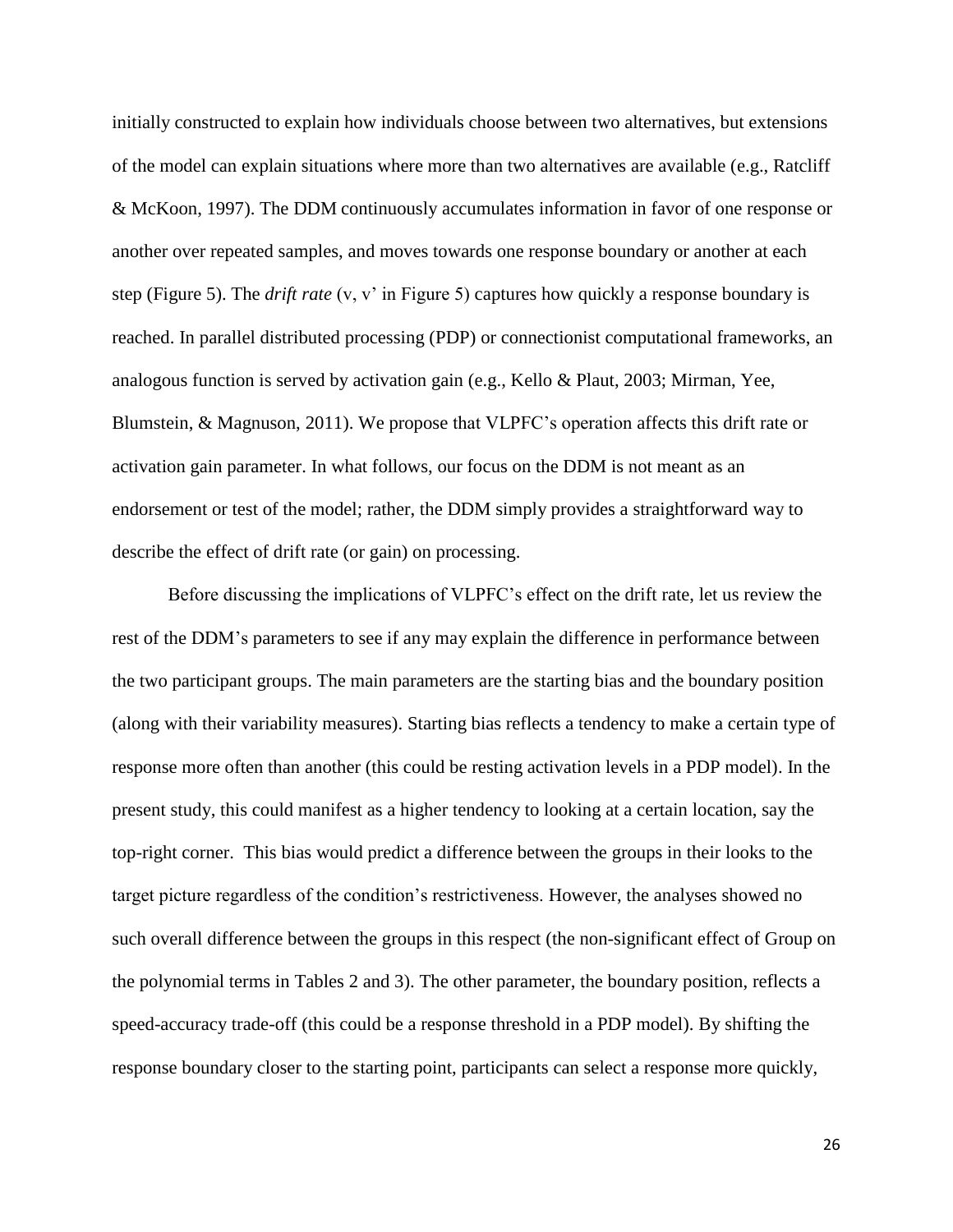initially constructed to explain how individuals choose between two alternatives, but extensions of the model can explain situations where more than two alternatives are available (e.g., Ratcliff & McKoon, 1997). The DDM continuously accumulates information in favor of one response or another over repeated samples, and moves towards one response boundary or another at each step (Figure 5). The *drift rate* (v, v' in Figure 5) captures how quickly a response boundary is reached. In parallel distributed processing (PDP) or connectionist computational frameworks, an analogous function is served by activation gain (e.g., Kello & Plaut, 2003; Mirman, Yee, Blumstein, & Magnuson, 2011). We propose that VLPFC's operation affects this drift rate or activation gain parameter. In what follows, our focus on the DDM is not meant as an endorsement or test of the model; rather, the DDM simply provides a straightforward way to describe the effect of drift rate (or gain) on processing.

Before discussing the implications of VLPFC's effect on the drift rate, let us review the rest of the DDM's parameters to see if any may explain the difference in performance between the two participant groups. The main parameters are the starting bias and the boundary position (along with their variability measures). Starting bias reflects a tendency to make a certain type of response more often than another (this could be resting activation levels in a PDP model). In the present study, this could manifest as a higher tendency to looking at a certain location, say the top-right corner. This bias would predict a difference between the groups in their looks to the target picture regardless of the condition's restrictiveness. However, the analyses showed no such overall difference between the groups in this respect (the non-significant effect of Group on the polynomial terms in Tables 2 and 3). The other parameter, the boundary position, reflects a speed-accuracy trade-off (this could be a response threshold in a PDP model). By shifting the response boundary closer to the starting point, participants can select a response more quickly,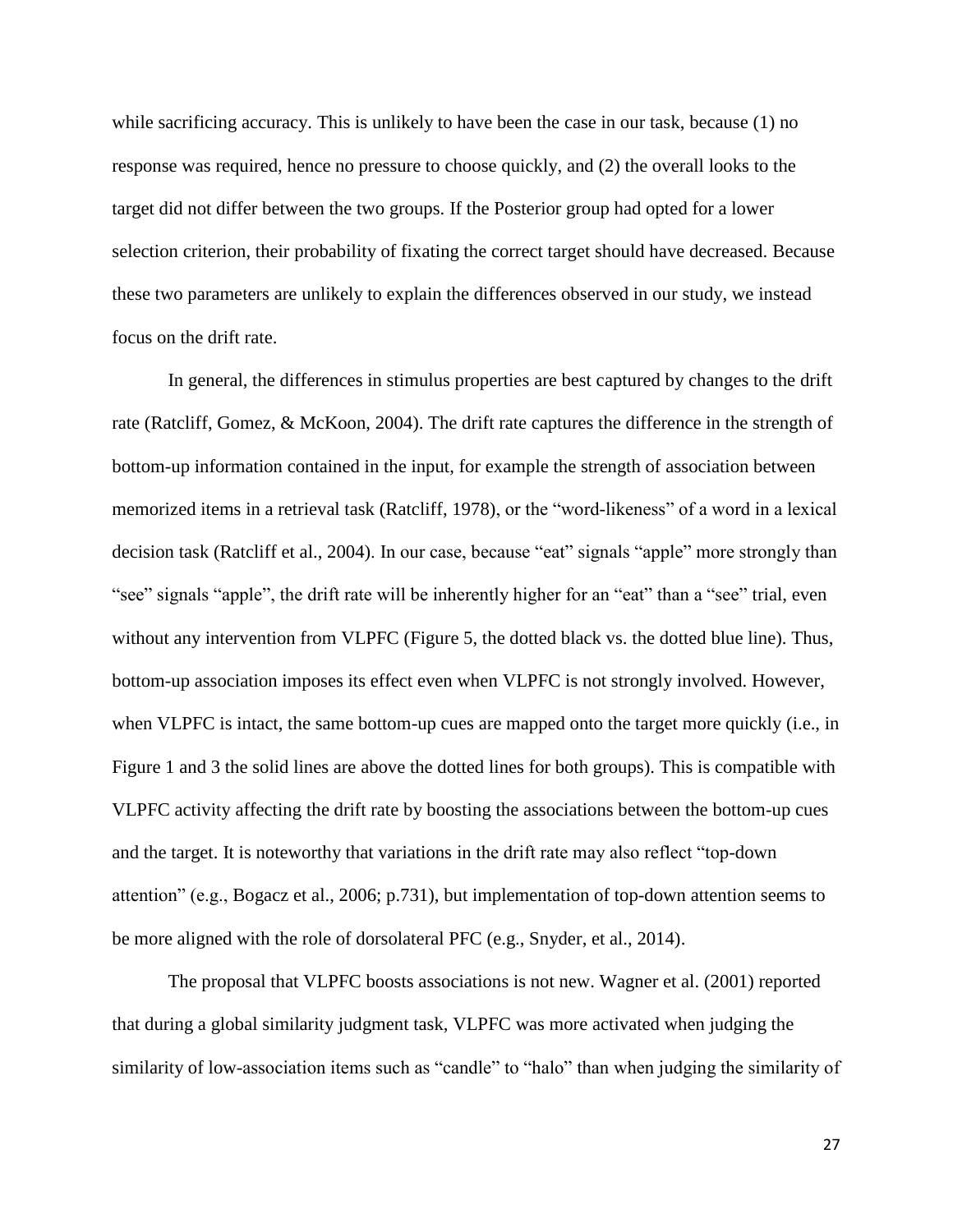while sacrificing accuracy. This is unlikely to have been the case in our task, because (1) no response was required, hence no pressure to choose quickly, and (2) the overall looks to the target did not differ between the two groups. If the Posterior group had opted for a lower selection criterion, their probability of fixating the correct target should have decreased. Because these two parameters are unlikely to explain the differences observed in our study, we instead focus on the drift rate.

In general, the differences in stimulus properties are best captured by changes to the drift rate (Ratcliff, Gomez, & McKoon, 2004). The drift rate captures the difference in the strength of bottom-up information contained in the input, for example the strength of association between memorized items in a retrieval task (Ratcliff, 1978), or the "word-likeness" of a word in a lexical decision task (Ratcliff et al., 2004). In our case, because "eat" signals "apple" more strongly than "see" signals "apple", the drift rate will be inherently higher for an "eat" than a "see" trial, even without any intervention from VLPFC (Figure 5, the dotted black vs. the dotted blue line). Thus, bottom-up association imposes its effect even when VLPFC is not strongly involved. However, when VLPFC is intact, the same bottom-up cues are mapped onto the target more quickly (i.e., in Figure 1 and 3 the solid lines are above the dotted lines for both groups). This is compatible with VLPFC activity affecting the drift rate by boosting the associations between the bottom-up cues and the target. It is noteworthy that variations in the drift rate may also reflect "top-down attention" (e.g., Bogacz et al., 2006; p.731), but implementation of top-down attention seems to be more aligned with the role of dorsolateral PFC (e.g., Snyder, et al., 2014).

The proposal that VLPFC boosts associations is not new. Wagner et al. (2001) reported that during a global similarity judgment task, VLPFC was more activated when judging the similarity of low-association items such as "candle" to "halo" than when judging the similarity of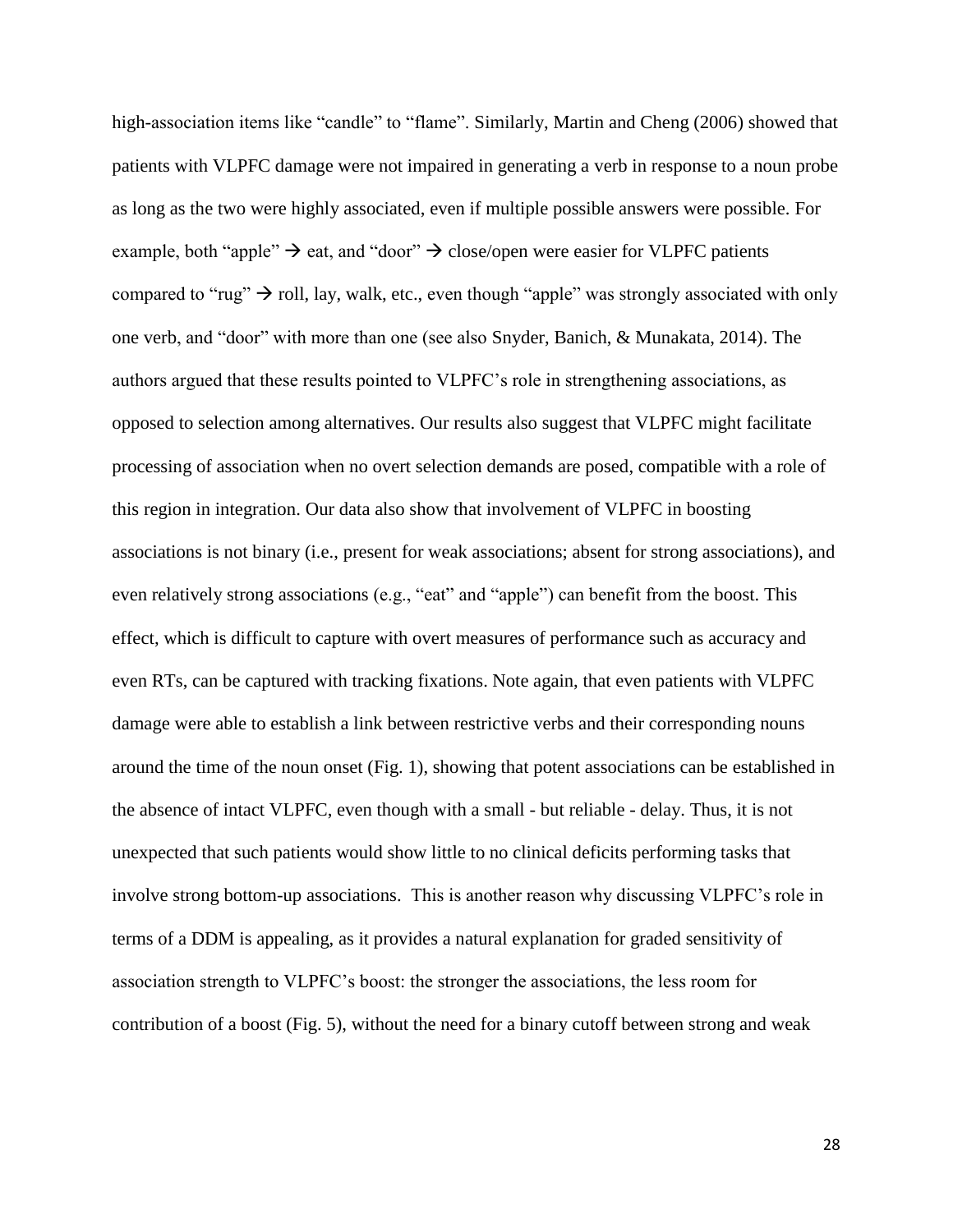high-association items like "candle" to "flame". Similarly, Martin and Cheng (2006) showed that patients with VLPFC damage were not impaired in generating a verb in response to a noun probe as long as the two were highly associated, even if multiple possible answers were possible. For example, both "apple"  $\rightarrow$  eat, and "door"  $\rightarrow$  close/open were easier for VLPFC patients compared to "rug"  $\rightarrow$  roll, lay, walk, etc., even though "apple" was strongly associated with only one verb, and "door" with more than one (see also Snyder, Banich, & Munakata, 2014). The authors argued that these results pointed to VLPFC's role in strengthening associations, as opposed to selection among alternatives. Our results also suggest that VLPFC might facilitate processing of association when no overt selection demands are posed, compatible with a role of this region in integration. Our data also show that involvement of VLPFC in boosting associations is not binary (i.e., present for weak associations; absent for strong associations), and even relatively strong associations (e.g., "eat" and "apple") can benefit from the boost. This effect, which is difficult to capture with overt measures of performance such as accuracy and even RTs, can be captured with tracking fixations. Note again, that even patients with VLPFC damage were able to establish a link between restrictive verbs and their corresponding nouns around the time of the noun onset (Fig. 1), showing that potent associations can be established in the absence of intact VLPFC, even though with a small - but reliable - delay. Thus, it is not unexpected that such patients would show little to no clinical deficits performing tasks that involve strong bottom-up associations. This is another reason why discussing VLPFC's role in terms of a DDM is appealing, as it provides a natural explanation for graded sensitivity of association strength to VLPFC's boost: the stronger the associations, the less room for contribution of a boost (Fig. 5), without the need for a binary cutoff between strong and weak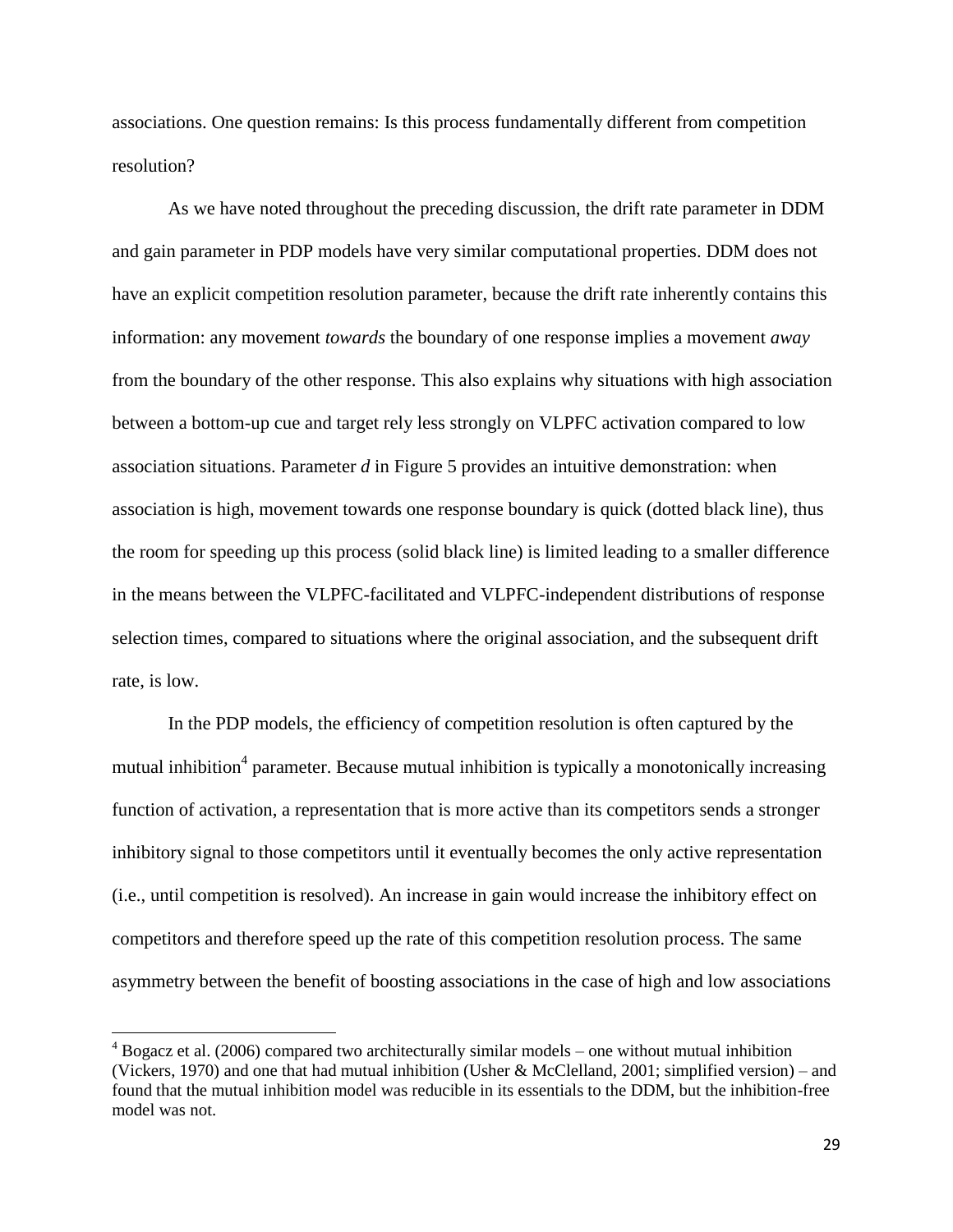associations. One question remains: Is this process fundamentally different from competition resolution?

As we have noted throughout the preceding discussion, the drift rate parameter in DDM and gain parameter in PDP models have very similar computational properties. DDM does not have an explicit competition resolution parameter, because the drift rate inherently contains this information: any movement *towards* the boundary of one response implies a movement *away* from the boundary of the other response. This also explains why situations with high association between a bottom-up cue and target rely less strongly on VLPFC activation compared to low association situations. Parameter *d* in Figure 5 provides an intuitive demonstration: when association is high, movement towards one response boundary is quick (dotted black line), thus the room for speeding up this process (solid black line) is limited leading to a smaller difference in the means between the VLPFC-facilitated and VLPFC-independent distributions of response selection times, compared to situations where the original association, and the subsequent drift rate, is low.

In the PDP models, the efficiency of competition resolution is often captured by the mutual inhibition<sup>4</sup> parameter. Because mutual inhibition is typically a monotonically increasing function of activation, a representation that is more active than its competitors sends a stronger inhibitory signal to those competitors until it eventually becomes the only active representation (i.e., until competition is resolved). An increase in gain would increase the inhibitory effect on competitors and therefore speed up the rate of this competition resolution process. The same asymmetry between the benefit of boosting associations in the case of high and low associations

l

 $4 Bogacz et al. (2006) compared two architecturally similar models – one without mutual inhibition$ (Vickers, 1970) and one that had mutual inhibition (Usher & McClelland, 2001; simplified version) – and found that the mutual inhibition model was reducible in its essentials to the DDM, but the inhibition-free model was not.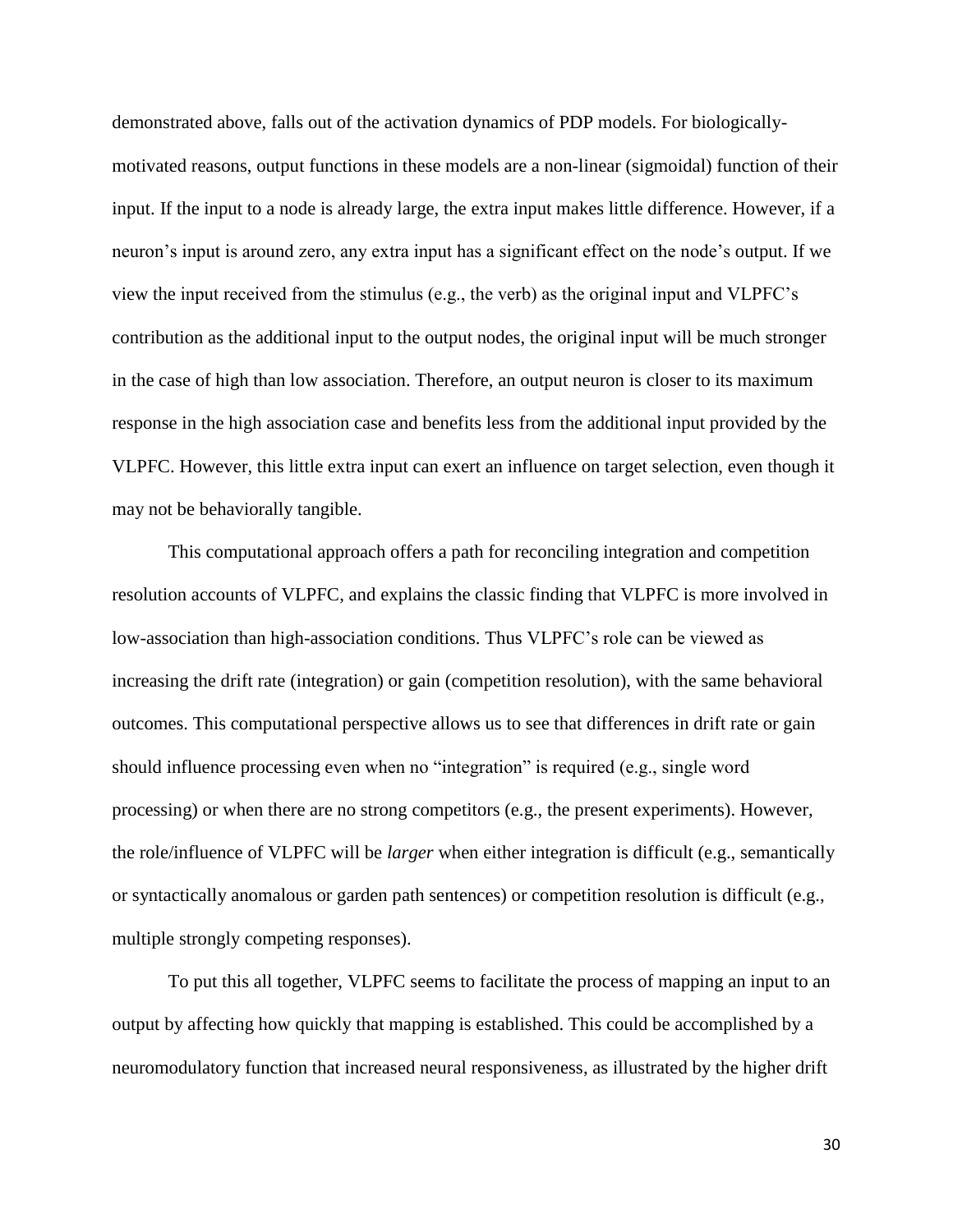demonstrated above, falls out of the activation dynamics of PDP models. For biologicallymotivated reasons, output functions in these models are a non-linear (sigmoidal) function of their input. If the input to a node is already large, the extra input makes little difference. However, if a neuron's input is around zero, any extra input has a significant effect on the node's output. If we view the input received from the stimulus (e.g., the verb) as the original input and VLPFC's contribution as the additional input to the output nodes, the original input will be much stronger in the case of high than low association. Therefore, an output neuron is closer to its maximum response in the high association case and benefits less from the additional input provided by the VLPFC. However, this little extra input can exert an influence on target selection, even though it may not be behaviorally tangible.

This computational approach offers a path for reconciling integration and competition resolution accounts of VLPFC, and explains the classic finding that VLPFC is more involved in low-association than high-association conditions. Thus VLPFC's role can be viewed as increasing the drift rate (integration) or gain (competition resolution), with the same behavioral outcomes. This computational perspective allows us to see that differences in drift rate or gain should influence processing even when no "integration" is required (e.g., single word processing) or when there are no strong competitors (e.g., the present experiments). However, the role/influence of VLPFC will be *larger* when either integration is difficult (e.g., semantically or syntactically anomalous or garden path sentences) or competition resolution is difficult (e.g., multiple strongly competing responses).

To put this all together, VLPFC seems to facilitate the process of mapping an input to an output by affecting how quickly that mapping is established. This could be accomplished by a neuromodulatory function that increased neural responsiveness, as illustrated by the higher drift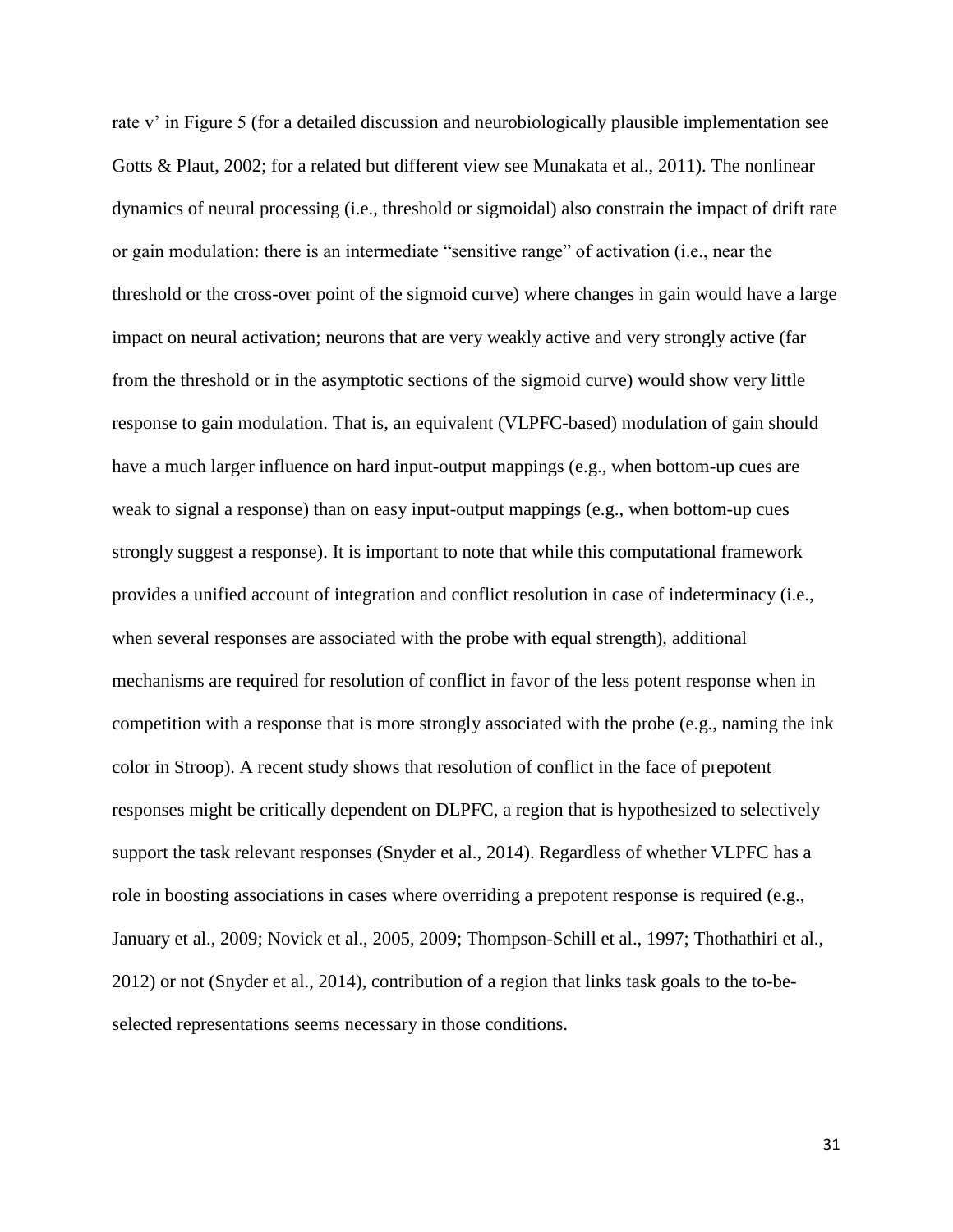rate v' in Figure 5 (for a detailed discussion and neurobiologically plausible implementation see Gotts & Plaut, 2002; for a related but different view see Munakata et al., 2011). The nonlinear dynamics of neural processing (i.e., threshold or sigmoidal) also constrain the impact of drift rate or gain modulation: there is an intermediate "sensitive range" of activation (i.e., near the threshold or the cross-over point of the sigmoid curve) where changes in gain would have a large impact on neural activation; neurons that are very weakly active and very strongly active (far from the threshold or in the asymptotic sections of the sigmoid curve) would show very little response to gain modulation. That is, an equivalent (VLPFC-based) modulation of gain should have a much larger influence on hard input-output mappings (e.g., when bottom-up cues are weak to signal a response) than on easy input-output mappings (e.g., when bottom-up cues strongly suggest a response). It is important to note that while this computational framework provides a unified account of integration and conflict resolution in case of indeterminacy (i.e., when several responses are associated with the probe with equal strength), additional mechanisms are required for resolution of conflict in favor of the less potent response when in competition with a response that is more strongly associated with the probe (e.g., naming the ink color in Stroop). A recent study shows that resolution of conflict in the face of prepotent responses might be critically dependent on DLPFC, a region that is hypothesized to selectively support the task relevant responses (Snyder et al., 2014). Regardless of whether VLPFC has a role in boosting associations in cases where overriding a prepotent response is required (e.g., January et al., 2009; Novick et al., 2005, 2009; Thompson-Schill et al., 1997; Thothathiri et al., 2012) or not (Snyder et al., 2014), contribution of a region that links task goals to the to-beselected representations seems necessary in those conditions.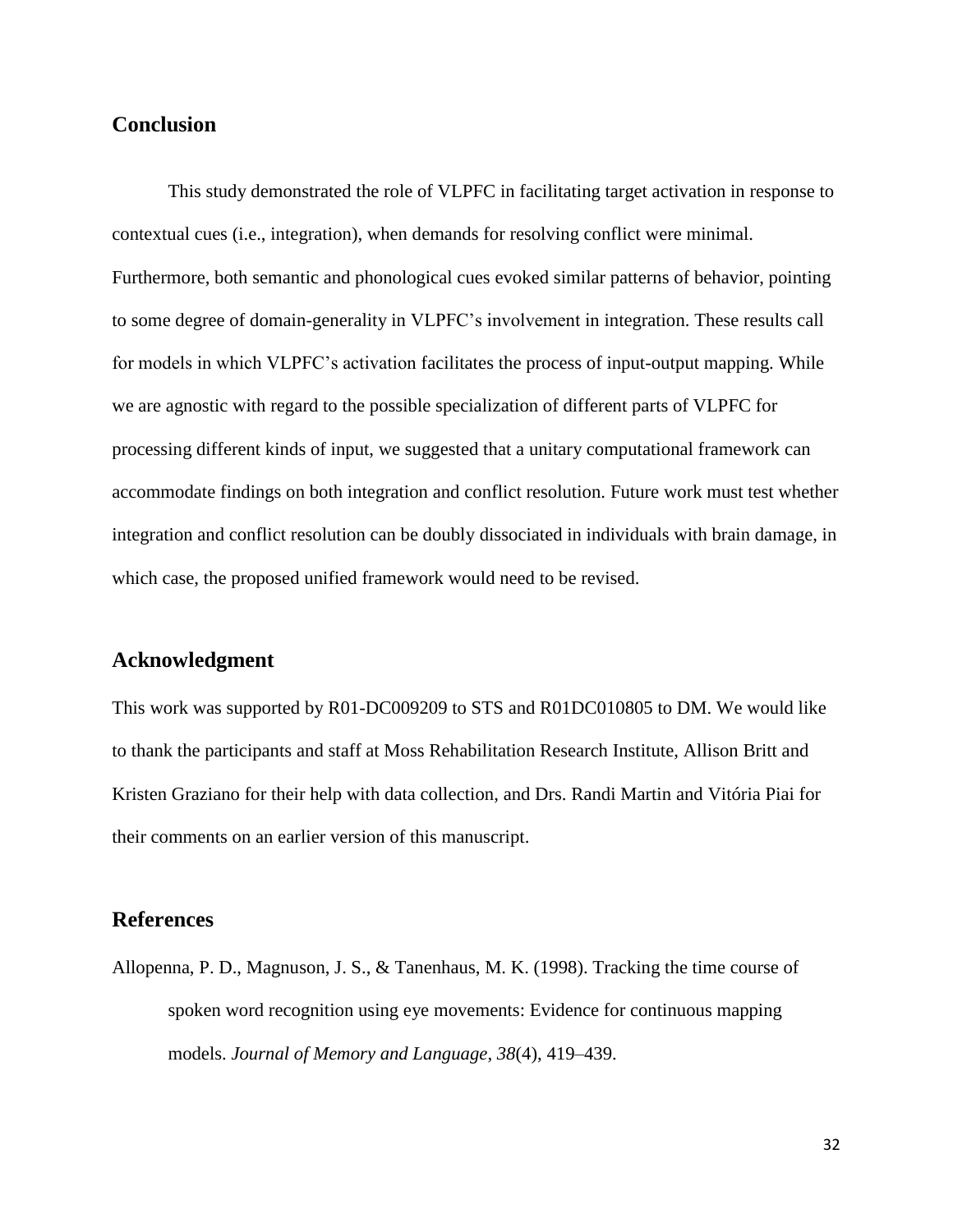### **Conclusion**

This study demonstrated the role of VLPFC in facilitating target activation in response to contextual cues (i.e., integration), when demands for resolving conflict were minimal. Furthermore, both semantic and phonological cues evoked similar patterns of behavior, pointing to some degree of domain-generality in VLPFC's involvement in integration. These results call for models in which VLPFC's activation facilitates the process of input-output mapping. While we are agnostic with regard to the possible specialization of different parts of VLPFC for processing different kinds of input, we suggested that a unitary computational framework can accommodate findings on both integration and conflict resolution. Future work must test whether integration and conflict resolution can be doubly dissociated in individuals with brain damage, in which case, the proposed unified framework would need to be revised.

### **Acknowledgment**

This work was supported by R01-DC009209 to STS and R01DC010805 to DM. We would like to thank the participants and staff at Moss Rehabilitation Research Institute, Allison Britt and Kristen Graziano for their help with data collection, and Drs. Randi Martin and Vitória Piai for their comments on an earlier version of this manuscript.

### **References**

Allopenna, P. D., Magnuson, J. S., & Tanenhaus, M. K. (1998). Tracking the time course of spoken word recognition using eye movements: Evidence for continuous mapping models. *Journal of Memory and Language*, *38*(4), 419–439.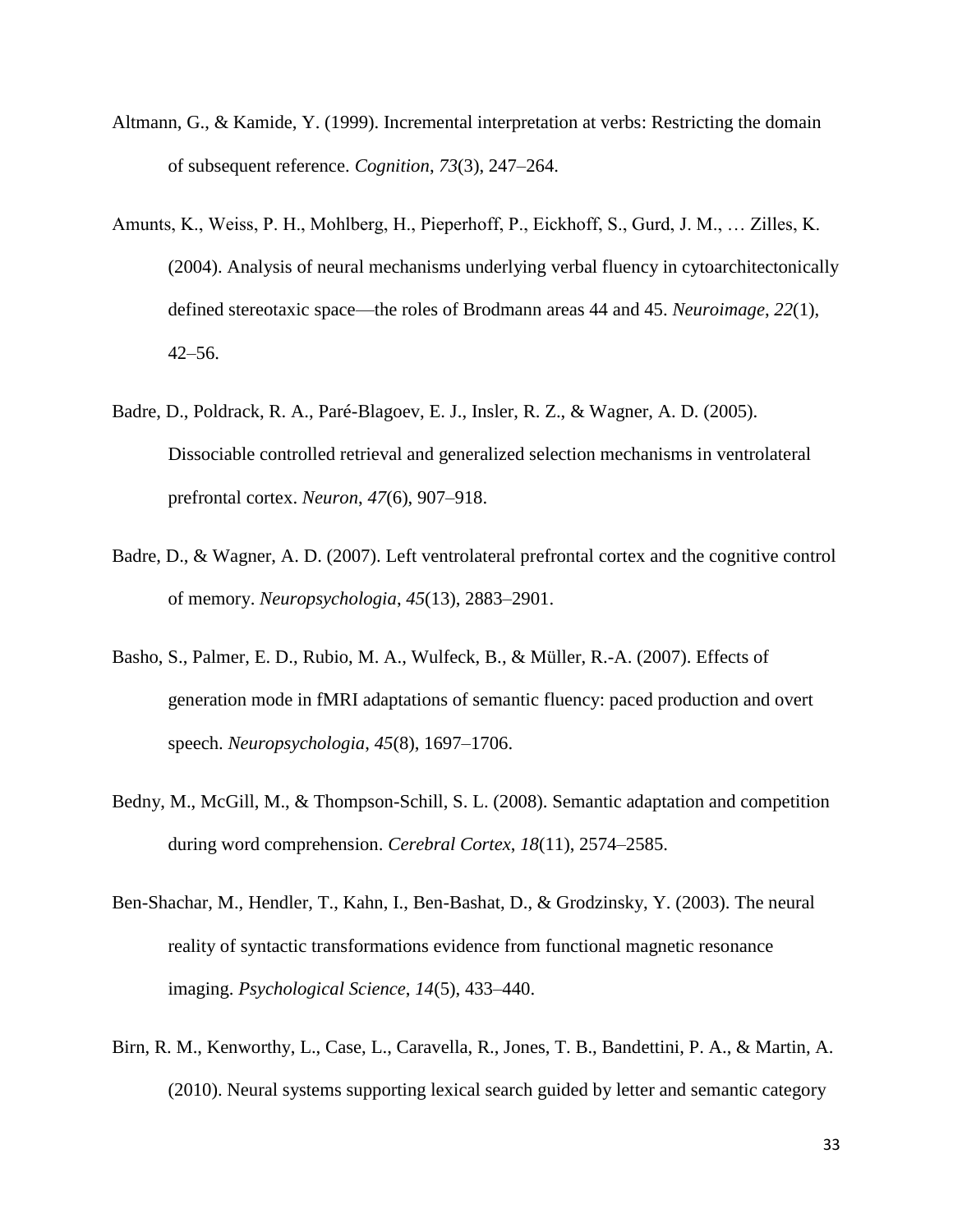- Altmann, G., & Kamide, Y. (1999). Incremental interpretation at verbs: Restricting the domain of subsequent reference. *Cognition*, *73*(3), 247–264.
- Amunts, K., Weiss, P. H., Mohlberg, H., Pieperhoff, P., Eickhoff, S., Gurd, J. M., … Zilles, K. (2004). Analysis of neural mechanisms underlying verbal fluency in cytoarchitectonically defined stereotaxic space—the roles of Brodmann areas 44 and 45. *Neuroimage*, *22*(1), 42–56.
- Badre, D., Poldrack, R. A., Paré-Blagoev, E. J., Insler, R. Z., & Wagner, A. D. (2005). Dissociable controlled retrieval and generalized selection mechanisms in ventrolateral prefrontal cortex. *Neuron*, *47*(6), 907–918.
- Badre, D., & Wagner, A. D. (2007). Left ventrolateral prefrontal cortex and the cognitive control of memory. *Neuropsychologia*, *45*(13), 2883–2901.
- Basho, S., Palmer, E. D., Rubio, M. A., Wulfeck, B., & Müller, R.-A. (2007). Effects of generation mode in fMRI adaptations of semantic fluency: paced production and overt speech. *Neuropsychologia*, *45*(8), 1697–1706.
- Bedny, M., McGill, M., & Thompson-Schill, S. L. (2008). Semantic adaptation and competition during word comprehension. *Cerebral Cortex*, *18*(11), 2574–2585.
- Ben-Shachar, M., Hendler, T., Kahn, I., Ben-Bashat, D., & Grodzinsky, Y. (2003). The neural reality of syntactic transformations evidence from functional magnetic resonance imaging. *Psychological Science*, *14*(5), 433–440.
- Birn, R. M., Kenworthy, L., Case, L., Caravella, R., Jones, T. B., Bandettini, P. A., & Martin, A. (2010). Neural systems supporting lexical search guided by letter and semantic category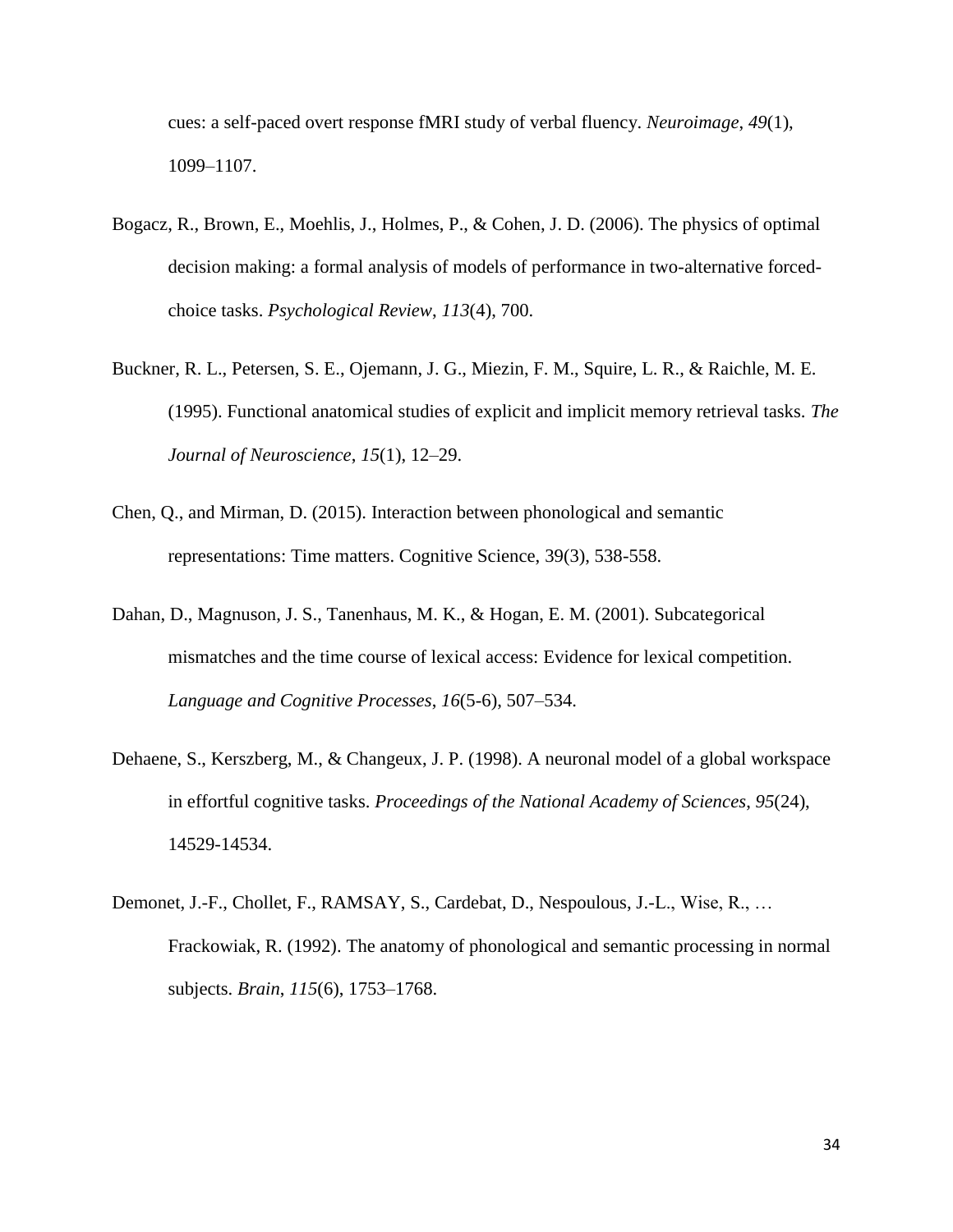cues: a self-paced overt response fMRI study of verbal fluency. *Neuroimage*, *49*(1), 1099–1107.

- Bogacz, R., Brown, E., Moehlis, J., Holmes, P., & Cohen, J. D. (2006). The physics of optimal decision making: a formal analysis of models of performance in two-alternative forcedchoice tasks. *Psychological Review*, *113*(4), 700.
- Buckner, R. L., Petersen, S. E., Ojemann, J. G., Miezin, F. M., Squire, L. R., & Raichle, M. E. (1995). Functional anatomical studies of explicit and implicit memory retrieval tasks. *The Journal of Neuroscience*, *15*(1), 12–29.
- Chen, Q., and Mirman, D. (2015). Interaction between phonological and semantic representations: Time matters. Cognitive Science, 39(3), 538-558.
- Dahan, D., Magnuson, J. S., Tanenhaus, M. K., & Hogan, E. M. (2001). Subcategorical mismatches and the time course of lexical access: Evidence for lexical competition. *Language and Cognitive Processes*, *16*(5-6), 507–534.
- Dehaene, S., Kerszberg, M., & Changeux, J. P. (1998). A neuronal model of a global workspace in effortful cognitive tasks. *Proceedings of the National Academy of Sciences*, *95*(24), 14529-14534.
- Demonet, J.-F., Chollet, F., RAMSAY, S., Cardebat, D., Nespoulous, J.-L., Wise, R., … Frackowiak, R. (1992). The anatomy of phonological and semantic processing in normal subjects. *Brain*, *115*(6), 1753–1768.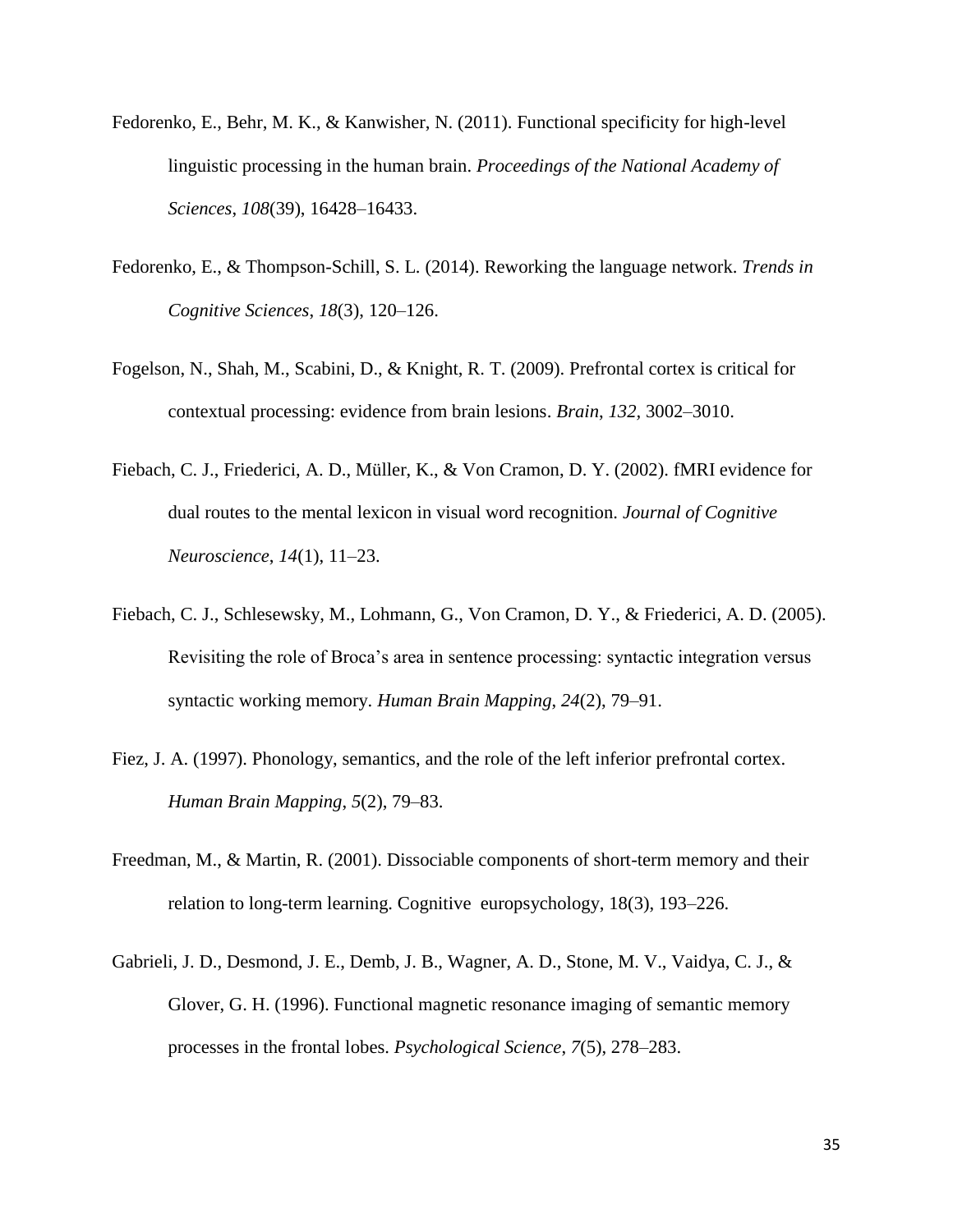- Fedorenko, E., Behr, M. K., & Kanwisher, N. (2011). Functional specificity for high-level linguistic processing in the human brain. *Proceedings of the National Academy of Sciences*, *108*(39), 16428–16433.
- Fedorenko, E., & Thompson-Schill, S. L. (2014). Reworking the language network. *Trends in Cognitive Sciences*, *18*(3), 120–126.
- Fogelson, N., Shah, M., Scabini, D., & Knight, R. T. (2009). Prefrontal cortex is critical for contextual processing: evidence from brain lesions. *Brain*, *132,* 3002–3010.
- Fiebach, C. J., Friederici, A. D., Müller, K., & Von Cramon, D. Y. (2002). fMRI evidence for dual routes to the mental lexicon in visual word recognition. *Journal of Cognitive Neuroscience*, *14*(1), 11–23.
- Fiebach, C. J., Schlesewsky, M., Lohmann, G., Von Cramon, D. Y., & Friederici, A. D. (2005). Revisiting the role of Broca's area in sentence processing: syntactic integration versus syntactic working memory. *Human Brain Mapping*, *24*(2), 79–91.
- Fiez, J. A. (1997). Phonology, semantics, and the role of the left inferior prefrontal cortex. *Human Brain Mapping*, *5*(2), 79–83.
- Freedman, M., & Martin, R. (2001). Dissociable components of short-term memory and their relation to long-term learning. Cognitive europsychology, 18(3), 193–226.
- Gabrieli, J. D., Desmond, J. E., Demb, J. B., Wagner, A. D., Stone, M. V., Vaidya, C. J., & Glover, G. H. (1996). Functional magnetic resonance imaging of semantic memory processes in the frontal lobes. *Psychological Science*, *7*(5), 278–283.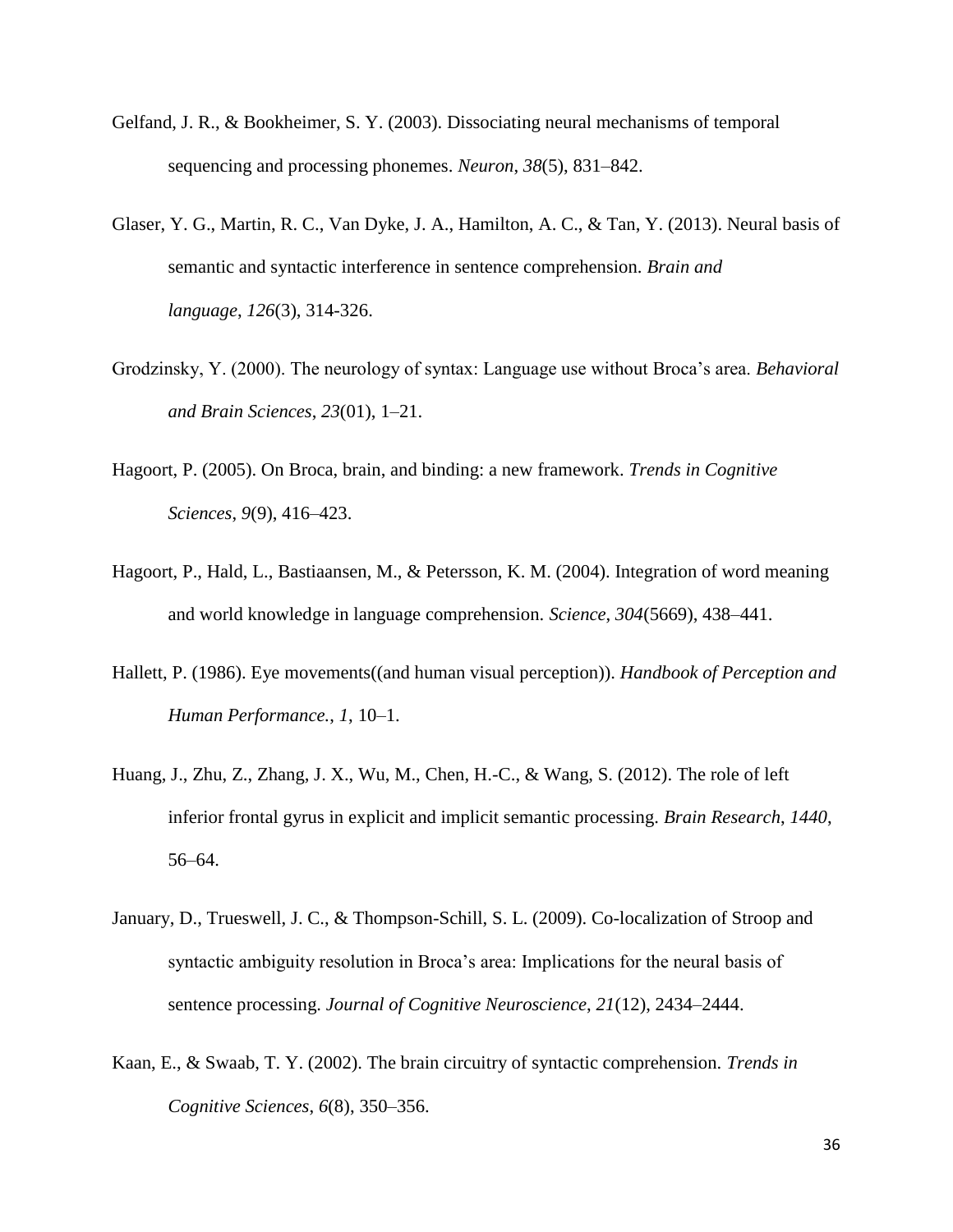- Gelfand, J. R., & Bookheimer, S. Y. (2003). Dissociating neural mechanisms of temporal sequencing and processing phonemes. *Neuron*, *38*(5), 831–842.
- Glaser, Y. G., Martin, R. C., Van Dyke, J. A., Hamilton, A. C., & Tan, Y. (2013). Neural basis of semantic and syntactic interference in sentence comprehension. *Brain and language*, *126*(3), 314-326.
- Grodzinsky, Y. (2000). The neurology of syntax: Language use without Broca's area. *Behavioral and Brain Sciences*, *23*(01), 1–21.
- Hagoort, P. (2005). On Broca, brain, and binding: a new framework. *Trends in Cognitive Sciences*, *9*(9), 416–423.
- Hagoort, P., Hald, L., Bastiaansen, M., & Petersson, K. M. (2004). Integration of word meaning and world knowledge in language comprehension. *Science*, *304*(5669), 438–441.
- Hallett, P. (1986). Eye movements((and human visual perception)). *Handbook of Perception and Human Performance.*, *1*, 10–1.
- Huang, J., Zhu, Z., Zhang, J. X., Wu, M., Chen, H.-C., & Wang, S. (2012). The role of left inferior frontal gyrus in explicit and implicit semantic processing. *Brain Research*, *1440*, 56–64.
- January, D., Trueswell, J. C., & Thompson-Schill, S. L. (2009). Co-localization of Stroop and syntactic ambiguity resolution in Broca's area: Implications for the neural basis of sentence processing. *Journal of Cognitive Neuroscience*, *21*(12), 2434–2444.
- Kaan, E., & Swaab, T. Y. (2002). The brain circuitry of syntactic comprehension. *Trends in Cognitive Sciences*, *6*(8), 350–356.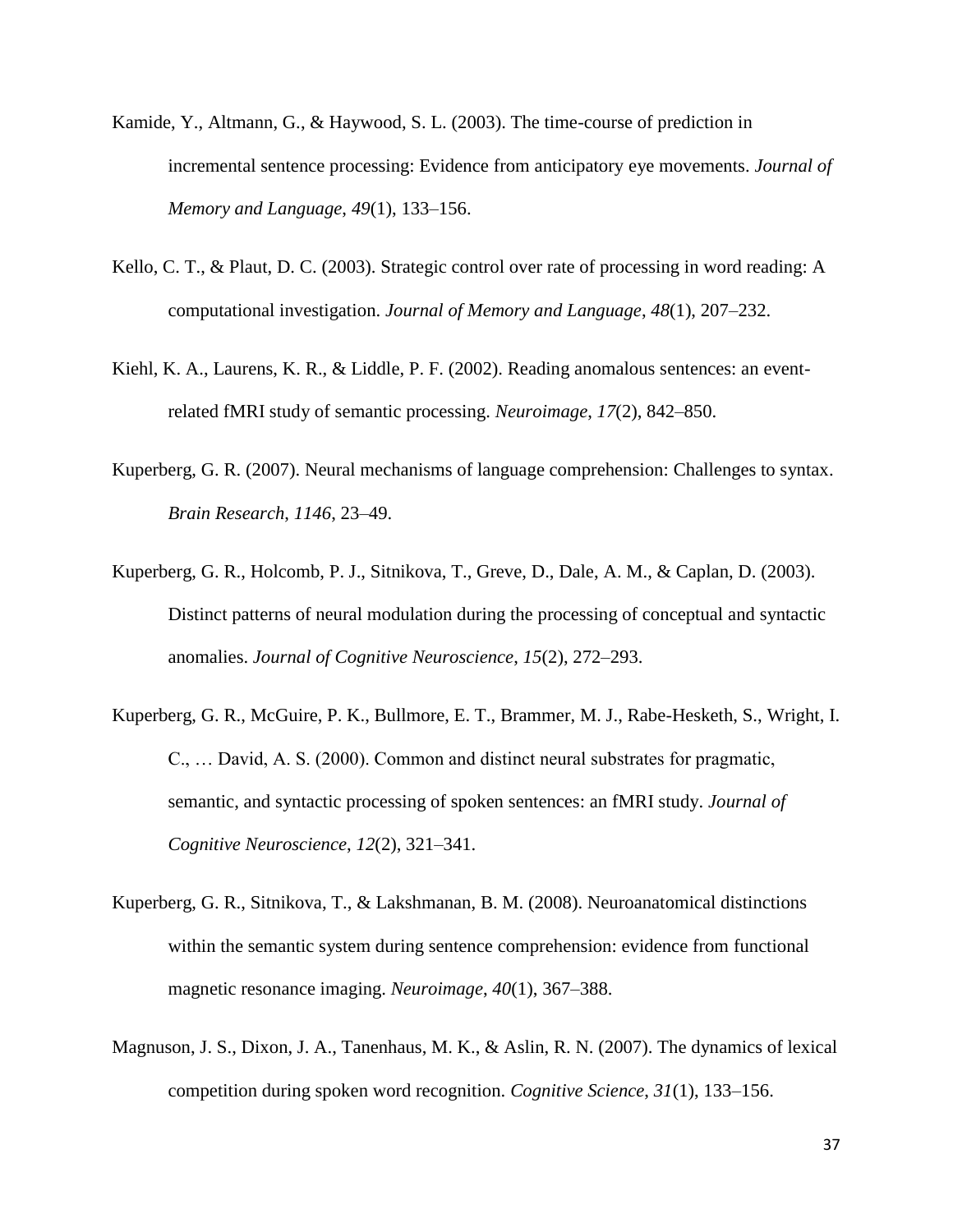- Kamide, Y., Altmann, G., & Haywood, S. L. (2003). The time-course of prediction in incremental sentence processing: Evidence from anticipatory eye movements. *Journal of Memory and Language*, *49*(1), 133–156.
- Kello, C. T., & Plaut, D. C. (2003). Strategic control over rate of processing in word reading: A computational investigation. *Journal of Memory and Language*, *48*(1), 207–232.
- Kiehl, K. A., Laurens, K. R., & Liddle, P. F. (2002). Reading anomalous sentences: an eventrelated fMRI study of semantic processing. *Neuroimage*, *17*(2), 842–850.
- Kuperberg, G. R. (2007). Neural mechanisms of language comprehension: Challenges to syntax. *Brain Research*, *1146*, 23–49.
- Kuperberg, G. R., Holcomb, P. J., Sitnikova, T., Greve, D., Dale, A. M., & Caplan, D. (2003). Distinct patterns of neural modulation during the processing of conceptual and syntactic anomalies. *Journal of Cognitive Neuroscience*, *15*(2), 272–293.
- Kuperberg, G. R., McGuire, P. K., Bullmore, E. T., Brammer, M. J., Rabe-Hesketh, S., Wright, I. C., … David, A. S. (2000). Common and distinct neural substrates for pragmatic, semantic, and syntactic processing of spoken sentences: an fMRI study. *Journal of Cognitive Neuroscience*, *12*(2), 321–341.
- Kuperberg, G. R., Sitnikova, T., & Lakshmanan, B. M. (2008). Neuroanatomical distinctions within the semantic system during sentence comprehension: evidence from functional magnetic resonance imaging. *Neuroimage*, *40*(1), 367–388.
- Magnuson, J. S., Dixon, J. A., Tanenhaus, M. K., & Aslin, R. N. (2007). The dynamics of lexical competition during spoken word recognition. *Cognitive Science*, *31*(1), 133–156.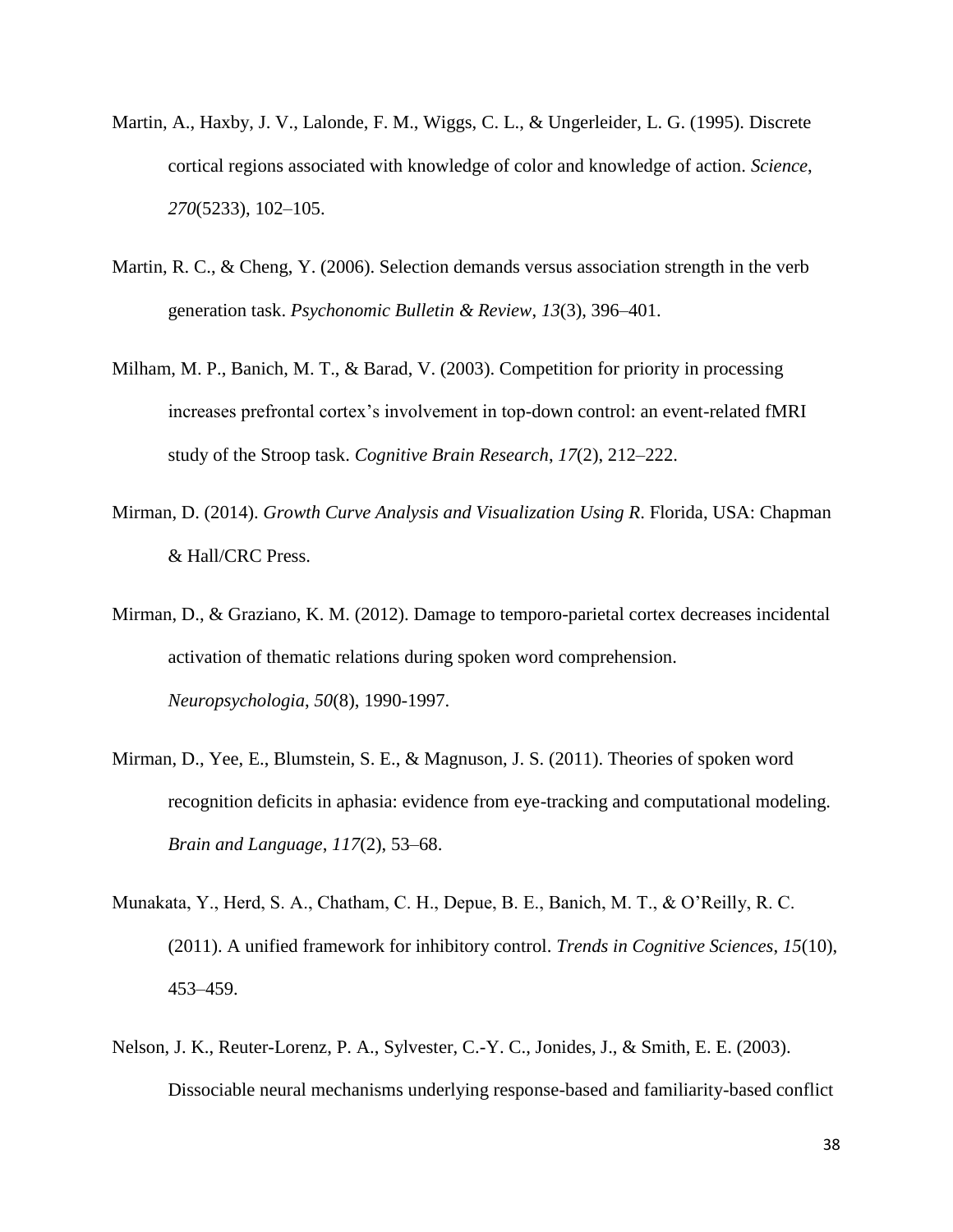- Martin, A., Haxby, J. V., Lalonde, F. M., Wiggs, C. L., & Ungerleider, L. G. (1995). Discrete cortical regions associated with knowledge of color and knowledge of action. *Science*, *270*(5233), 102–105.
- Martin, R. C., & Cheng, Y. (2006). Selection demands versus association strength in the verb generation task. *Psychonomic Bulletin & Review*, *13*(3), 396–401.
- Milham, M. P., Banich, M. T., & Barad, V. (2003). Competition for priority in processing increases prefrontal cortex's involvement in top-down control: an event-related fMRI study of the Stroop task. *Cognitive Brain Research*, *17*(2), 212–222.
- Mirman, D. (2014). *Growth Curve Analysis and Visualization Using R*. Florida, USA: Chapman & Hall/CRC Press.
- Mirman, D., & Graziano, K. M. (2012). Damage to temporo-parietal cortex decreases incidental activation of thematic relations during spoken word comprehension. *Neuropsychologia*, *50*(8), 1990-1997.
- Mirman, D., Yee, E., Blumstein, S. E., & Magnuson, J. S. (2011). Theories of spoken word recognition deficits in aphasia: evidence from eye-tracking and computational modeling. *Brain and Language*, *117*(2), 53–68.
- Munakata, Y., Herd, S. A., Chatham, C. H., Depue, B. E., Banich, M. T., & O'Reilly, R. C. (2011). A unified framework for inhibitory control. *Trends in Cognitive Sciences*, *15*(10), 453–459.
- Nelson, J. K., Reuter-Lorenz, P. A., Sylvester, C.-Y. C., Jonides, J., & Smith, E. E. (2003). Dissociable neural mechanisms underlying response-based and familiarity-based conflict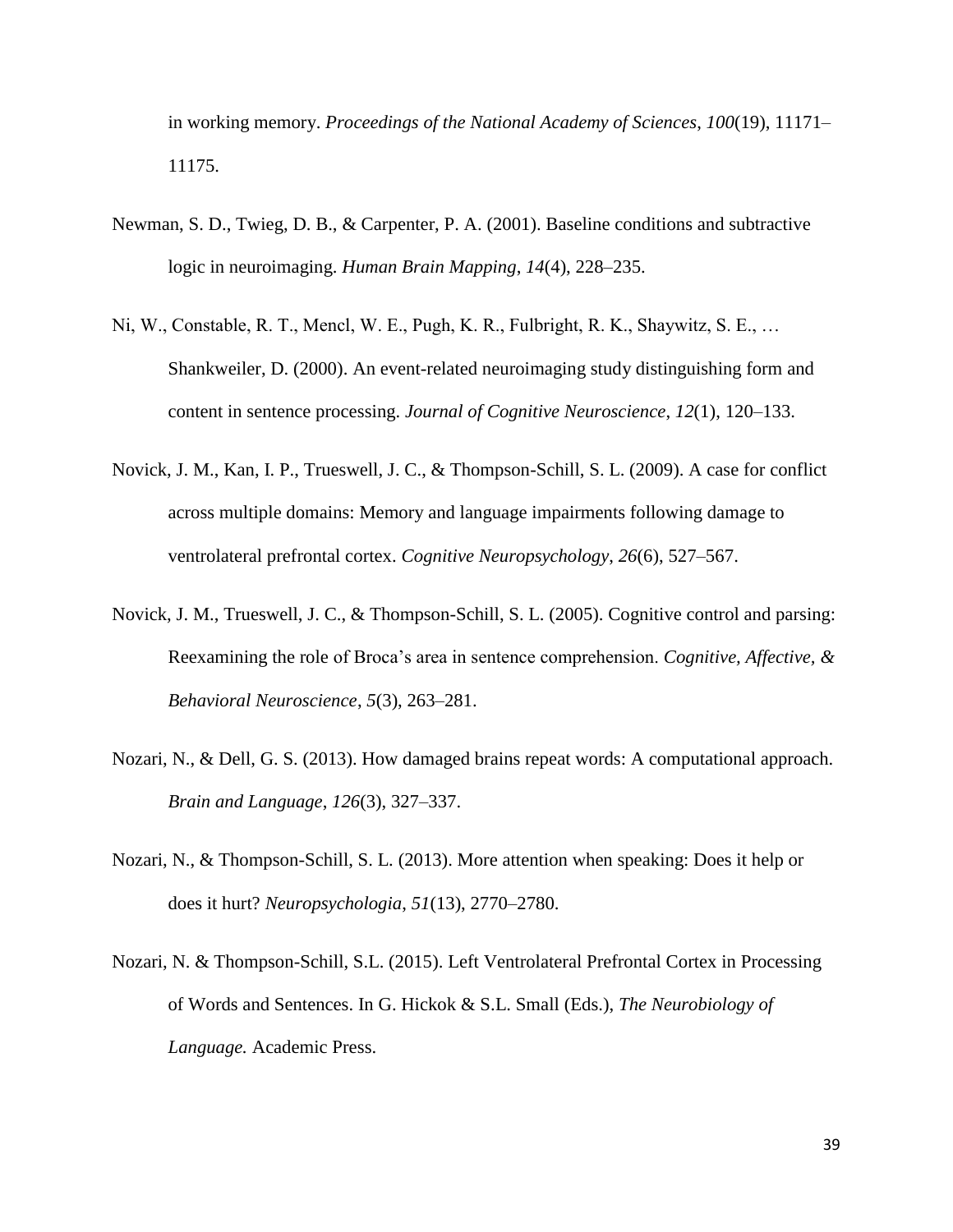in working memory. *Proceedings of the National Academy of Sciences*, *100*(19), 11171– 11175.

- Newman, S. D., Twieg, D. B., & Carpenter, P. A. (2001). Baseline conditions and subtractive logic in neuroimaging. *Human Brain Mapping*, *14*(4), 228–235.
- Ni, W., Constable, R. T., Mencl, W. E., Pugh, K. R., Fulbright, R. K., Shaywitz, S. E., … Shankweiler, D. (2000). An event-related neuroimaging study distinguishing form and content in sentence processing. *Journal of Cognitive Neuroscience*, *12*(1), 120–133.
- Novick, J. M., Kan, I. P., Trueswell, J. C., & Thompson-Schill, S. L. (2009). A case for conflict across multiple domains: Memory and language impairments following damage to ventrolateral prefrontal cortex. *Cognitive Neuropsychology*, *26*(6), 527–567.
- Novick, J. M., Trueswell, J. C., & Thompson-Schill, S. L. (2005). Cognitive control and parsing: Reexamining the role of Broca's area in sentence comprehension. *Cognitive, Affective, & Behavioral Neuroscience*, *5*(3), 263–281.
- Nozari, N., & Dell, G. S. (2013). How damaged brains repeat words: A computational approach. *Brain and Language*, *126*(3), 327–337.
- Nozari, N., & Thompson-Schill, S. L. (2013). More attention when speaking: Does it help or does it hurt? *Neuropsychologia*, *51*(13), 2770–2780.
- Nozari, N. & Thompson-Schill, S.L. (2015). Left Ventrolateral Prefrontal Cortex in Processing of Words and Sentences. In G. Hickok & S.L. Small (Eds.), *The Neurobiology of Language.* Academic Press.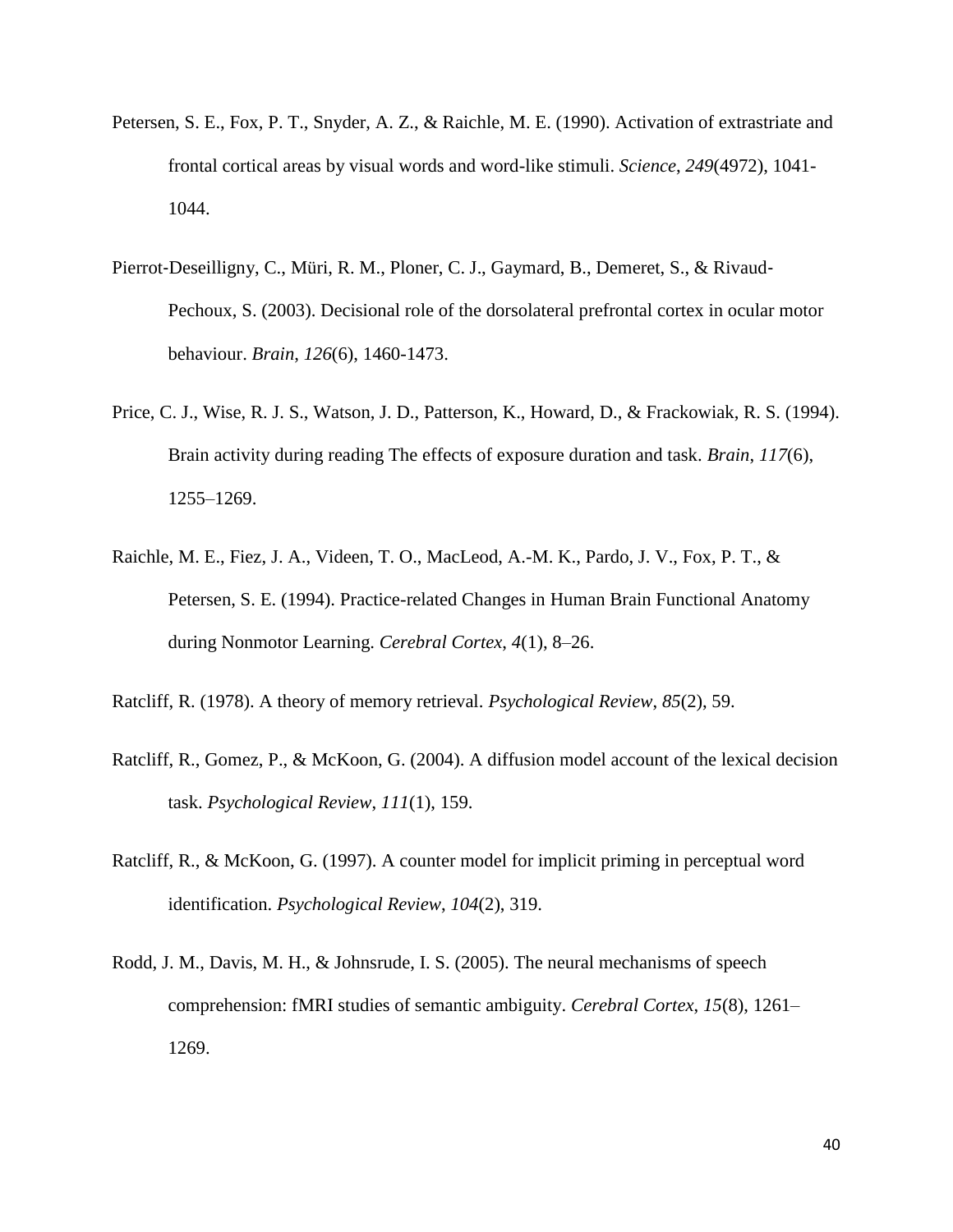- Petersen, S. E., Fox, P. T., Snyder, A. Z., & Raichle, M. E. (1990). Activation of extrastriate and frontal cortical areas by visual words and word-like stimuli. *Science*, *249*(4972), 1041- 1044.
- Pierrot-Deseilligny, C., Müri, R. M., Ploner, C. J., Gaymard, B., Demeret, S., & Rivaud-Pechoux, S. (2003). Decisional role of the dorsolateral prefrontal cortex in ocular motor behaviour. *Brain*, *126*(6), 1460-1473.
- Price, C. J., Wise, R. J. S., Watson, J. D., Patterson, K., Howard, D., & Frackowiak, R. S. (1994). Brain activity during reading The effects of exposure duration and task. *Brain*, *117*(6), 1255–1269.
- Raichle, M. E., Fiez, J. A., Videen, T. O., MacLeod, A.-M. K., Pardo, J. V., Fox, P. T., & Petersen, S. E. (1994). Practice-related Changes in Human Brain Functional Anatomy during Nonmotor Learning. *Cerebral Cortex*, *4*(1), 8–26.
- Ratcliff, R. (1978). A theory of memory retrieval. *Psychological Review*, *85*(2), 59.
- Ratcliff, R., Gomez, P., & McKoon, G. (2004). A diffusion model account of the lexical decision task. *Psychological Review*, *111*(1), 159.
- Ratcliff, R., & McKoon, G. (1997). A counter model for implicit priming in perceptual word identification. *Psychological Review*, *104*(2), 319.
- Rodd, J. M., Davis, M. H., & Johnsrude, I. S. (2005). The neural mechanisms of speech comprehension: fMRI studies of semantic ambiguity. *Cerebral Cortex*, *15*(8), 1261– 1269.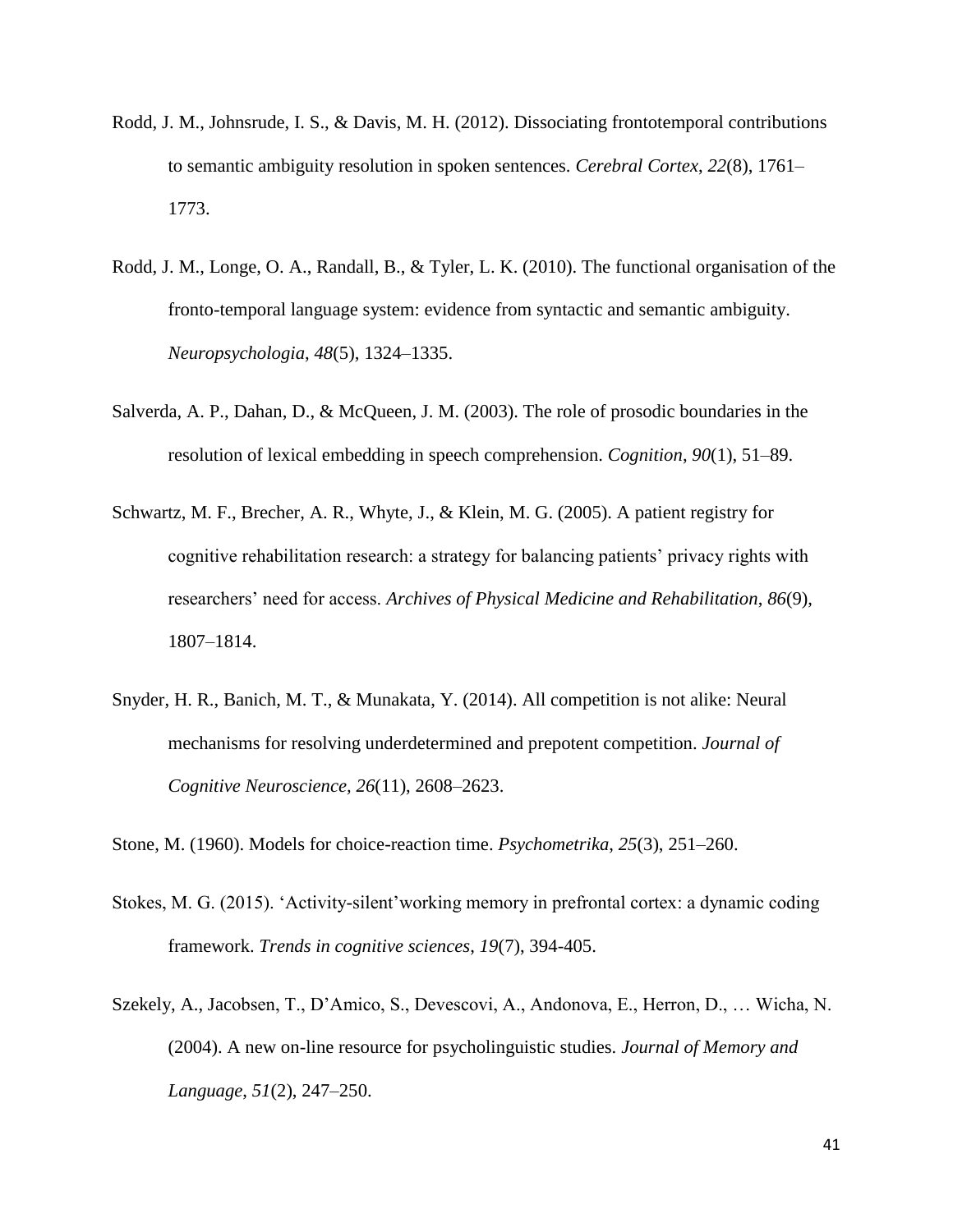- Rodd, J. M., Johnsrude, I. S., & Davis, M. H. (2012). Dissociating frontotemporal contributions to semantic ambiguity resolution in spoken sentences. *Cerebral Cortex*, *22*(8), 1761– 1773.
- Rodd, J. M., Longe, O. A., Randall, B., & Tyler, L. K. (2010). The functional organisation of the fronto-temporal language system: evidence from syntactic and semantic ambiguity. *Neuropsychologia*, *48*(5), 1324–1335.
- Salverda, A. P., Dahan, D., & McQueen, J. M. (2003). The role of prosodic boundaries in the resolution of lexical embedding in speech comprehension. *Cognition*, *90*(1), 51–89.
- Schwartz, M. F., Brecher, A. R., Whyte, J., & Klein, M. G. (2005). A patient registry for cognitive rehabilitation research: a strategy for balancing patients' privacy rights with researchers' need for access. *Archives of Physical Medicine and Rehabilitation*, *86*(9), 1807–1814.
- Snyder, H. R., Banich, M. T., & Munakata, Y. (2014). All competition is not alike: Neural mechanisms for resolving underdetermined and prepotent competition. *Journal of Cognitive Neuroscience, 26*(11), 2608–2623.
- Stone, M. (1960). Models for choice-reaction time. *Psychometrika*, *25*(3), 251–260.
- Stokes, M. G. (2015). 'Activity-silent'working memory in prefrontal cortex: a dynamic coding framework. *Trends in cognitive sciences*, *19*(7), 394-405.
- Szekely, A., Jacobsen, T., D'Amico, S., Devescovi, A., Andonova, E., Herron, D., … Wicha, N. (2004). A new on-line resource for psycholinguistic studies. *Journal of Memory and Language*, *51*(2), 247–250.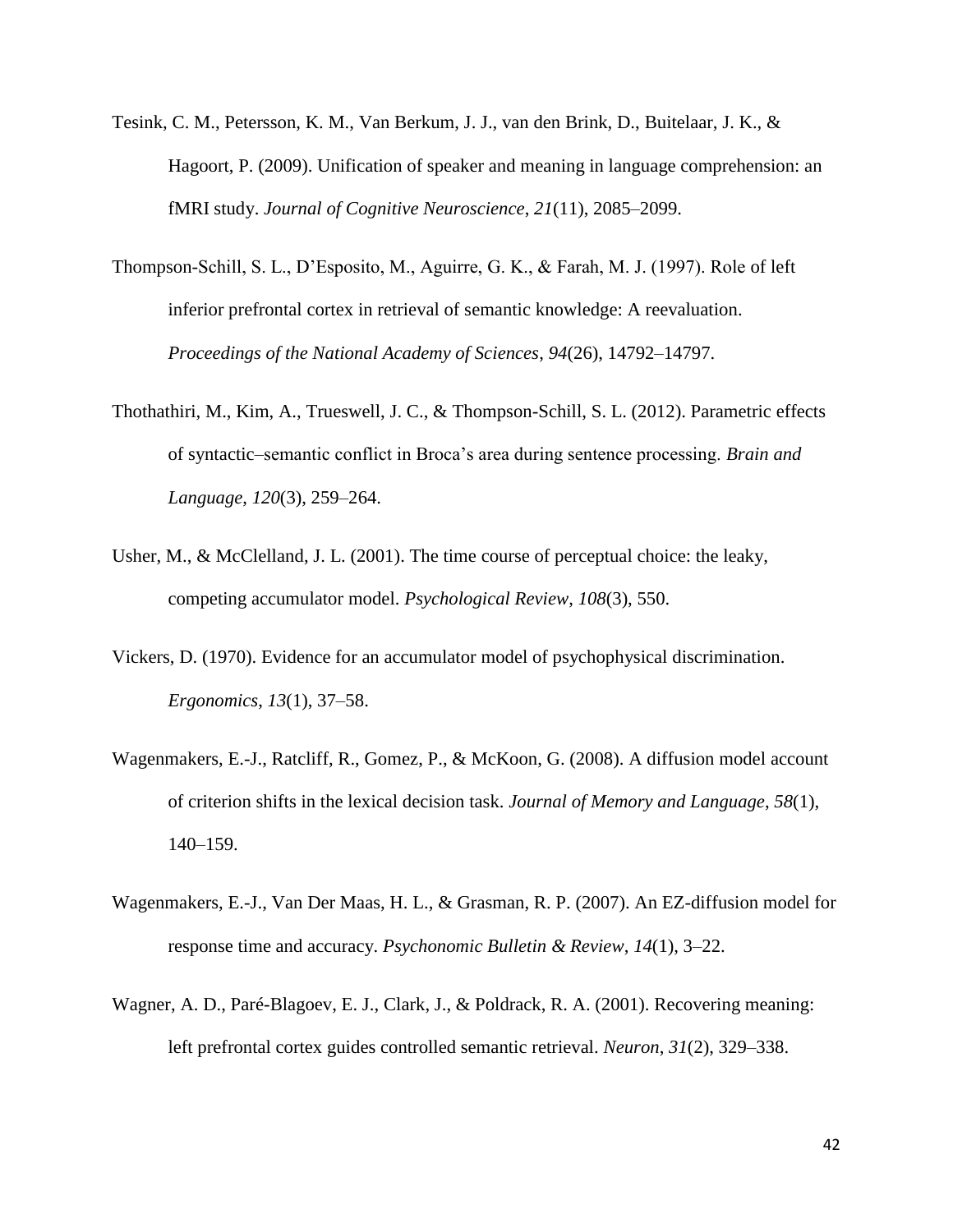- Tesink, C. M., Petersson, K. M., Van Berkum, J. J., van den Brink, D., Buitelaar, J. K., & Hagoort, P. (2009). Unification of speaker and meaning in language comprehension: an fMRI study. *Journal of Cognitive Neuroscience*, *21*(11), 2085–2099.
- Thompson-Schill, S. L., D'Esposito, M., Aguirre, G. K., & Farah, M. J. (1997). Role of left inferior prefrontal cortex in retrieval of semantic knowledge: A reevaluation. *Proceedings of the National Academy of Sciences*, *94*(26), 14792–14797.
- Thothathiri, M., Kim, A., Trueswell, J. C., & Thompson-Schill, S. L. (2012). Parametric effects of syntactic–semantic conflict in Broca's area during sentence processing. *Brain and Language*, *120*(3), 259–264.
- Usher, M., & McClelland, J. L. (2001). The time course of perceptual choice: the leaky, competing accumulator model. *Psychological Review*, *108*(3), 550.
- Vickers, D. (1970). Evidence for an accumulator model of psychophysical discrimination. *Ergonomics*, *13*(1), 37–58.
- Wagenmakers, E.-J., Ratcliff, R., Gomez, P., & McKoon, G. (2008). A diffusion model account of criterion shifts in the lexical decision task. *Journal of Memory and Language*, *58*(1), 140–159.
- Wagenmakers, E.-J., Van Der Maas, H. L., & Grasman, R. P. (2007). An EZ-diffusion model for response time and accuracy. *Psychonomic Bulletin & Review*, *14*(1), 3–22.
- Wagner, A. D., Paré-Blagoev, E. J., Clark, J., & Poldrack, R. A. (2001). Recovering meaning: left prefrontal cortex guides controlled semantic retrieval. *Neuron*, *31*(2), 329–338.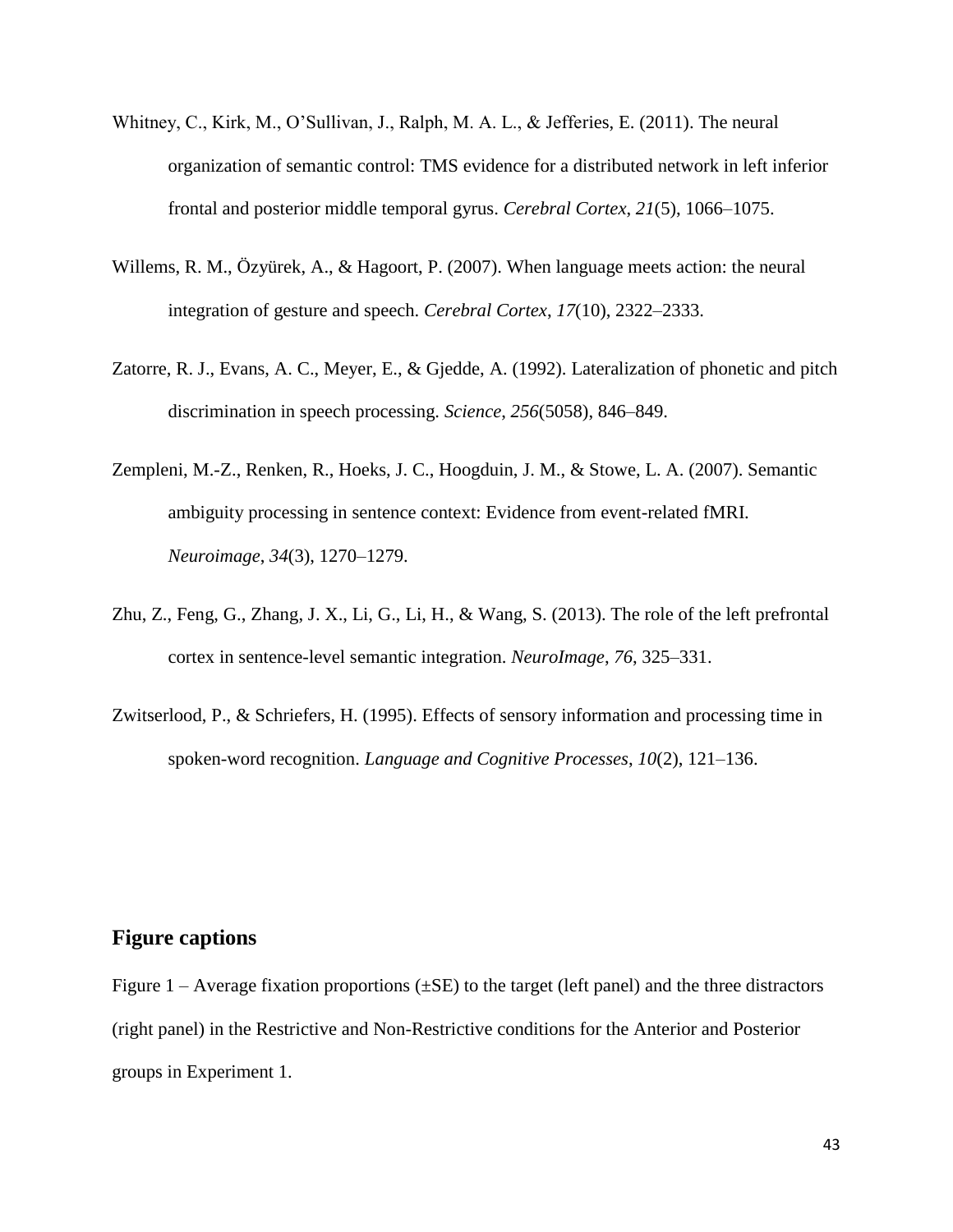- Whitney, C., Kirk, M., O'Sullivan, J., Ralph, M. A. L., & Jefferies, E. (2011). The neural organization of semantic control: TMS evidence for a distributed network in left inferior frontal and posterior middle temporal gyrus. *Cerebral Cortex*, *21*(5), 1066–1075.
- Willems, R. M., Özyürek, A., & Hagoort, P. (2007). When language meets action: the neural integration of gesture and speech. *Cerebral Cortex*, *17*(10), 2322–2333.
- Zatorre, R. J., Evans, A. C., Meyer, E., & Gjedde, A. (1992). Lateralization of phonetic and pitch discrimination in speech processing. *Science*, *256*(5058), 846–849.
- Zempleni, M.-Z., Renken, R., Hoeks, J. C., Hoogduin, J. M., & Stowe, L. A. (2007). Semantic ambiguity processing in sentence context: Evidence from event-related fMRI. *Neuroimage*, *34*(3), 1270–1279.
- Zhu, Z., Feng, G., Zhang, J. X., Li, G., Li, H., & Wang, S. (2013). The role of the left prefrontal cortex in sentence-level semantic integration. *NeuroImage*, *76*, 325–331.
- Zwitserlood, P., & Schriefers, H. (1995). Effects of sensory information and processing time in spoken-word recognition. *Language and Cognitive Processes*, *10*(2), 121–136.

### **Figure captions**

Figure 1 – Average fixation proportions ( $\pm$ SE) to the target (left panel) and the three distractors (right panel) in the Restrictive and Non-Restrictive conditions for the Anterior and Posterior groups in Experiment 1.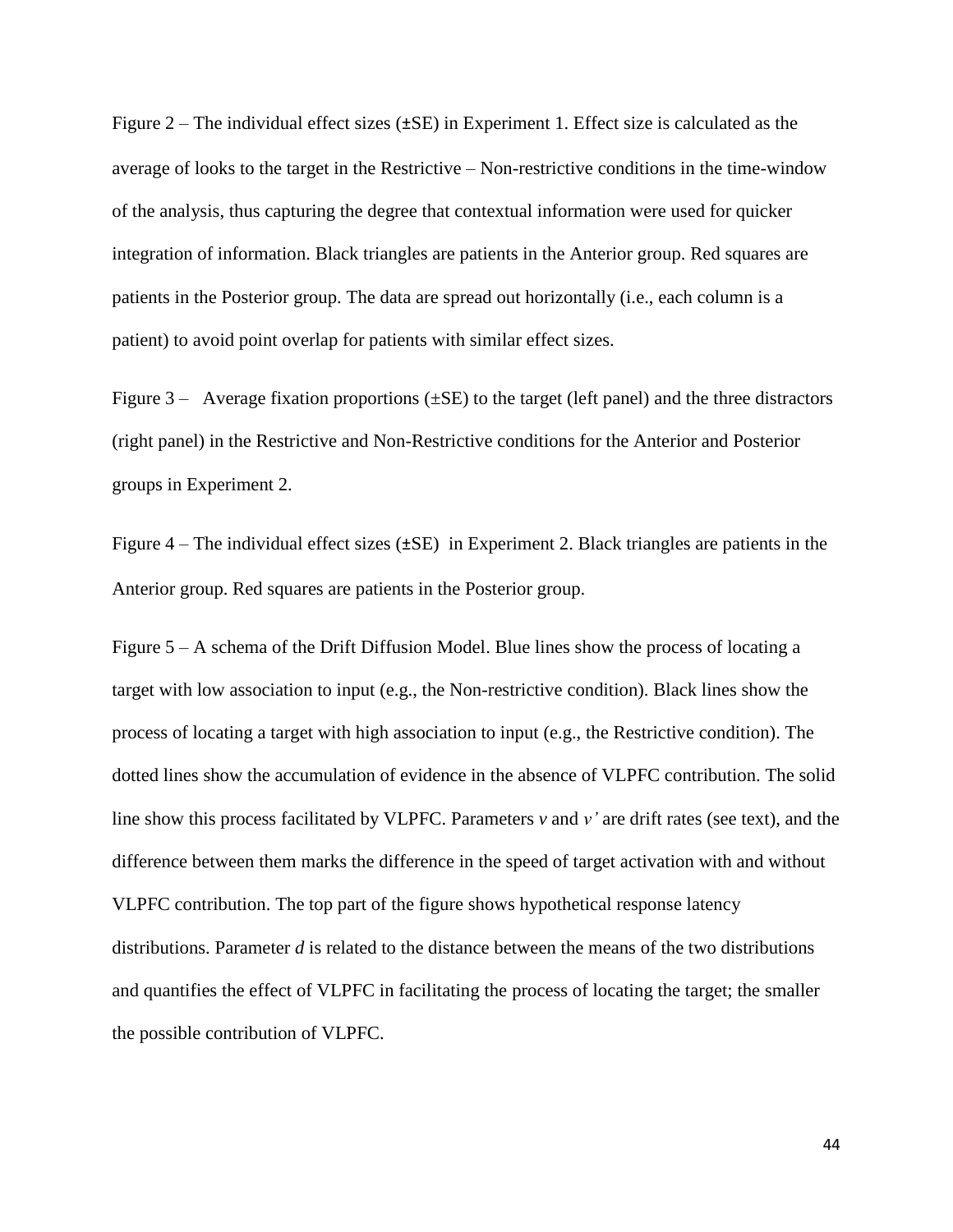Figure 2 – The individual effect sizes (±SE) in Experiment 1. Effect size is calculated as the average of looks to the target in the Restrictive – Non-restrictive conditions in the time-window of the analysis, thus capturing the degree that contextual information were used for quicker integration of information. Black triangles are patients in the Anterior group. Red squares are patients in the Posterior group. The data are spread out horizontally (i.e., each column is a patient) to avoid point overlap for patients with similar effect sizes.

Figure  $3 -$  Average fixation proportions ( $\pm$ SE) to the target (left panel) and the three distractors (right panel) in the Restrictive and Non-Restrictive conditions for the Anterior and Posterior groups in Experiment 2.

Figure  $4$  – The individual effect sizes ( $\pm$ SE) in Experiment 2. Black triangles are patients in the Anterior group. Red squares are patients in the Posterior group.

Figure 5 – A schema of the Drift Diffusion Model. Blue lines show the process of locating a target with low association to input (e.g., the Non-restrictive condition). Black lines show the process of locating a target with high association to input (e.g., the Restrictive condition). The dotted lines show the accumulation of evidence in the absence of VLPFC contribution. The solid line show this process facilitated by VLPFC. Parameters *v* and *v'* are drift rates (see text), and the difference between them marks the difference in the speed of target activation with and without VLPFC contribution. The top part of the figure shows hypothetical response latency distributions. Parameter *d* is related to the distance between the means of the two distributions and quantifies the effect of VLPFC in facilitating the process of locating the target; the smaller the possible contribution of VLPFC.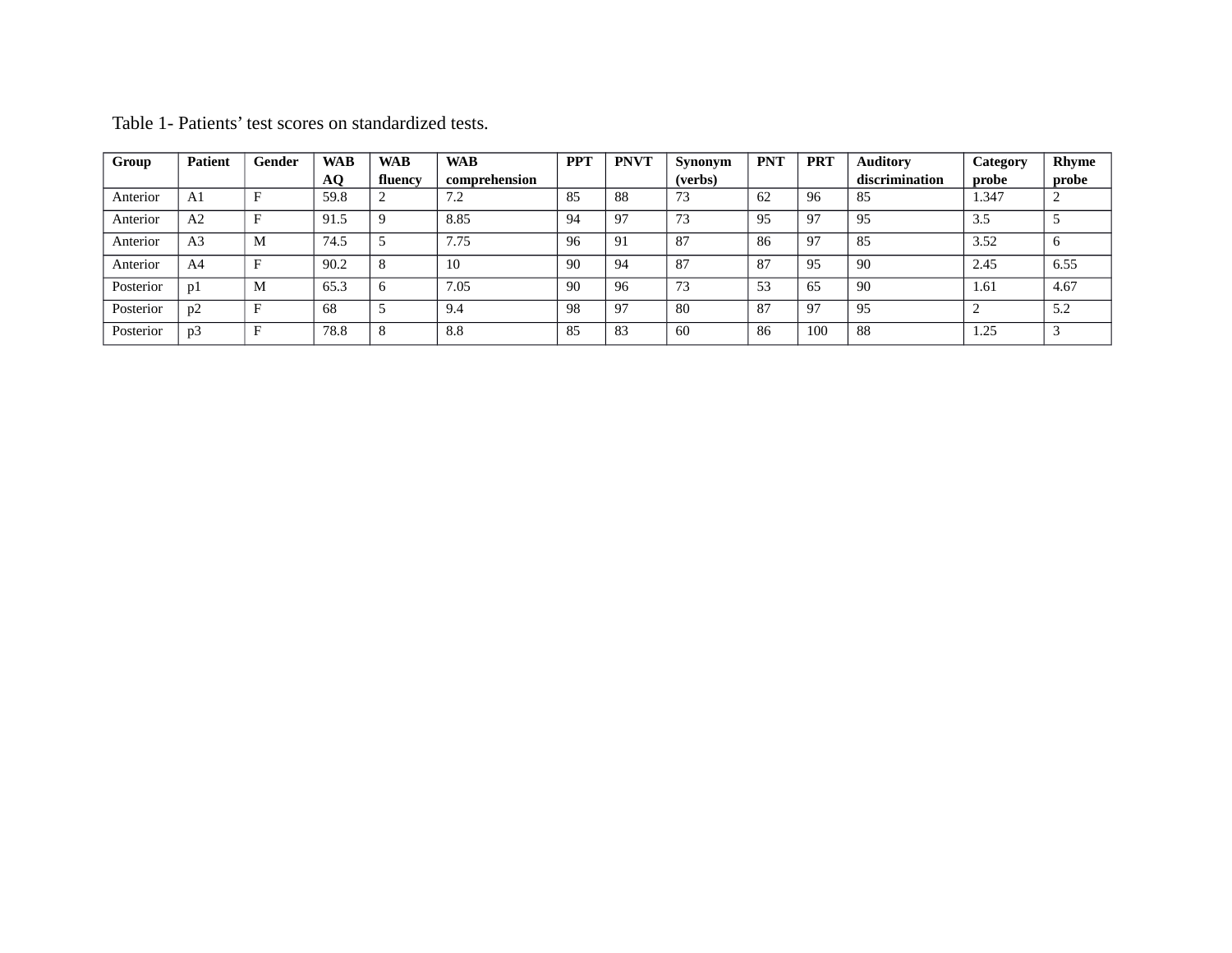| Group     | <b>Patient</b> | Gender | <b>WAB</b>     | <b>WAB</b> | <b>WAB</b>    | <b>PPT</b> | <b>PNVT</b> | Synonym | <b>PNT</b> | <b>PRT</b> | <b>Auditory</b> | <b>Category</b> | <b>Rhyme</b> |
|-----------|----------------|--------|----------------|------------|---------------|------------|-------------|---------|------------|------------|-----------------|-----------------|--------------|
|           |                |        | A <sub>O</sub> | fluency    | comprehension |            |             | (verbs) |            |            | discrimination  | probe           | probe        |
| Anterior  | A1             |        | 59.8           |            | 7.2           | 85         | 88          | 73      | 62         | 96         | 85              | 1.347           |              |
| Anterior  | A <sub>2</sub> |        | 91.5           |            | 8.85          | 94         | 97          | 73      | 95         | 97         | 95              | 3.5             |              |
| Anterior  | A <sub>3</sub> | M      | 74.5           |            | 7.75          | 96         | 91          | 87      | 86         | 97         | 85              | 3.52            | b            |
| Anterior  | A <sub>4</sub> |        | 90.2           | 8          | 10            | 90         | 94          | 87      | 87         | 95         | 90              | 2.45            | 6.55         |
| Posterior | p1             | M      | 65.3           | b          | 7.05          | .90        | 96          | 73      | 53         | 65         | 90              | 1.61            | 4.67         |
| Posterior | p2             |        | 68             |            | 9.4           | -98        | 97          | 80      | 87         | 97         | 95              |                 | 5.2          |
| Posterior | p3             |        | 78.8           | $\Omega$   | 8.8           | -85        | 83          | 60      | -86        | 100        | 88              | 1.25            |              |

Table 1- Patients' test scores on standardized tests.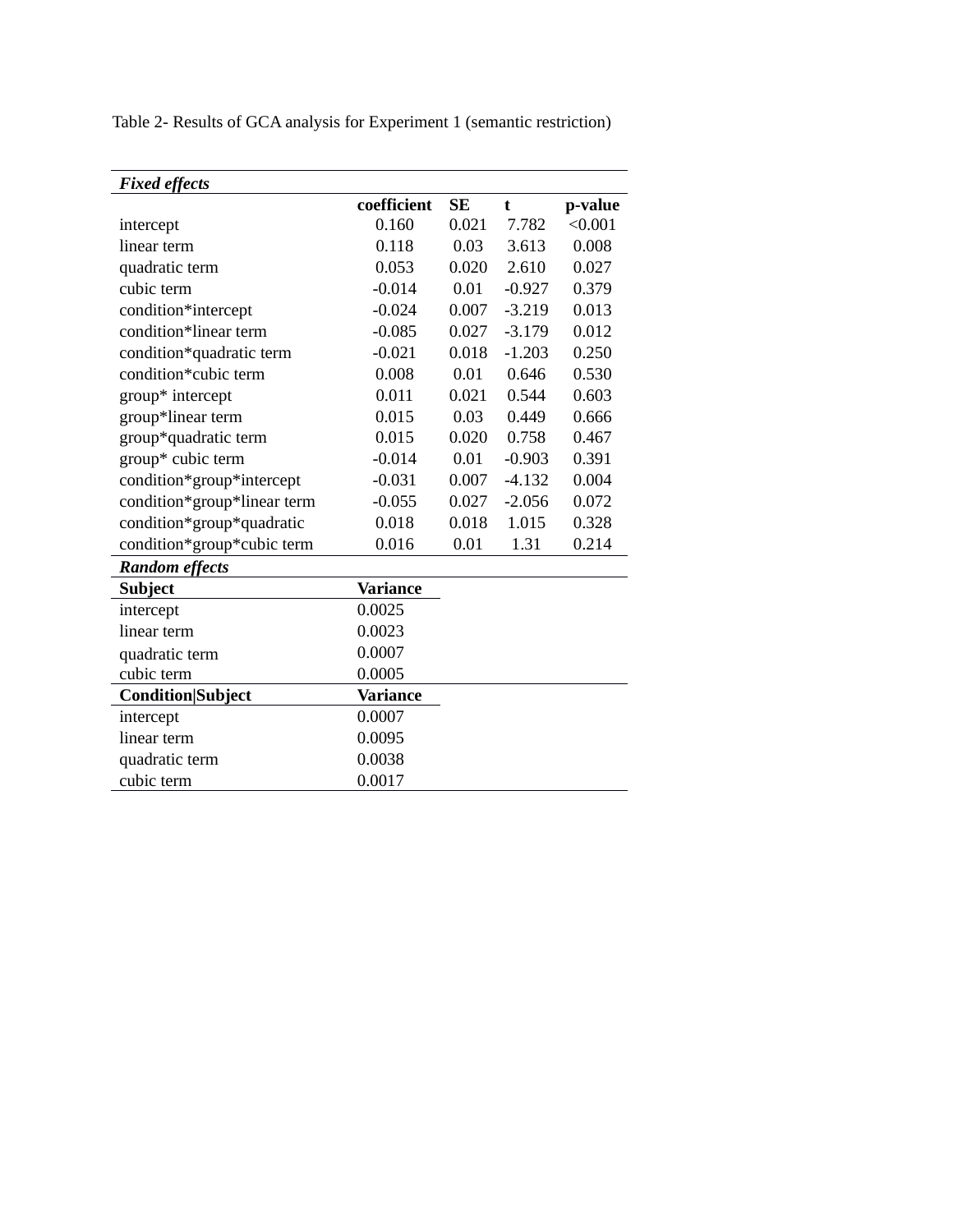Table 2- Results of GCA analysis for Experiment 1 (semantic restriction)

| <b>Fixed effects</b>        |                 |           |          |         |  |
|-----------------------------|-----------------|-----------|----------|---------|--|
|                             | coefficient     | <b>SE</b> | t        | p-value |  |
| intercept                   | 0.160           | 0.021     | 7.782    | < 0.001 |  |
| linear term                 | 0.118           | 0.03      | 3.613    | 0.008   |  |
| quadratic term              | 0.053           | 0.020     | 2.610    | 0.027   |  |
| cubic term                  | $-0.014$        | 0.01      | $-0.927$ | 0.379   |  |
| condition*intercept         | $-0.024$        | 0.007     | $-3.219$ | 0.013   |  |
| condition*linear term       | $-0.085$        | 0.027     | $-3.179$ | 0.012   |  |
| condition*quadratic term    | $-0.021$        | 0.018     | $-1.203$ | 0.250   |  |
| condition*cubic term        | 0.008           | 0.01      | 0.646    | 0.530   |  |
| group* intercept            | 0.011           | 0.021     | 0.544    | 0.603   |  |
| group*linear term           | 0.015           | 0.03      | 0.449    | 0.666   |  |
| group*quadratic term        | 0.015           | 0.020     | 0.758    | 0.467   |  |
| group* cubic term           | $-0.014$        | 0.01      | $-0.903$ | 0.391   |  |
| condition*group*intercept   | $-0.031$        | 0.007     | $-4.132$ | 0.004   |  |
| condition*group*linear term | $-0.055$        | 0.027     | $-2.056$ | 0.072   |  |
| condition*group*quadratic   | 0.018           | 0.018     | 1.015    | 0.328   |  |
| condition*group*cubic term  | 0.016           | 0.01      | 1.31     | 0.214   |  |
| <b>Random effects</b>       |                 |           |          |         |  |
| <b>Subject</b>              | <b>Variance</b> |           |          |         |  |
| intercept                   | 0.0025          |           |          |         |  |
| linear term                 | 0.0023          |           |          |         |  |
| quadratic term              | 0.0007          |           |          |         |  |
| cubic term                  | 0.0005          |           |          |         |  |
| <b>Condition</b>  Subject   | <b>Variance</b> |           |          |         |  |
| intercept                   | 0.0007          |           |          |         |  |
| linear term                 | 0.0095          |           |          |         |  |
| quadratic term              | 0.0038          |           |          |         |  |
| cubic term                  | 0.0017          |           |          |         |  |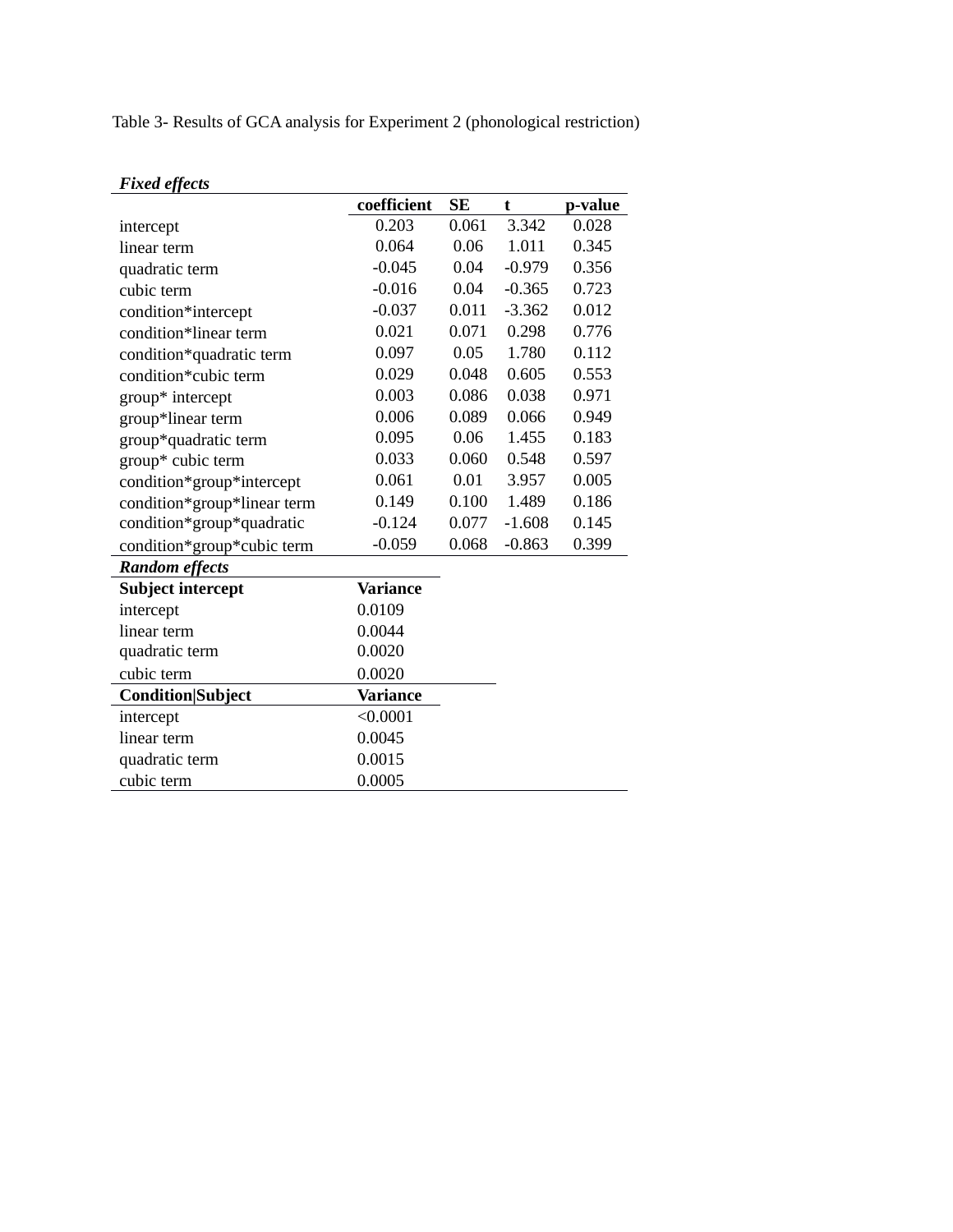Table 3- Results of GCA analysis for Experiment 2 (phonological restriction)

| <b>Fixed effects</b>        |                 |           |          |         |  |
|-----------------------------|-----------------|-----------|----------|---------|--|
|                             | coefficient     | <b>SE</b> | t        | p-value |  |
| intercept                   | 0.203           | 0.061     | 3.342    | 0.028   |  |
| linear term                 | 0.064           | 0.06      | 1.011    | 0.345   |  |
| quadratic term              | $-0.045$        | 0.04      | $-0.979$ | 0.356   |  |
| cubic term                  | $-0.016$        | 0.04      | $-0.365$ | 0.723   |  |
| condition*intercept         | $-0.037$        | 0.011     | $-3.362$ | 0.012   |  |
| condition*linear term       | 0.021           | 0.071     | 0.298    | 0.776   |  |
| condition*quadratic term    | 0.097           | 0.05      | 1.780    | 0.112   |  |
| condition*cubic term        | 0.029           | 0.048     | 0.605    | 0.553   |  |
| group* intercept            | 0.003           | 0.086     | 0.038    | 0.971   |  |
| group*linear term           | 0.006           | 0.089     | 0.066    | 0.949   |  |
| group*quadratic term        | 0.095           | 0.06      | 1.455    | 0.183   |  |
| group* cubic term           | 0.033           | 0.060     | 0.548    | 0.597   |  |
| condition*group*intercept   | 0.061           | 0.01      | 3.957    | 0.005   |  |
| condition*group*linear term | 0.149           | 0.100     | 1.489    | 0.186   |  |
| condition*group*quadratic   | $-0.124$        | 0.077     | $-1.608$ | 0.145   |  |
| condition*group*cubic term  | $-0.059$        | 0.068     | $-0.863$ | 0.399   |  |
| <b>Random effects</b>       |                 |           |          |         |  |
| <b>Subject intercept</b>    | <b>Variance</b> |           |          |         |  |
| intercept                   | 0.0109          |           |          |         |  |
| linear term                 | 0.0044          |           |          |         |  |
| quadratic term              | 0.0020          |           |          |         |  |
| cubic term                  | 0.0020          |           |          |         |  |
| <b>Condition</b> Subject    | <b>Variance</b> |           |          |         |  |
| intercept                   | < 0.0001        |           |          |         |  |
| linear term                 | 0.0045          |           |          |         |  |
| quadratic term              | 0.0015          |           |          |         |  |

cubic term 0.0005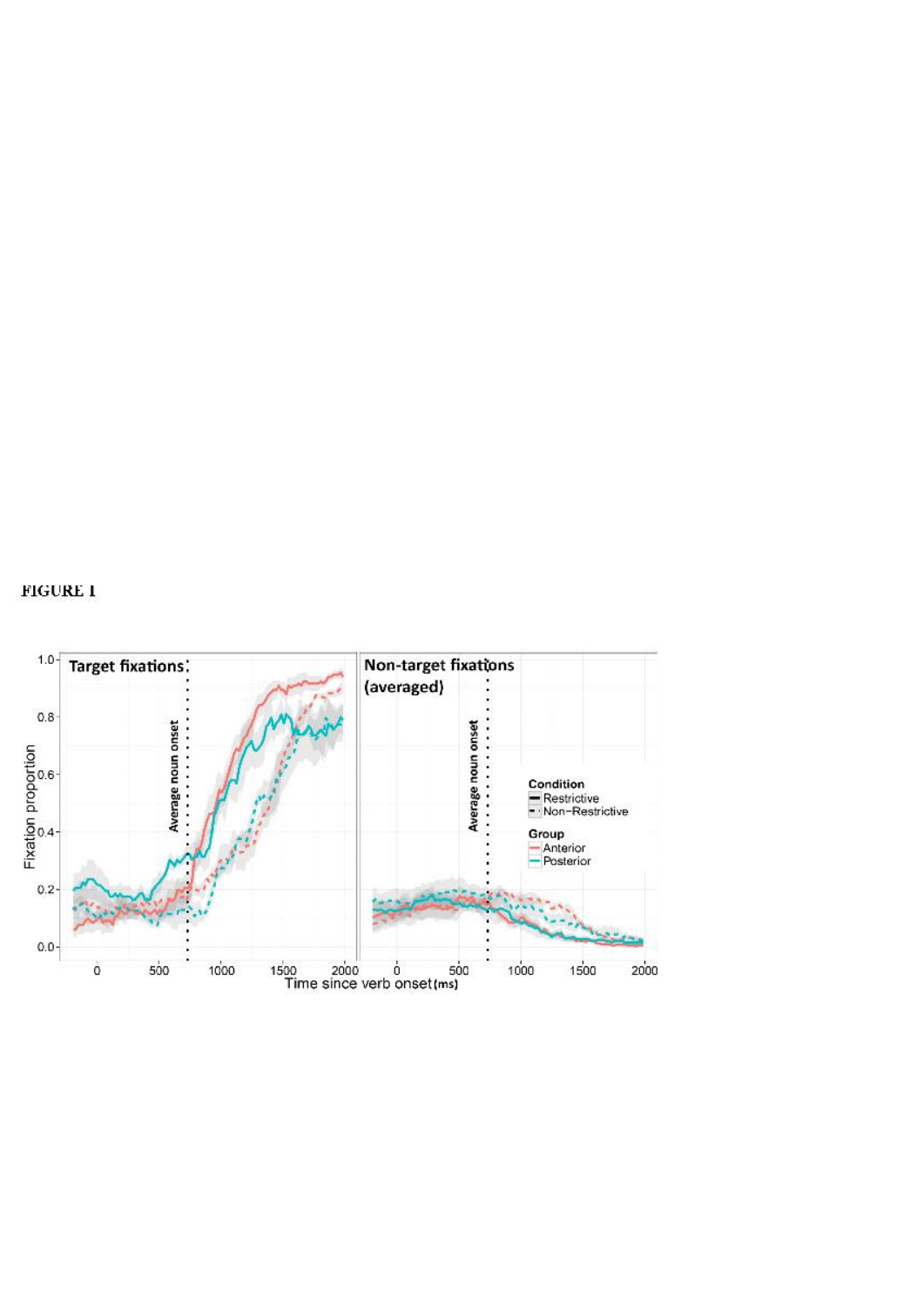

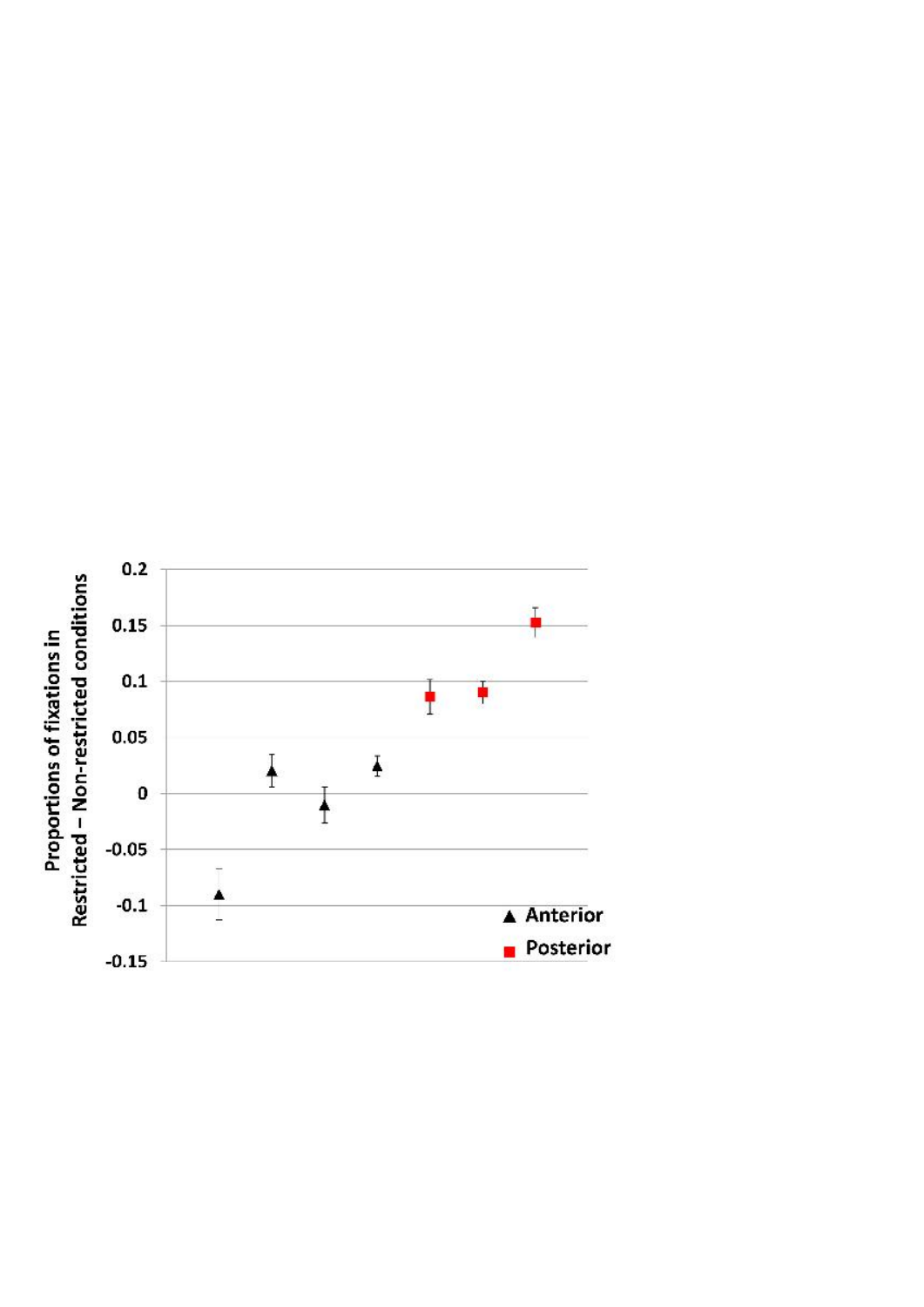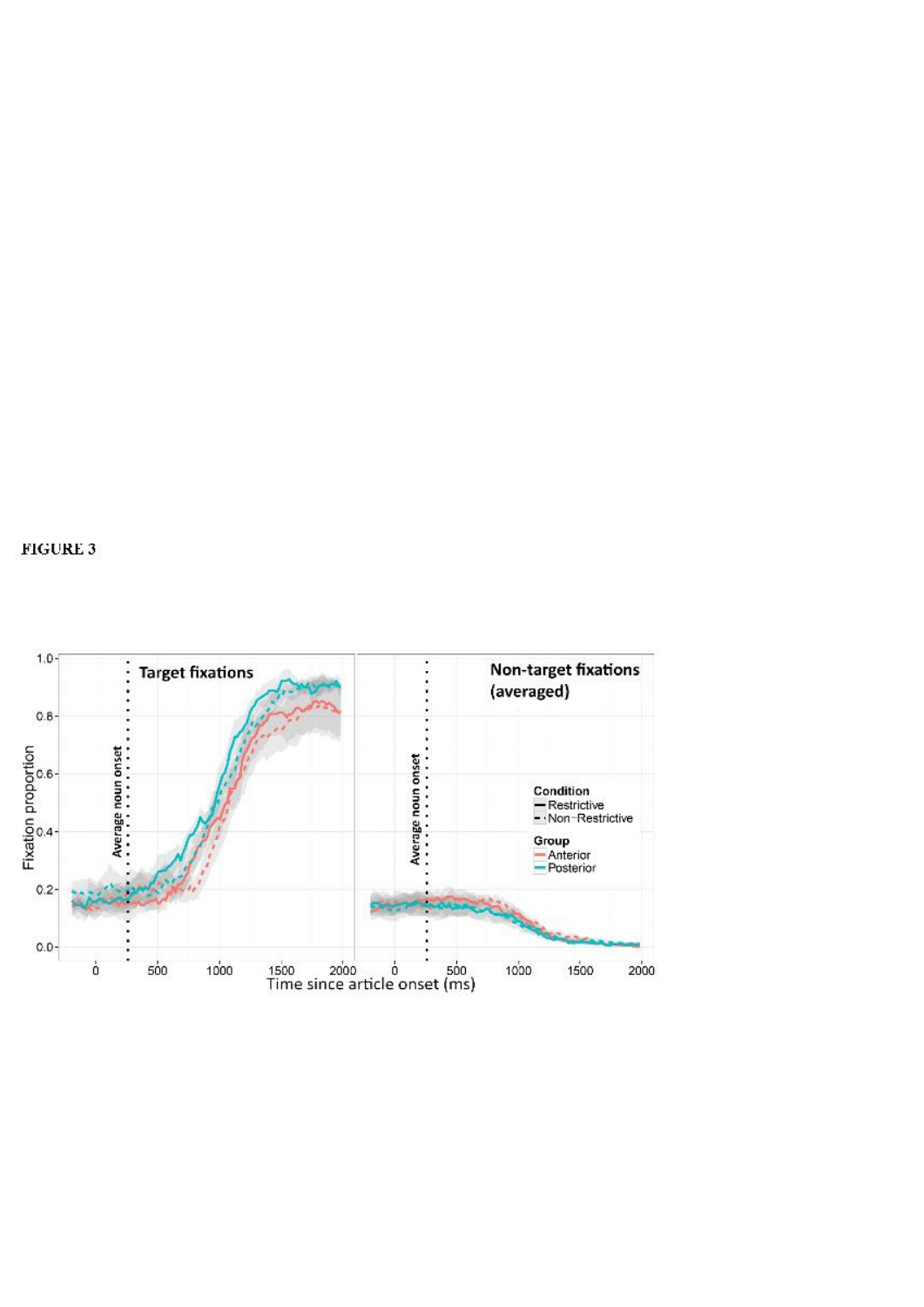

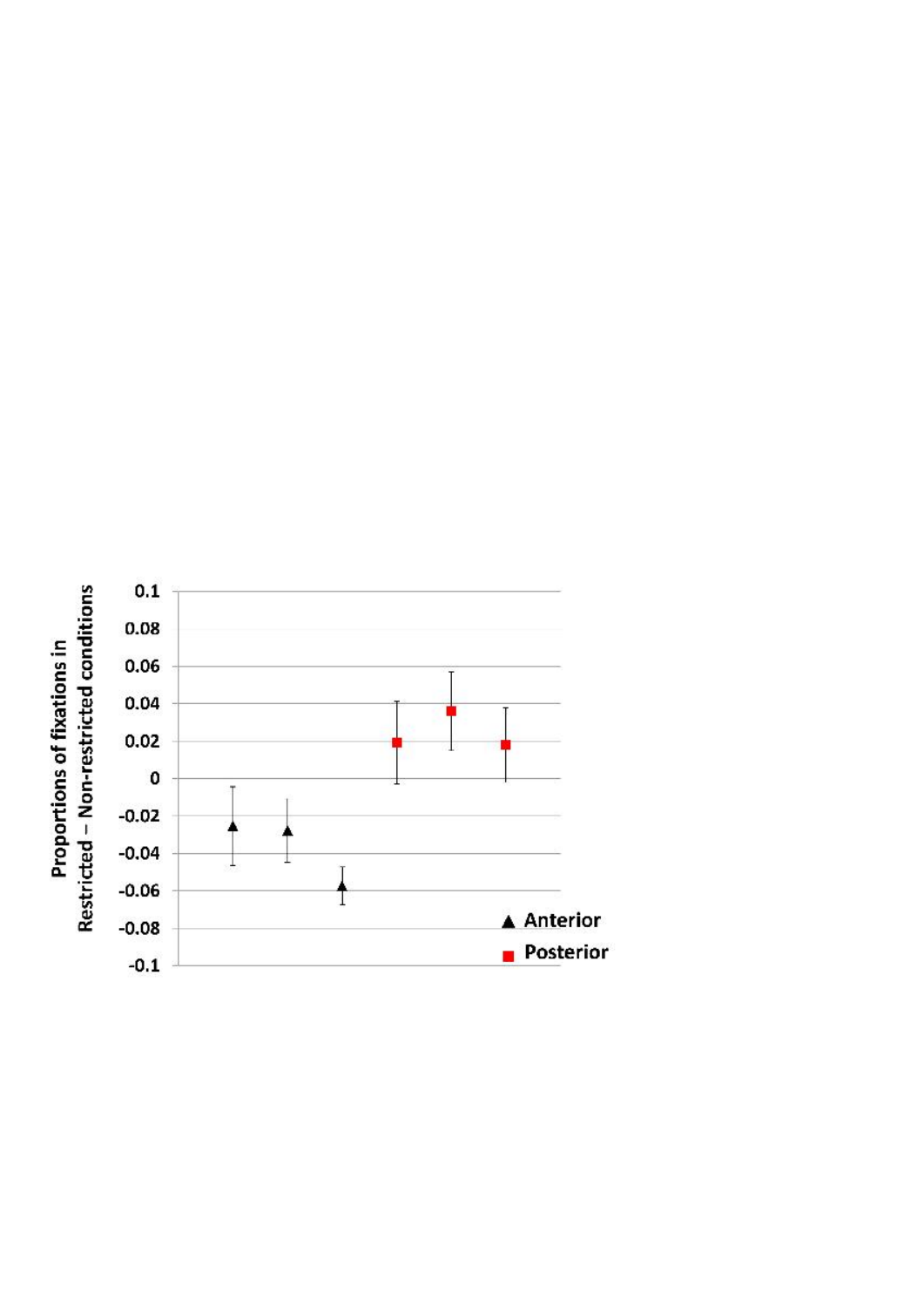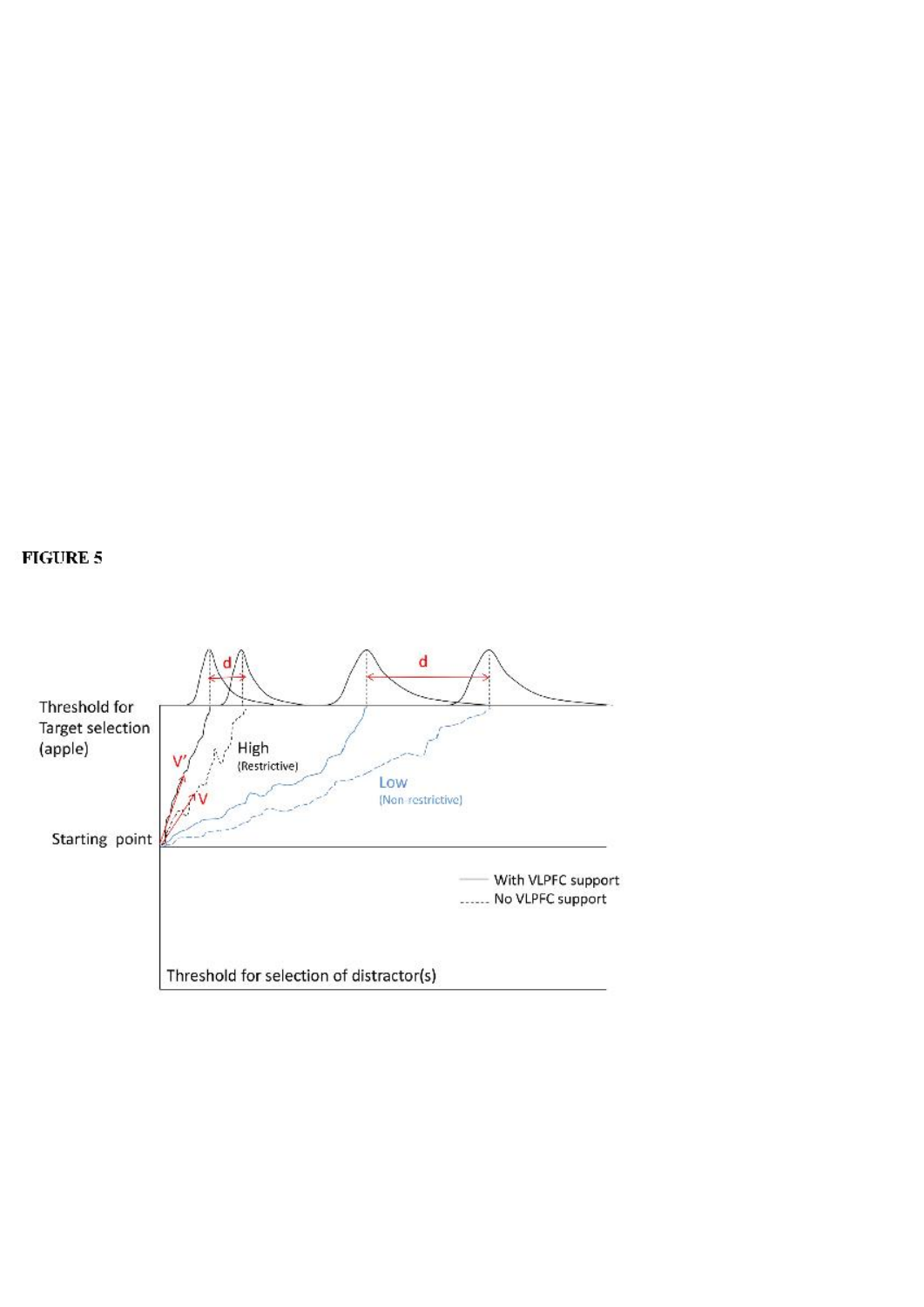### **FIGURE 5**

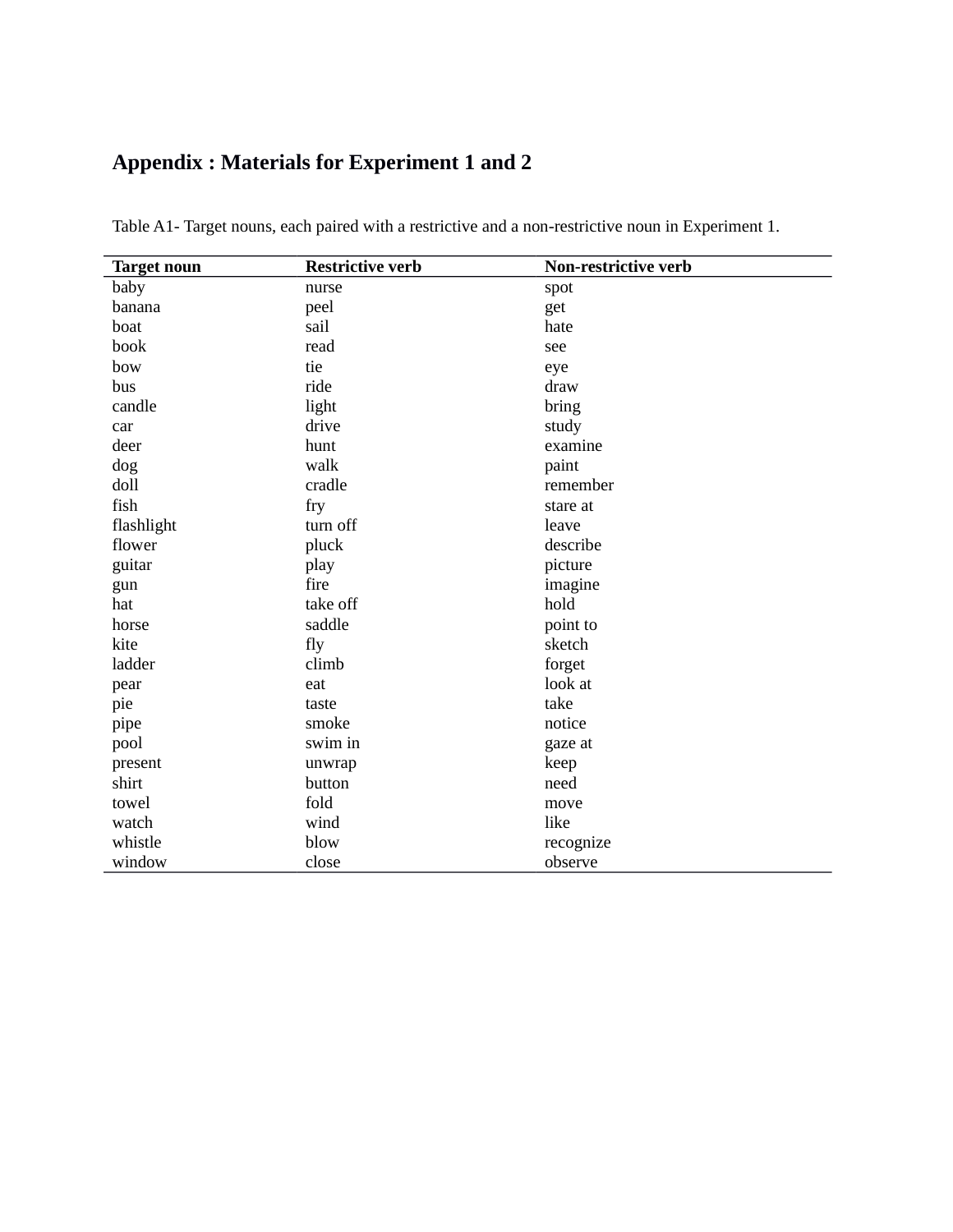## **Appendix : Materials for Experiment 1 and 2**

| <b>Target noun</b> | <b>Restrictive verb</b> | Non-restrictive verb |
|--------------------|-------------------------|----------------------|
| baby               | nurse                   | spot                 |
| banana             | peel                    | get                  |
| boat               | sail                    | hate                 |
| book               | read                    | see                  |
| bow                | tie                     | eye                  |
| bus                | ride                    | draw                 |
| candle             | light                   | bring                |
| car                | drive                   | study                |
| deer               | hunt                    | examine              |
| dog                | walk                    | paint                |
| doll               | cradle                  | remember             |
| fish               | fry                     | stare at             |
| flashlight         | turn off                | leave                |
| flower             | pluck                   | describe             |
| guitar             | play                    | picture              |
| gun                | fire                    | imagine              |
| hat                | take off                | hold                 |
| horse              | saddle                  | point to             |
| kite               | fly                     | sketch               |
| ladder             | climb                   | forget               |
| pear               | eat                     | look at              |
| pie                | taste                   | take                 |
| pipe               | smoke                   | notice               |
| pool               | swim in                 | gaze at              |
| present            | unwrap                  | keep                 |
| shirt              | button                  | need                 |
| towel              | fold                    | move                 |
| watch              | wind                    | like                 |
| whistle            | blow                    | recognize            |
| window             | close                   | observe              |

Table A1- Target nouns, each paired with a restrictive and a non-restrictive noun in Experiment 1.